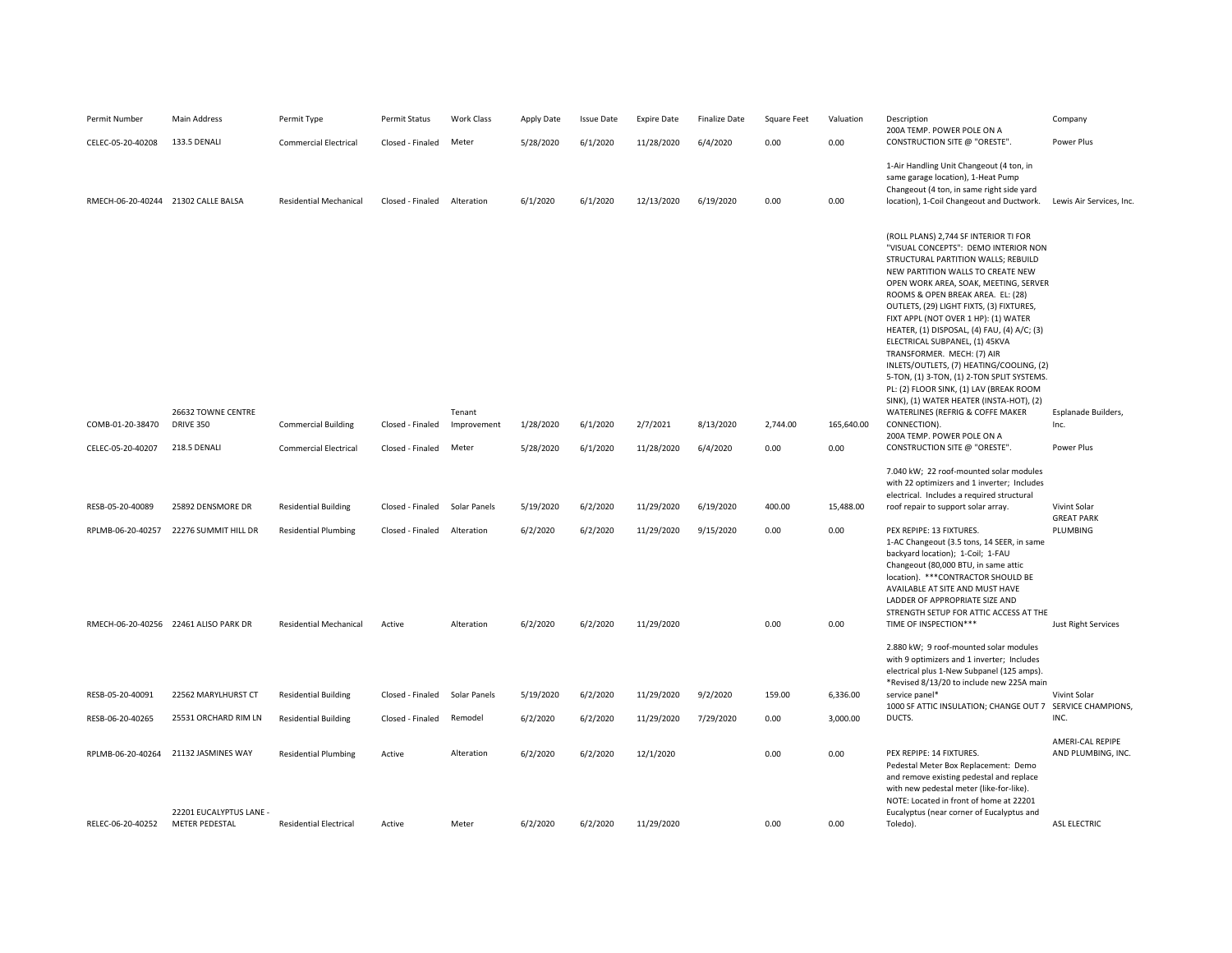| Permit Number     | Main Address                                                    | Permit Type                   | Permit Status    | Work Class            | Apply Date | <b>Issue Date</b> | <b>Expire Date</b> | <b>Finalize Date</b> | Square Feet | Valuation  | Description                                                                                                                                                                                                                                                                                                                                                                                                                                                                                                                                                                                                                                                                                                   | Company                                |
|-------------------|-----------------------------------------------------------------|-------------------------------|------------------|-----------------------|------------|-------------------|--------------------|----------------------|-------------|------------|---------------------------------------------------------------------------------------------------------------------------------------------------------------------------------------------------------------------------------------------------------------------------------------------------------------------------------------------------------------------------------------------------------------------------------------------------------------------------------------------------------------------------------------------------------------------------------------------------------------------------------------------------------------------------------------------------------------|----------------------------------------|
| CELEC-05-20-40208 | 133.5 DENALI                                                    | <b>Commercial Electrical</b>  | Closed - Finaled | Meter                 | 5/28/2020  | 6/1/2020          | 11/28/2020         | 6/4/2020             | 0.00        | 0.00       | 200A TEMP. POWER POLE ON A<br>CONSTRUCTION SITE @ "ORESTE".                                                                                                                                                                                                                                                                                                                                                                                                                                                                                                                                                                                                                                                   | Power Plus                             |
|                   | RMECH-06-20-40244 21302 CALLE BALSA                             | <b>Residential Mechanical</b> | Closed - Finaled | Alteration            | 6/1/2020   | 6/1/2020          | 12/13/2020         | 6/19/2020            | 0.00        | 0.00       | 1-Air Handling Unit Changeout (4 ton, in<br>same garage location), 1-Heat Pump<br>Changeout (4 ton, in same right side yard<br>location), 1-Coil Changeout and Ductwork.                                                                                                                                                                                                                                                                                                                                                                                                                                                                                                                                      | Lewis Air Services, Inc.               |
| COMB-01-20-38470  | 26632 TOWNE CENTRE<br><b>DRIVE 350</b>                          | <b>Commercial Building</b>    | Closed - Finaled | Tenant<br>Improvement | 1/28/2020  | 6/1/2020          | 2/7/2021           | 8/13/2020            | 2,744.00    | 165,640.00 | (ROLL PLANS) 2,744 SF INTERIOR TI FOR<br>"VISUAL CONCEPTS": DEMO INTERIOR NON<br>STRUCTURAL PARTITION WALLS; REBUILD<br>NEW PARTITION WALLS TO CREATE NEW<br>OPEN WORK AREA, SOAK, MEETING, SERVER<br>ROOMS & OPEN BREAK AREA. EL: (28)<br>OUTLETS, (29) LIGHT FIXTS, (3) FIXTURES,<br>FIXT APPL (NOT OVER 1 HP): (1) WATER<br>HEATER, (1) DISPOSAL, (4) FAU, (4) A/C; (3)<br>ELECTRICAL SUBPANEL, (1) 45KVA<br>TRANSFORMER. MECH: (7) AIR<br>INLETS/OUTLETS, (7) HEATING/COOLING, (2)<br>5-TON, (1) 3-TON, (1) 2-TON SPLIT SYSTEMS.<br>PL: (2) FLOOR SINK, (1) LAV (BREAK ROOM<br>SINK), (1) WATER HEATER (INSTA-HOT), (2)<br>WATERLINES (REFRIG & COFFE MAKER<br>CONNECTION).<br>200A TEMP. POWER POLE ON A | Esplanade Builders,<br>Inc.            |
| CELEC-05-20-40207 | 218.5 DENALI                                                    | <b>Commercial Electrical</b>  | Closed - Finaled | Meter                 | 5/28/2020  | 6/1/2020          | 11/28/2020         | 6/4/2020             | 0.00        | 0.00       | CONSTRUCTION SITE @ "ORESTE".                                                                                                                                                                                                                                                                                                                                                                                                                                                                                                                                                                                                                                                                                 | Power Plus                             |
| RESB-05-20-40089  | 25892 DENSMORE DR                                               | <b>Residential Building</b>   | Closed - Finaled | Solar Panels          | 5/19/2020  | 6/2/2020          | 11/29/2020         | 6/19/2020            | 400.00      | 15,488.00  | 7.040 kW; 22 roof-mounted solar modules<br>with 22 optimizers and 1 inverter; Includes<br>electrical. Includes a required structural<br>roof repair to support solar array.                                                                                                                                                                                                                                                                                                                                                                                                                                                                                                                                   | Vivint Solar                           |
| RPLMB-06-20-40257 | 22276 SUMMIT HILL DR                                            | <b>Residential Plumbing</b>   | Closed - Finaled | Alteration            | 6/2/2020   | 6/2/2020          | 11/29/2020         | 9/15/2020            | 0.00        | 0.00       | PEX REPIPE: 13 FIXTURES.<br>1-AC Changeout (3.5 tons, 14 SEER, in same<br>backyard location); 1-Coil; 1-FAU<br>Changeout (80,000 BTU, in same attic<br>location). *** CONTRACTOR SHOULD BE<br>AVAILABLE AT SITE AND MUST HAVE<br>LADDER OF APPROPRIATE SIZE AND<br>STRENGTH SETUP FOR ATTIC ACCESS AT THE                                                                                                                                                                                                                                                                                                                                                                                                     | <b>GREAT PARK</b><br>PLUMBING          |
|                   | RMECH-06-20-40256 22461 ALISO PARK DR                           | <b>Residential Mechanical</b> | Active           | Alteration            | 6/2/2020   | 6/2/2020          | 11/29/2020         |                      | 0.00        | 0.00       | TIME OF INSPECTION***<br>2.880 kW; 9 roof-mounted solar modules<br>with 9 optimizers and 1 inverter; Includes<br>electrical plus 1-New Subpanel (125 amps).                                                                                                                                                                                                                                                                                                                                                                                                                                                                                                                                                   | Just Right Services                    |
| RESB-05-20-40091  | 22562 MARYLHURST CT                                             | <b>Residential Building</b>   | Closed - Finaled | Solar Panels          | 5/19/2020  | 6/2/2020          | 11/29/2020         | 9/2/2020             | 159.00      | 6,336.00   | *Revised 8/13/20 to include new 225A main<br>service panel*                                                                                                                                                                                                                                                                                                                                                                                                                                                                                                                                                                                                                                                   | Vivint Solar                           |
| RESB-06-20-40265  | 25531 ORCHARD RIM LN                                            | <b>Residential Building</b>   | Closed - Finaled | Remodel               | 6/2/2020   | 6/2/2020          | 11/29/2020         | 7/29/2020            | 0.00        | 3,000.00   | 1000 SF ATTIC INSULATION; CHANGE OUT 7 SERVICE CHAMPIONS,<br>DUCTS.                                                                                                                                                                                                                                                                                                                                                                                                                                                                                                                                                                                                                                           | INC.                                   |
|                   | RPLMB-06-20-40264 21132 JASMINES WAY<br>22201 EUCALYPTUS LANE - | <b>Residential Plumbing</b>   | Active           | Alteration            | 6/2/2020   | 6/2/2020          | 12/1/2020          |                      | 0.00        | 0.00       | PEX REPIPE: 14 FIXTURES.<br>Pedestal Meter Box Replacement: Demo<br>and remove existing pedestal and replace<br>with new pedestal meter (like-for-like).<br>NOTE: Located in front of home at 22201<br>Eucalyptus (near corner of Eucalyptus and                                                                                                                                                                                                                                                                                                                                                                                                                                                              | AMERI-CAL REPIPE<br>AND PLUMBING, INC. |
| RELEC-06-20-40252 | <b>METER PEDESTAL</b>                                           | <b>Residential Electrical</b> | Active           | Meter                 | 6/2/2020   | 6/2/2020          | 11/29/2020         |                      | 0.00        | 0.00       | Toledo).                                                                                                                                                                                                                                                                                                                                                                                                                                                                                                                                                                                                                                                                                                      | ASL ELECTRIC                           |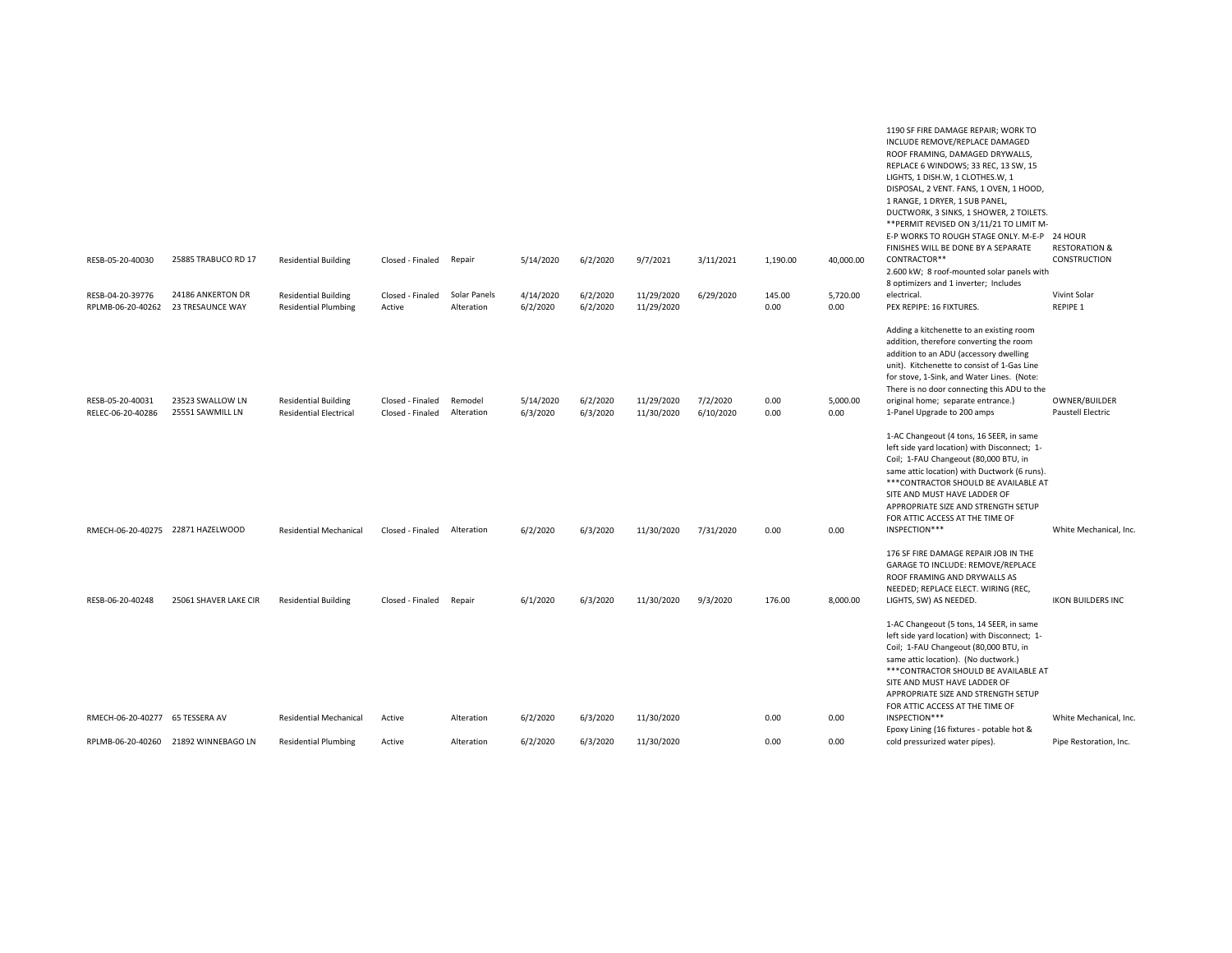|                                       |                                              |                                                              |                                      |                            |                       |                      |                          |                       |                |                  | REPLACE 6 WINDOWS; 33 REC, 13 SW, 15<br>LIGHTS, 1 DISH.W, 1 CLOTHES.W, 1<br>DISPOSAL, 2 VENT. FANS, 1 OVEN, 1 HOOD,<br>1 RANGE, 1 DRYER, 1 SUB PANEL,<br>DUCTWORK, 3 SINKS, 1 SHOWER, 2 TOILETS.<br>** PERMIT REVISED ON 3/11/21 TO LIMIT M-<br>E-P WORKS TO ROUGH STAGE ONLY. M-E-P 24 HOUR                                                          |                                           |
|---------------------------------------|----------------------------------------------|--------------------------------------------------------------|--------------------------------------|----------------------------|-----------------------|----------------------|--------------------------|-----------------------|----------------|------------------|-------------------------------------------------------------------------------------------------------------------------------------------------------------------------------------------------------------------------------------------------------------------------------------------------------------------------------------------------------|-------------------------------------------|
| RESB-05-20-40030                      | 25885 TRABUCO RD 17                          | <b>Residential Building</b>                                  | Closed - Finaled                     | Repair                     | 5/14/2020             | 6/2/2020             | 9/7/2021                 | 3/11/2021             | 1,190.00       | 40,000.00        | FINISHES WILL BE DONE BY A SEPARATE<br>CONTRACTOR**<br>2.600 kW; 8 roof-mounted solar panels with                                                                                                                                                                                                                                                     | <b>RESTORATION &amp;</b><br>CONSTRUCTION  |
| RESB-04-20-39776<br>RPLMB-06-20-40262 | 24186 ANKERTON DR<br><b>23 TRESAUNCE WAY</b> | <b>Residential Building</b><br><b>Residential Plumbing</b>   | Closed - Finaled<br>Active           | Solar Panels<br>Alteration | 4/14/2020<br>6/2/2020 | 6/2/2020<br>6/2/2020 | 11/29/2020<br>11/29/2020 | 6/29/2020             | 145.00<br>0.00 | 5,720.00<br>0.00 | 8 optimizers and 1 inverter; Includes<br>electrical.<br>PEX REPIPE: 16 FIXTURES.                                                                                                                                                                                                                                                                      | Vivint Solar<br><b>REPIPE 1</b>           |
| RESB-05-20-40031<br>RELEC-06-20-40286 | 23523 SWALLOW LN<br>25551 SAWMILL LN         | <b>Residential Building</b><br><b>Residential Electrical</b> | Closed - Finaled<br>Closed - Finaled | Remodel<br>Alteration      | 5/14/2020<br>6/3/2020 | 6/2/2020<br>6/3/2020 | 11/29/2020<br>11/30/2020 | 7/2/2020<br>6/10/2020 | 0.00<br>0.00   | 5,000.00<br>0.00 | Adding a kitchenette to an existing room<br>addition, therefore converting the room<br>addition to an ADU (accessory dwelling<br>unit). Kitchenette to consist of 1-Gas Line<br>for stove, 1-Sink, and Water Lines. (Note:<br>There is no door connecting this ADU to the<br>original home; separate entrance.)<br>1-Panel Upgrade to 200 amps        | OWNER/BUILDER<br><b>Paustell Electric</b> |
| RMECH-06-20-40275 22871 HAZELWOOD     |                                              | <b>Residential Mechanical</b>                                | Closed - Finaled                     | Alteration                 | 6/2/2020              | 6/3/2020             | 11/30/2020               | 7/31/2020             | 0.00           | 0.00             | 1-AC Changeout (4 tons, 16 SEER, in same<br>left side yard location) with Disconnect; 1-<br>Coil; 1-FAU Changeout (80,000 BTU, in<br>same attic location) with Ductwork (6 runs).<br>*** CONTRACTOR SHOULD BE AVAILABLE AT<br>SITE AND MUST HAVE LADDER OF<br>APPROPRIATE SIZE AND STRENGTH SETUP<br>FOR ATTIC ACCESS AT THE TIME OF<br>INSPECTION*** | White Mechanical, Inc                     |
| RESB-06-20-40248                      | 25061 SHAVER LAKE CIR                        | <b>Residential Building</b>                                  | Closed - Finaled                     | Repair                     | 6/1/2020              | 6/3/2020             | 11/30/2020               | 9/3/2020              | 176.00         | 8,000.00         | 176 SF FIRE DAMAGE REPAIR JOB IN THE<br>GARAGE TO INCLUDE: REMOVE/REPLACE<br>ROOF FRAMING AND DRYWALLS AS<br>NEEDED; REPLACE ELECT. WIRING (REC,<br>LIGHTS, SW) AS NEEDED.                                                                                                                                                                            | <b>IKON BUILDERS INC</b>                  |
|                                       |                                              |                                                              |                                      |                            |                       |                      |                          |                       |                |                  | 1-AC Changeout (5 tons, 14 SEER, in same<br>left side yard location) with Disconnect; 1-<br>Coil; 1-FAU Changeout (80,000 BTU, in<br>same attic location). (No ductwork.)<br>*** CONTRACTOR SHOULD BE AVAILABLE AT<br>SITE AND MUST HAVE LADDER OF<br>APPROPRIATE SIZE AND STRENGTH SETUP<br>FOR ATTIC ACCESS AT THE TIME OF                          |                                           |
| RMECH-06-20-40277 65 TESSERA AV       |                                              | <b>Residential Mechanical</b>                                | Active                               | Alteration                 | 6/2/2020              | 6/3/2020             | 11/30/2020               |                       | 0.00           | 0.00             | INSPECTION***<br>Epoxy Lining (16 fixtures - potable hot &                                                                                                                                                                                                                                                                                            | White Mechanical, Inc                     |
| RPLMB-06-20-40260                     | 21892 WINNEBAGO LN                           | <b>Residential Plumbing</b>                                  | Active                               | Alteration                 | 6/2/2020              | 6/3/2020             | 11/30/2020               |                       | 0.00           | 0.00             | cold pressurized water pipes).                                                                                                                                                                                                                                                                                                                        | Pipe Restoration, Inc.                    |

1190 SF FIRE DAMAGE REPAIR; WORK TO INCLUDE REMOVE/REPLACE DAMAGED ROOF FRAMING, DAMAGED DRYWALLS,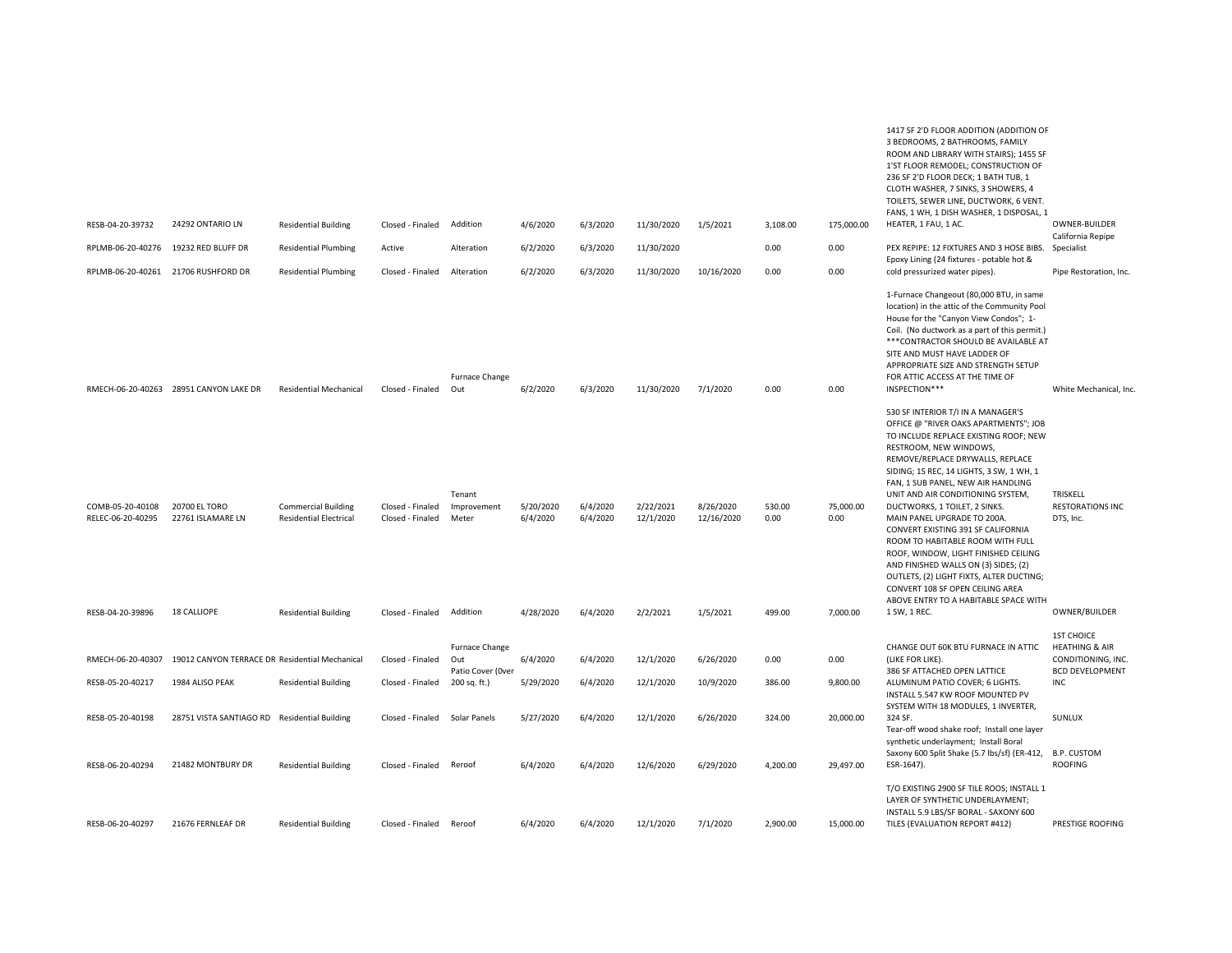| RESB-04-20-39732<br>RPLMB-06-20-40276                     | 24292 ONTARIO LN<br>19232 RED BLUFF DR                            | <b>Residential Building</b><br><b>Residential Plumbing</b>                                 | Closed - Finaled<br>Active                               | Addition<br>Alteration                     | 4/6/2020<br>6/2/2020               | 6/3/2020<br>6/3/2020             | 11/30/2020<br>11/30/2020           | 1/5/2021                            | 3,108.00<br>0.00         | 175,000.00<br>0.00            | 1417 SF 2'D FLOOR ADDITION (ADDITION OF<br>3 BEDROOMS, 2 BATHROOMS, FAMILY<br>ROOM AND LIBRARY WITH STAIRS); 1455 SF<br>1'ST FLOOR REMODEL: CONSTRUCTION OF<br>236 SF 2'D FLOOR DECK; 1 BATH TUB, 1<br>CLOTH WASHER, 7 SINKS, 3 SHOWERS, 4<br>TOILETS, SEWER LINE, DUCTWORK, 6 VENT.<br>FANS, 1 WH, 1 DISH WASHER, 1 DISPOSAL, 1<br>HEATER, 1 FAU, 1 AC.<br>PEX REPIPE: 12 FIXTURES AND 3 HOSE BIBS. Specialist<br>Epoxy Lining (24 fixtures - potable hot &                                                                                                                                                                                                                 | OWNER-BUILDER<br>California Repipe                                   |
|-----------------------------------------------------------|-------------------------------------------------------------------|--------------------------------------------------------------------------------------------|----------------------------------------------------------|--------------------------------------------|------------------------------------|----------------------------------|------------------------------------|-------------------------------------|--------------------------|-------------------------------|------------------------------------------------------------------------------------------------------------------------------------------------------------------------------------------------------------------------------------------------------------------------------------------------------------------------------------------------------------------------------------------------------------------------------------------------------------------------------------------------------------------------------------------------------------------------------------------------------------------------------------------------------------------------------|----------------------------------------------------------------------|
| RPLMB-06-20-40261                                         | 21706 RUSHFORD DR                                                 | <b>Residential Plumbing</b>                                                                | Closed - Finaled                                         | Alteration                                 | 6/2/2020                           | 6/3/2020                         | 11/30/2020                         | 10/16/2020                          | 0.00                     | 0.00                          | cold pressurized water pipes).                                                                                                                                                                                                                                                                                                                                                                                                                                                                                                                                                                                                                                               | Pipe Restoration, Inc.                                               |
|                                                           | RMECH-06-20-40263 28951 CANYON LAKE DR                            | <b>Residential Mechanical</b>                                                              | Closed - Finaled                                         | Furnace Change<br>Out                      | 6/2/2020                           | 6/3/2020                         | 11/30/2020                         | 7/1/2020                            | 0.00                     | 0.00                          | 1-Furnace Changeout (80,000 BTU, in same<br>location) in the attic of the Community Pool<br>House for the "Canyon View Condos"; 1-<br>Coil. (No ductwork as a part of this permit.)<br>*** CONTRACTOR SHOULD BE AVAILABLE AT<br>SITE AND MUST HAVE LADDER OF<br>APPROPRIATE SIZE AND STRENGTH SETUP<br>FOR ATTIC ACCESS AT THE TIME OF<br>INSPECTION***                                                                                                                                                                                                                                                                                                                      | White Mechanical, Inc                                                |
| COMB-05-20-40108<br>RELEC-06-20-40295<br>RESB-04-20-39896 | 20700 EL TORO<br>22761 ISLAMARE LN<br><b>18 CALLIOPE</b>          | <b>Commercial Building</b><br><b>Residential Electrical</b><br><b>Residential Building</b> | Closed - Finaled<br>Closed - Finaled<br>Closed - Finaled | Tenant<br>Improvement<br>Meter<br>Addition | 5/20/2020<br>6/4/2020<br>4/28/2020 | 6/4/2020<br>6/4/2020<br>6/4/2020 | 2/22/2021<br>12/1/2020<br>2/2/2021 | 8/26/2020<br>12/16/2020<br>1/5/2021 | 530.00<br>0.00<br>499.00 | 75,000.00<br>0.00<br>7,000.00 | 530 SF INTERIOR T/I IN A MANAGER'S<br>OFFICE @ "RIVER OAKS APARTMENTS"; JOB<br>TO INCLUDE REPLACE EXISTING ROOF; NEW<br>RESTROOM, NEW WINDOWS,<br>REMOVE/REPLACE DRYWALLS, REPLACE<br>SIDING; 15 REC, 14 LIGHTS, 3 SW, 1 WH, 1<br>FAN, 1 SUB PANEL, NEW AIR HANDLING<br>UNIT AND AIR CONDITIONING SYSTEM,<br>DUCTWORKS, 1 TOILET, 2 SINKS.<br>MAIN PANEL UPGRADE TO 200A.<br>CONVERT EXISTING 391 SF CALIFORNIA<br>ROOM TO HABITABLE ROOM WITH FULL<br>ROOF, WINDOW, LIGHT FINISHED CEILING<br>AND FINISHED WALLS ON (3) SIDES; (2)<br>OUTLETS, (2) LIGHT FIXTS, ALTER DUCTING;<br>CONVERT 108 SF OPEN CEILING AREA<br>ABOVE ENTRY TO A HABITABLE SPACE WITH<br>1 SW, 1 REC. | TRISKELL<br><b>RESTORATIONS INC</b><br>DTS, Inc.<br>OWNER/BUILDER    |
| RMECH-06-20-40307                                         | 19012 CANYON TERRACE DR Residential Mechanical                    |                                                                                            | Closed - Finaled                                         | Furnace Change<br>Out                      | 6/4/2020                           | 6/4/2020                         | 12/1/2020                          | 6/26/2020                           | 0.00                     | 0.00                          | CHANGE OUT 60K BTU FURNACE IN ATTIC<br>(LIKE FOR LIKE).                                                                                                                                                                                                                                                                                                                                                                                                                                                                                                                                                                                                                      | <b>1ST CHOICE</b><br><b>HEATHING &amp; AIR</b><br>CONDITIONING, INC. |
| RESB-05-20-40217                                          | 1984 ALISO PEAK                                                   | <b>Residential Building</b>                                                                | Closed - Finaled                                         | Patio Cover (Over<br>200 sq. ft.)          | 5/29/2020                          | 6/4/2020                         | 12/1/2020                          | 10/9/2020                           | 386.00                   | 9,800.00                      | 386 SF ATTACHED OPEN LATTICE<br>ALUMINUM PATIO COVER; 6 LIGHTS.                                                                                                                                                                                                                                                                                                                                                                                                                                                                                                                                                                                                              | <b>BCD DEVELOPMENT</b><br>INC                                        |
| RESB-05-20-40198<br>RESB-06-20-40294                      | 28751 VISTA SANTIAGO RD Residential Building<br>21482 MONTBURY DR | <b>Residential Building</b>                                                                | Closed - Finaled<br>Closed - Finaled                     | Solar Panels<br>Reroof                     | 5/27/2020<br>6/4/2020              | 6/4/2020<br>6/4/2020             | 12/1/2020<br>12/6/2020             | 6/26/2020<br>6/29/2020              | 324.00<br>4,200.00       | 20,000.00<br>29,497.00        | INSTALL 5.547 KW ROOF MOUNTED PV<br>SYSTEM WITH 18 MODULES, 1 INVERTER,<br>324 SF.<br>Tear-off wood shake roof; Install one layer<br>synthetic underlayment; Install Boral<br>Saxony 600 Split Shake (5.7 lbs/sf) (ER-412, B.P. CUSTOM<br>ESR-1647).                                                                                                                                                                                                                                                                                                                                                                                                                         | SUNLUX<br><b>ROOFING</b>                                             |
| RESB-06-20-40297                                          | 21676 FERNLEAF DR                                                 | <b>Residential Building</b>                                                                | Closed - Finaled                                         | Reroof                                     | 6/4/2020                           | 6/4/2020                         | 12/1/2020                          | 7/1/2020                            | 2,900.00                 | 15,000.00                     | T/O EXISTING 2900 SF TILE ROOS; INSTALL 1<br>LAYER OF SYNTHETIC UNDERLAYMENT;<br>INSTALL 5.9 LBS/SF BORAL - SAXONY 600<br>TILES (EVALUATION REPORT #412)                                                                                                                                                                                                                                                                                                                                                                                                                                                                                                                     | PRESTIGE ROOFING                                                     |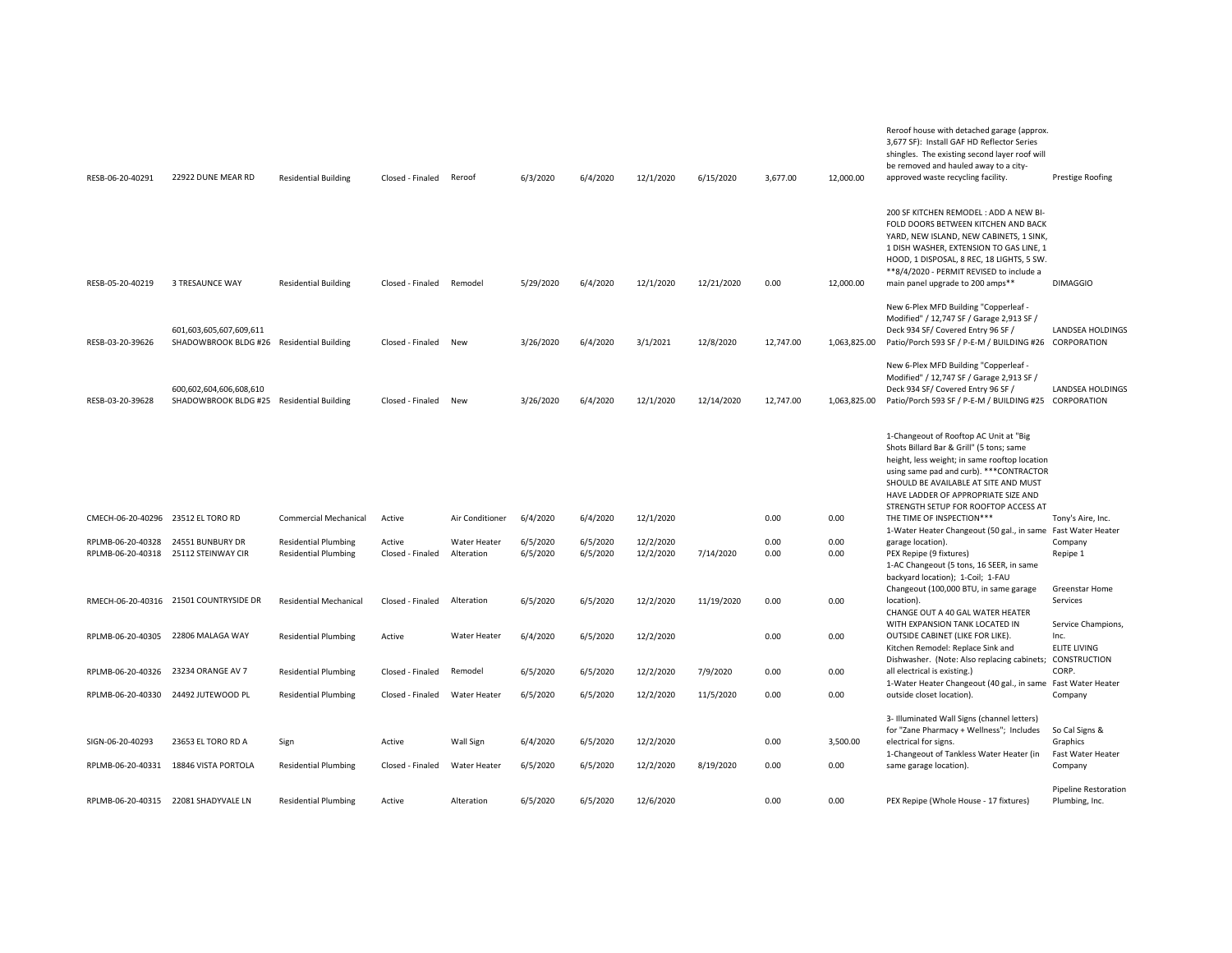| RESB-06-20-40291                                          | 22922 DUNE MEAR RD                                                   | <b>Residential Building</b>                                | Closed - Finaled           | Reroof                     | 6/3/2020             | 6/4/2020             | 12/1/2020              | 6/15/2020  | 3,677.00     | 12,000.00    | shingles. The existing second layer roof will<br>be removed and hauled away to a city-<br>approved waste recycling facility.                                                                                                                                                                           | Prestige Roofing                                  |
|-----------------------------------------------------------|----------------------------------------------------------------------|------------------------------------------------------------|----------------------------|----------------------------|----------------------|----------------------|------------------------|------------|--------------|--------------|--------------------------------------------------------------------------------------------------------------------------------------------------------------------------------------------------------------------------------------------------------------------------------------------------------|---------------------------------------------------|
| RESB-05-20-40219                                          | 3 TRESAUNCE WAY                                                      | <b>Residential Building</b>                                | Closed - Finaled           | Remodel                    | 5/29/2020            | 6/4/2020             | 12/1/2020              | 12/21/2020 | 0.00         | 12,000.00    | 200 SF KITCHEN REMODEL: ADD A NEW BI-<br>FOLD DOORS BETWEEN KITCHEN AND BACK<br>YARD, NEW ISLAND, NEW CABINETS, 1 SINK,<br>1 DISH WASHER, EXTENSION TO GAS LINE, 1<br>HOOD, 1 DISPOSAL, 8 REC, 18 LIGHTS, 5 SW.<br>**8/4/2020 - PERMIT REVISED to include a<br>main panel upgrade to 200 amps**        | <b>DIMAGGIO</b>                                   |
|                                                           |                                                                      |                                                            |                            |                            |                      |                      |                        |            |              |              | New 6-Plex MFD Building "Copperleaf -                                                                                                                                                                                                                                                                  |                                                   |
| RESB-03-20-39626                                          | 601,603,605,607,609,611<br>SHADOWBROOK BLDG #26 Residential Building |                                                            | Closed - Finaled           | New                        | 3/26/2020            | 6/4/2020             | 3/1/2021               | 12/8/2020  | 12,747.00    | 1,063,825.00 | Modified" / 12,747 SF / Garage 2,913 SF /<br>Deck 934 SF/ Covered Entry 96 SF /<br>Patio/Porch 593 SF / P-E-M / BUILDING #26 CORPORATION                                                                                                                                                               | LANDSEA HOLDINGS                                  |
| RESB-03-20-39628                                          | 600,602,604,606,608,610<br>SHADOWBROOK BLDG #25 Residential Building |                                                            | Closed - Finaled           | New                        | 3/26/2020            | 6/4/2020             | 12/1/2020              | 12/14/2020 | 12,747.00    | 1,063,825.00 | New 6-Plex MFD Building "Copperleaf -<br>Modified" / 12,747 SF / Garage 2,913 SF /<br>Deck 934 SF/ Covered Entry 96 SF /<br>Patio/Porch 593 SF / P-E-M / BUILDING #25 CORPORATION                                                                                                                      | LANDSEA HOLDINGS                                  |
|                                                           |                                                                      |                                                            |                            |                            |                      |                      |                        |            |              |              | 1-Changeout of Rooftop AC Unit at "Big<br>Shots Billard Bar & Grill" (5 tons; same<br>height, less weight; in same rooftop location<br>using same pad and curb). *** CONTRACTOR<br>SHOULD BE AVAILABLE AT SITE AND MUST<br>HAVE LADDER OF APPROPRIATE SIZE AND<br>STRENGTH SETUP FOR ROOFTOP ACCESS AT |                                                   |
| CMECH-06-20-40296 23512 EL TORO RD                        |                                                                      | <b>Commercial Mechanical</b>                               | Active                     | Air Conditioner            | 6/4/2020             | 6/4/2020             | 12/1/2020              |            | 0.00         | 0.00         | THE TIME OF INSPECTION***<br>1-Water Heater Changeout (50 gal., in same Fast Water Heater                                                                                                                                                                                                              | Tony's Aire, Inc.                                 |
| RPLMB-06-20-40328<br>RPLMB-06-20-40318 25112 STEINWAY CIR | 24551 BUNBURY DR                                                     | <b>Residential Plumbing</b><br><b>Residential Plumbing</b> | Active<br>Closed - Finaled | Water Heater<br>Alteration | 6/5/2020<br>6/5/2020 | 6/5/2020<br>6/5/2020 | 12/2/2020<br>12/2/2020 | 7/14/2020  | 0.00<br>0.00 | 0.00<br>0.00 | garage location).<br>PEX Repipe (9 fixtures)                                                                                                                                                                                                                                                           | Company<br>Repipe 1                               |
|                                                           |                                                                      |                                                            |                            |                            |                      |                      |                        |            |              |              | 1-AC Changeout (5 tons, 16 SEER, in same<br>backyard location); 1-Coil; 1-FAU                                                                                                                                                                                                                          |                                                   |
|                                                           | RMECH-06-20-40316 21501 COUNTRYSIDE DR                               | <b>Residential Mechanical</b>                              | Closed - Finaled           | Alteration                 | 6/5/2020             | 6/5/2020             | 12/2/2020              | 11/19/2020 | 0.00         | 0.00         | Changeout (100,000 BTU, in same garage<br>location).<br>CHANGE OUT A 40 GAL WATER HEATER                                                                                                                                                                                                               | Greenstar Home<br>Services                        |
| RPLMB-06-20-40305                                         | 22806 MALAGA WAY                                                     | <b>Residential Plumbing</b>                                | Active                     | Water Heater               | 6/4/2020             | 6/5/2020             | 12/2/2020              |            | 0.00         | 0.00         | WITH EXPANSION TANK LOCATED IN<br>OUTSIDE CABINET (LIKE FOR LIKE).<br>Kitchen Remodel: Replace Sink and                                                                                                                                                                                                | Service Champions,<br>Inc.<br><b>ELITE LIVING</b> |
| RPLMB-06-20-40326 23234 ORANGE AV 7                       |                                                                      | <b>Residential Plumbing</b>                                | Closed - Finaled           | Remodel                    | 6/5/2020             | 6/5/2020             | 12/2/2020              | 7/9/2020   | 0.00         | 0.00         | Dishwasher. (Note: Also replacing cabinets;<br>all electrical is existing.)                                                                                                                                                                                                                            | CONSTRUCTION<br>CORP.                             |
| RPLMB-06-20-40330 24492 JUTEWOOD PL                       |                                                                      | <b>Residential Plumbing</b>                                | Closed - Finaled           | Water Heater               | 6/5/2020             | 6/5/2020             | 12/2/2020              | 11/5/2020  | 0.00         | 0.00         | 1-Water Heater Changeout (40 gal., in same Fast Water Heater<br>outside closet location).                                                                                                                                                                                                              | Company                                           |
| SIGN-06-20-40293                                          | 23653 EL TORO RD A                                                   | Sign                                                       | Active                     | Wall Sign                  | 6/4/2020             | 6/5/2020             | 12/2/2020              |            | 0.00         | 3,500.00     | 3- Illuminated Wall Signs (channel letters)<br>for "Zane Pharmacy + Wellness"; Includes<br>electrical for signs.                                                                                                                                                                                       | So Cal Signs &<br>Graphics                        |
| RPLMB-06-20-40331                                         | 18846 VISTA PORTOLA                                                  | <b>Residential Plumbing</b>                                | Closed - Finaled           | Water Heater               | 6/5/2020             | 6/5/2020             | 12/2/2020              | 8/19/2020  | 0.00         | 0.00         | 1-Changeout of Tankless Water Heater (in<br>same garage location).                                                                                                                                                                                                                                     | Fast Water Heater<br>Company                      |
|                                                           |                                                                      |                                                            |                            |                            |                      |                      |                        |            |              |              |                                                                                                                                                                                                                                                                                                        | Pipeline Restoration                              |
| RPLMB-06-20-40315                                         | 22081 SHADYVALE LN                                                   | <b>Residential Plumbing</b>                                | Active                     | Alteration                 | 6/5/2020             | 6/5/2020             | 12/6/2020              |            | 0.00         | 0.00         | PEX Repipe (Whole House - 17 fixtures)                                                                                                                                                                                                                                                                 | Plumbing, Inc.                                    |

Reroof house with detached garage (approx. 3,677 SF): Install GAF HD Reflector Series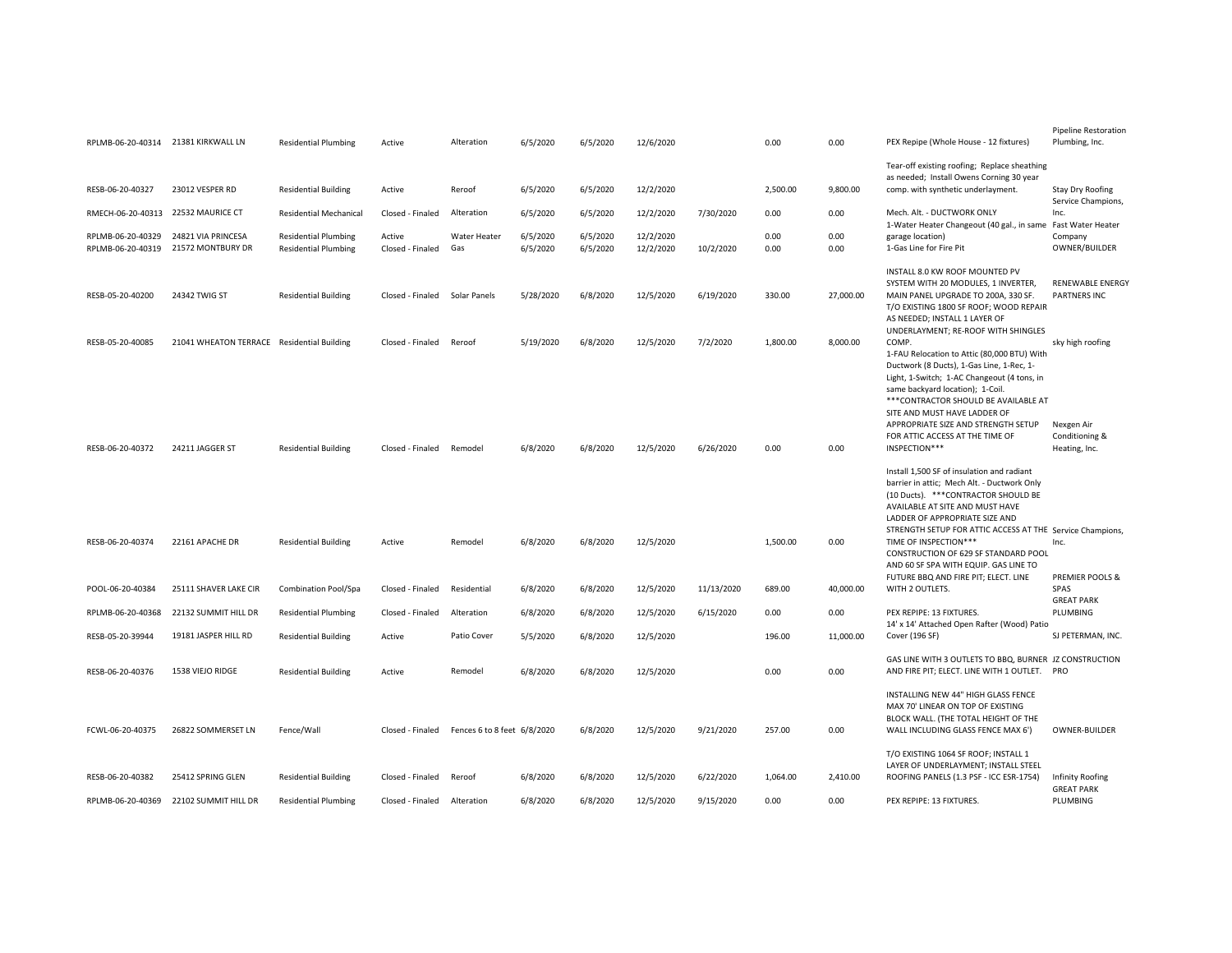|                                        | RPLMB-06-20-40314 21381 KIRKWALL LN           | <b>Residential Plumbing</b>                                | Active                     | Alteration                  | 6/5/2020             | 6/5/2020             | 12/6/2020              |            | 0.00           | 0.00              | PEX Repipe (Whole House - 12 fixtures)                                                                                                                                                                                                                                                                                               | Pipeline Restoration<br>Plumbing, Inc.         |
|----------------------------------------|-----------------------------------------------|------------------------------------------------------------|----------------------------|-----------------------------|----------------------|----------------------|------------------------|------------|----------------|-------------------|--------------------------------------------------------------------------------------------------------------------------------------------------------------------------------------------------------------------------------------------------------------------------------------------------------------------------------------|------------------------------------------------|
| RESB-06-20-40327                       | 23012 VESPER RD                               | <b>Residential Building</b>                                | Active                     | Reroof                      | 6/5/2020             | 6/5/2020             | 12/2/2020              |            | 2,500.00       | 9,800.00          | Tear-off existing roofing; Replace sheathing<br>as needed; Install Owens Corning 30 year<br>comp. with synthetic underlayment.                                                                                                                                                                                                       | Stay Dry Roofing                               |
| RMECH-06-20-40313                      | 22532 MAURICE CT                              | <b>Residential Mechanical</b>                              | Closed - Finaled           | Alteration                  | 6/5/2020             | 6/5/2020             | 12/2/2020              | 7/30/2020  | 0.00           | 0.00              | Mech. Alt. - DUCTWORK ONLY                                                                                                                                                                                                                                                                                                           | Service Champions,<br>Inc.                     |
| RPLMB-06-20-40329<br>RPLMB-06-20-40319 | 24821 VIA PRINCESA<br>21572 MONTBURY DR       | <b>Residential Plumbing</b><br><b>Residential Plumbing</b> | Active<br>Closed - Finaled | <b>Water Heater</b><br>Gas  | 6/5/2020<br>6/5/2020 | 6/5/2020<br>6/5/2020 | 12/2/2020<br>12/2/2020 | 10/2/2020  | 0.00<br>0.00   | 0.00<br>0.00      | 1-Water Heater Changeout (40 gal., in same Fast Water Heater<br>garage location)<br>1-Gas Line for Fire Pit                                                                                                                                                                                                                          | Company<br>OWNER/BUILDER                       |
| RESB-05-20-40200                       | 24342 TWIG ST                                 | <b>Residential Building</b>                                | Closed - Finaled           | Solar Panels                | 5/28/2020            | 6/8/2020             | 12/5/2020              | 6/19/2020  | 330.00         | 27,000.00         | INSTALL 8.0 KW ROOF MOUNTED PV<br>SYSTEM WITH 20 MODULES, 1 INVERTER.<br>MAIN PANEL UPGRADE TO 200A, 330 SF.<br>T/O EXISTING 1800 SF ROOF; WOOD REPAIR<br>AS NEEDED; INSTALL 1 LAYER OF<br>UNDERLAYMENT; RE-ROOF WITH SHINGLES                                                                                                       | <b>RENEWABLE ENERGY</b><br><b>PARTNERS INC</b> |
| RESB-05-20-40085                       | 21041 WHEATON TERRACE Residential Building    |                                                            | Closed - Finaled           | Reroof                      | 5/19/2020            | 6/8/2020             | 12/5/2020              | 7/2/2020   | 1,800.00       | 8,000.00          | COMP.<br>1-FAU Relocation to Attic (80,000 BTU) With<br>Ductwork (8 Ducts), 1-Gas Line, 1-Rec, 1-<br>Light, 1-Switch; 1-AC Changeout (4 tons, in<br>same backyard location); 1-Coil.<br>*** CONTRACTOR SHOULD BE AVAILABLE AT                                                                                                        | sky high roofing                               |
| RESB-06-20-40372                       | 24211 JAGGER ST                               | <b>Residential Building</b>                                | Closed - Finaled           | Remodel                     | 6/8/2020             | 6/8/2020             | 12/5/2020              | 6/26/2020  | 0.00           | 0.00              | SITE AND MUST HAVE LADDER OF<br>APPROPRIATE SIZE AND STRENGTH SETUP<br>FOR ATTIC ACCESS AT THE TIME OF<br>INSPECTION***                                                                                                                                                                                                              | Nexgen Air<br>Conditioning &<br>Heating, Inc.  |
| RESB-06-20-40374                       | 22161 APACHE DR                               | <b>Residential Building</b>                                | Active                     | Remodel                     | 6/8/2020             | 6/8/2020             | 12/5/2020              |            | 1,500.00       | 0.00              | Install 1,500 SF of insulation and radiant<br>barrier in attic; Mech Alt. - Ductwork Only<br>(10 Ducts). *** CONTRACTOR SHOULD BE<br>AVAILABLE AT SITE AND MUST HAVE<br>LADDER OF APPROPRIATE SIZE AND<br>STRENGTH SETUP FOR ATTIC ACCESS AT THE Service Champions,<br>TIME OF INSPECTION***<br>CONSTRUCTION OF 629 SF STANDARD POOL | Inc.                                           |
|                                        |                                               |                                                            |                            |                             |                      |                      |                        |            |                |                   | AND 60 SF SPA WITH EQUIP. GAS LINE TO<br>FUTURE BBQ AND FIRE PIT; ELECT. LINE                                                                                                                                                                                                                                                        | PREMIER POOLS &                                |
| POOL-06-20-40384<br>RPLMB-06-20-40368  | 25111 SHAVER LAKE CIR<br>22132 SUMMIT HILL DR | Combination Pool/Spa                                       | Closed - Finaled           | Residential                 | 6/8/2020             | 6/8/2020             | 12/5/2020              | 11/13/2020 | 689.00<br>0.00 | 40,000.00<br>0.00 | WITH 2 OUTLETS.<br>PEX REPIPE: 13 FIXTURES.                                                                                                                                                                                                                                                                                          | SPAS<br><b>GREAT PARK</b><br>PLUMBING          |
|                                        |                                               | <b>Residential Plumbing</b>                                | Closed - Finaled           | Alteration                  | 6/8/2020             | 6/8/2020             | 12/5/2020              | 6/15/2020  |                |                   | 14' x 14' Attached Open Rafter (Wood) Patio                                                                                                                                                                                                                                                                                          |                                                |
| RESB-05-20-39944                       | 19181 JASPER HILL RD                          | <b>Residential Building</b>                                | Active                     | Patio Cover                 | 5/5/2020             | 6/8/2020             | 12/5/2020              |            | 196.00         | 11,000.00         | Cover (196 SF)                                                                                                                                                                                                                                                                                                                       | SJ PETERMAN, INC.                              |
| RESB-06-20-40376                       | 1538 VIEJO RIDGE                              | <b>Residential Building</b>                                | Active                     | Remodel                     | 6/8/2020             | 6/8/2020             | 12/5/2020              |            | 0.00           | 0.00              | GAS LINE WITH 3 OUTLETS TO BBQ, BURNER JZ CONSTRUCTION<br>AND FIRE PIT; ELECT. LINE WITH 1 OUTLET. PRO                                                                                                                                                                                                                               |                                                |
| FCWL-06-20-40375                       | 26822 SOMMERSET LN                            | Fence/Wall                                                 | Closed - Finaled           | Fences 6 to 8 feet 6/8/2020 |                      | 6/8/2020             | 12/5/2020              | 9/21/2020  | 257.00         | 0.00              | INSTALLING NEW 44" HIGH GLASS FENCE<br>MAX 70' LINEAR ON TOP OF EXISTING<br>BLOCK WALL. (THE TOTAL HEIGHT OF THE<br>WALL INCLUDING GLASS FENCE MAX 6')                                                                                                                                                                               | OWNER-BUILDER                                  |
| RESB-06-20-40382                       | 25412 SPRING GLEN                             | <b>Residential Building</b>                                | Closed - Finaled           | Reroof                      | 6/8/2020             | 6/8/2020             | 12/5/2020              | 6/22/2020  | 1,064.00       | 2,410.00          | T/O EXISTING 1064 SF ROOF; INSTALL 1<br>LAYER OF UNDERLAYMENT; INSTALL STEEL<br>ROOFING PANELS (1.3 PSF - ICC ESR-1754)                                                                                                                                                                                                              | Infinity Roofing<br><b>GREAT PARK</b>          |
| RPLMB-06-20-40369                      | 22102 SUMMIT HILL DR                          | <b>Residential Plumbing</b>                                | Closed - Finaled           | Alteration                  | 6/8/2020             | 6/8/2020             | 12/5/2020              | 9/15/2020  | 0.00           | 0.00              | PEX REPIPE: 13 FIXTURES.                                                                                                                                                                                                                                                                                                             | PLUMBING                                       |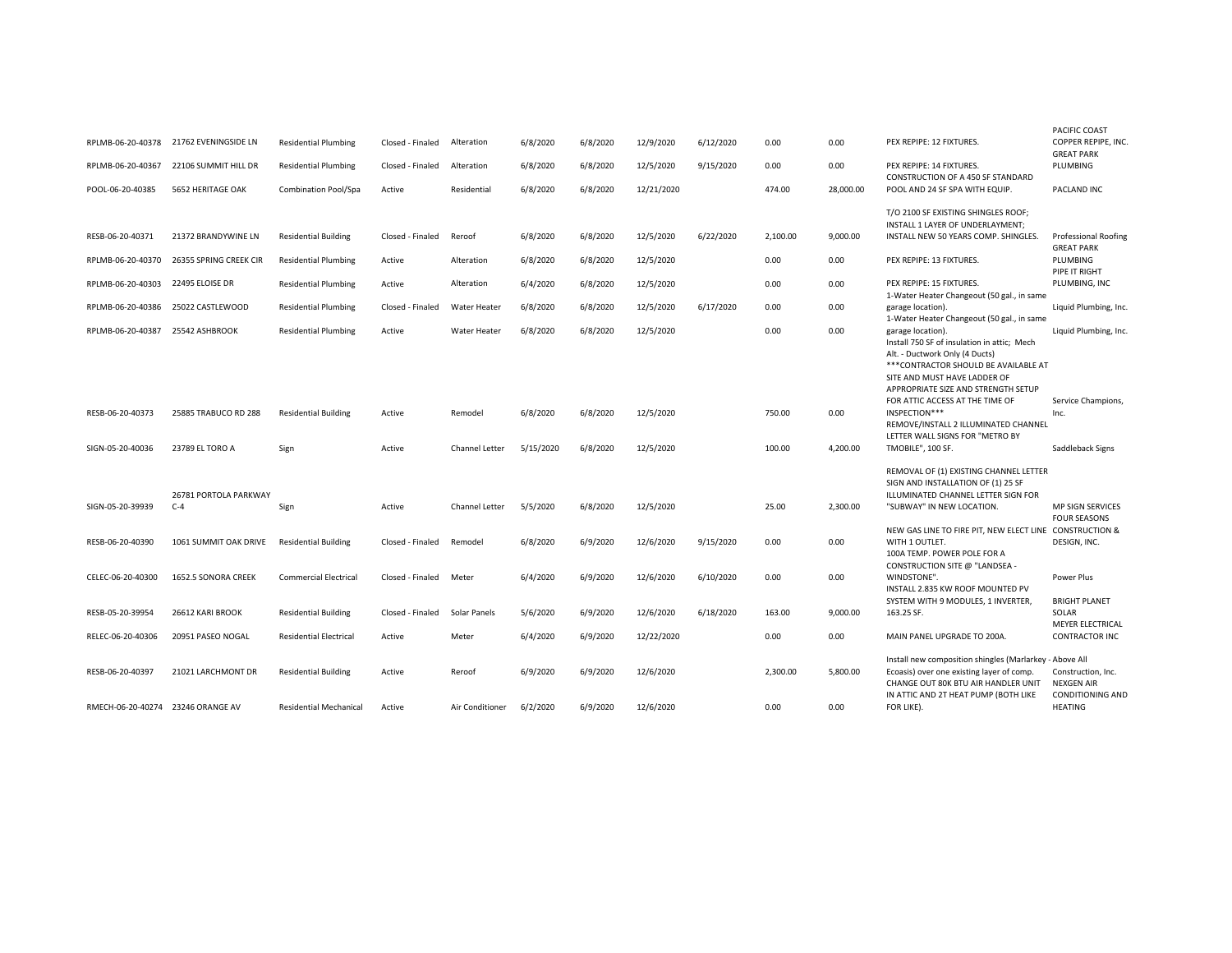| RPLMB-06-20-40378                 | 21762 EVENINGSIDE LN           | <b>Residential Plumbing</b>   | Closed - Finaled | Alteration          | 6/8/2020  | 6/8/2020 | 12/9/2020  | 6/12/2020 | 0.00     | 0.00      | PEX REPIPE: 12 FIXTURES.                                                                                                                                                                                           | <b>PACIFIC COAST</b><br>COPPER REPIPE, INC.<br><b>GREAT PARK</b> |
|-----------------------------------|--------------------------------|-------------------------------|------------------|---------------------|-----------|----------|------------|-----------|----------|-----------|--------------------------------------------------------------------------------------------------------------------------------------------------------------------------------------------------------------------|------------------------------------------------------------------|
| RPLMB-06-20-40367                 | 22106 SUMMIT HILL DR           | <b>Residential Plumbing</b>   | Closed - Finaled | Alteration          | 6/8/2020  | 6/8/2020 | 12/5/2020  | 9/15/2020 | 0.00     | 0.00      | PEX REPIPE: 14 FIXTURES.                                                                                                                                                                                           | PLUMBING                                                         |
| POOL-06-20-40385                  | 5652 HERITAGE OAK              | Combination Pool/Spa          | Active           | Residential         | 6/8/2020  | 6/8/2020 | 12/21/2020 |           | 474.00   | 28,000.00 | <b>CONSTRUCTION OF A 450 SF STANDARD</b><br>POOL AND 24 SF SPA WITH EQUIP.                                                                                                                                         | PACLAND INC                                                      |
|                                   |                                |                               |                  |                     |           |          |            |           |          |           | T/O 2100 SF EXISTING SHINGLES ROOF;<br>INSTALL 1 LAYER OF UNDERLAYMENT;                                                                                                                                            |                                                                  |
| RESB-06-20-40371                  | 21372 BRANDYWINE LN            | <b>Residential Building</b>   | Closed - Finaled | Reroof              | 6/8/2020  | 6/8/2020 | 12/5/2020  | 6/22/2020 | 2,100.00 | 9,000.00  | INSTALL NEW 50 YEARS COMP. SHINGLES.                                                                                                                                                                               | <b>Professional Roofing</b><br><b>GREAT PARK</b>                 |
| RPLMB-06-20-40370                 | 26355 SPRING CREEK CIR         | <b>Residential Plumbing</b>   | Active           | Alteration          | 6/8/2020  | 6/8/2020 | 12/5/2020  |           | 0.00     | 0.00      | PEX REPIPE: 13 FIXTURES.                                                                                                                                                                                           | PLUMBING<br>PIPE IT RIGHT                                        |
| RPLMB-06-20-40303                 | 22495 ELOISE DR                | <b>Residential Plumbing</b>   | Active           | Alteration          | 6/4/2020  | 6/8/2020 | 12/5/2020  |           | 0.00     | 0.00      | PEX REPIPE: 15 FIXTURES.                                                                                                                                                                                           | PLUMBING, INC                                                    |
| RPLMB-06-20-40386                 | 25022 CASTLEWOOD               | <b>Residential Plumbing</b>   | Closed - Finaled | <b>Water Heater</b> | 6/8/2020  | 6/8/2020 | 12/5/2020  | 6/17/2020 | 0.00     | 0.00      | 1-Water Heater Changeout (50 gal., in same<br>garage location).                                                                                                                                                    | Liquid Plumbing, Inc.                                            |
|                                   |                                |                               |                  |                     |           |          |            |           |          |           | 1-Water Heater Changeout (50 gal., in same                                                                                                                                                                         |                                                                  |
| RPLMB-06-20-40387                 | 25542 ASHBROOK                 | <b>Residential Plumbing</b>   | Active           | Water Heater        | 6/8/2020  | 6/8/2020 | 12/5/2020  |           | 0.00     | 0.00      | garage location).<br>Install 750 SF of insulation in attic; Mech<br>Alt. - Ductwork Only (4 Ducts)<br>*** CONTRACTOR SHOULD BE AVAILABLE AT<br>SITE AND MUST HAVE LADDER OF<br>APPROPRIATE SIZE AND STRENGTH SETUP | Liquid Plumbing, Inc.                                            |
|                                   |                                |                               |                  |                     |           |          |            |           |          |           | FOR ATTIC ACCESS AT THE TIME OF                                                                                                                                                                                    | Service Champions,                                               |
| RESB-06-20-40373                  | 25885 TRABUCO RD 288           | <b>Residential Building</b>   | Active           | Remodel             | 6/8/2020  | 6/8/2020 | 12/5/2020  |           | 750.00   | 0.00      | INSPECTION***<br>REMOVE/INSTALL 2 ILLUMINATED CHANNEL                                                                                                                                                              | Inc.                                                             |
| SIGN-05-20-40036                  | 23789 EL TORO A                | Sign                          | Active           | Channel Letter      | 5/15/2020 | 6/8/2020 | 12/5/2020  |           | 100.00   | 4,200.00  | LETTER WALL SIGNS FOR "METRO BY<br>TMOBILE", 100 SF.                                                                                                                                                               | Saddleback Signs                                                 |
|                                   |                                |                               |                  |                     |           |          |            |           |          |           | REMOVAL OF (1) EXISTING CHANNEL LETTER<br>SIGN AND INSTALLATION OF (1) 25 SF                                                                                                                                       |                                                                  |
| SIGN-05-20-39939                  | 26781 PORTOLA PARKWAY<br>$C-4$ | Sign                          | Active           | Channel Letter      | 5/5/2020  | 6/8/2020 | 12/5/2020  |           | 25.00    | 2,300.00  | ILLUMINATED CHANNEL LETTER SIGN FOR<br>"SUBWAY" IN NEW LOCATION.                                                                                                                                                   | <b>MP SIGN SERVICES</b><br><b>FOUR SEASONS</b>                   |
| RESB-06-20-40390                  | 1061 SUMMIT OAK DRIVE          | <b>Residential Building</b>   | Closed - Finaled | Remodel             | 6/8/2020  | 6/9/2020 | 12/6/2020  | 9/15/2020 | 0.00     | 0.00      | NEW GAS LINE TO FIRE PIT, NEW ELECT LINE CONSTRUCTION &<br>WITH 1 OUTLET.<br>100A TEMP. POWER POLE FOR A                                                                                                           | DESIGN, INC.                                                     |
| CELEC-06-20-40300                 | 1652.5 SONORA CREEK            | <b>Commercial Electrical</b>  | Closed - Finaled | Meter               | 6/4/2020  | 6/9/2020 | 12/6/2020  | 6/10/2020 | 0.00     | 0.00      | CONSTRUCTION SITE @ "LANDSEA -<br>WINDSTONE".<br>INSTALL 2.835 KW ROOF MOUNTED PV                                                                                                                                  | Power Plus                                                       |
| RESB-05-20-39954                  | 26612 KARI BROOK               | <b>Residential Building</b>   | Closed - Finaled | Solar Panels        | 5/6/2020  | 6/9/2020 | 12/6/2020  | 6/18/2020 | 163.00   | 9,000.00  | SYSTEM WITH 9 MODULES, 1 INVERTER,<br>163.25 SF.                                                                                                                                                                   | <b>BRIGHT PLANET</b><br>SOLAR<br><b>MEYER ELECTRICAL</b>         |
| RELEC-06-20-40306                 | 20951 PASEO NOGAL              | <b>Residential Electrical</b> | Active           | Meter               | 6/4/2020  | 6/9/2020 | 12/22/2020 |           | 0.00     | 0.00      | MAIN PANEL UPGRADE TO 200A.                                                                                                                                                                                        | <b>CONTRACTOR INC</b>                                            |
| RESB-06-20-40397                  | 21021 LARCHMONT DR             | <b>Residential Building</b>   | Active           | Reroof              | 6/9/2020  | 6/9/2020 | 12/6/2020  |           | 2,300.00 | 5,800.00  | Install new composition shingles (Marlarkey - Above All<br>Ecoasis) over one existing layer of comp.                                                                                                               | Construction, Inc.                                               |
| RMECH-06-20-40274 23246 ORANGE AV |                                | <b>Residential Mechanical</b> | Active           | Air Conditioner     | 6/2/2020  | 6/9/2020 | 12/6/2020  |           | 0.00     | 0.00      | CHANGE OUT 80K BTU AIR HANDLER UNIT<br>IN ATTIC AND 2T HEAT PUMP (BOTH LIKE<br>FOR LIKE).                                                                                                                          | <b>NEXGEN AIR</b><br><b>CONDITIONING AND</b><br><b>HEATING</b>   |
|                                   |                                |                               |                  |                     |           |          |            |           |          |           |                                                                                                                                                                                                                    |                                                                  |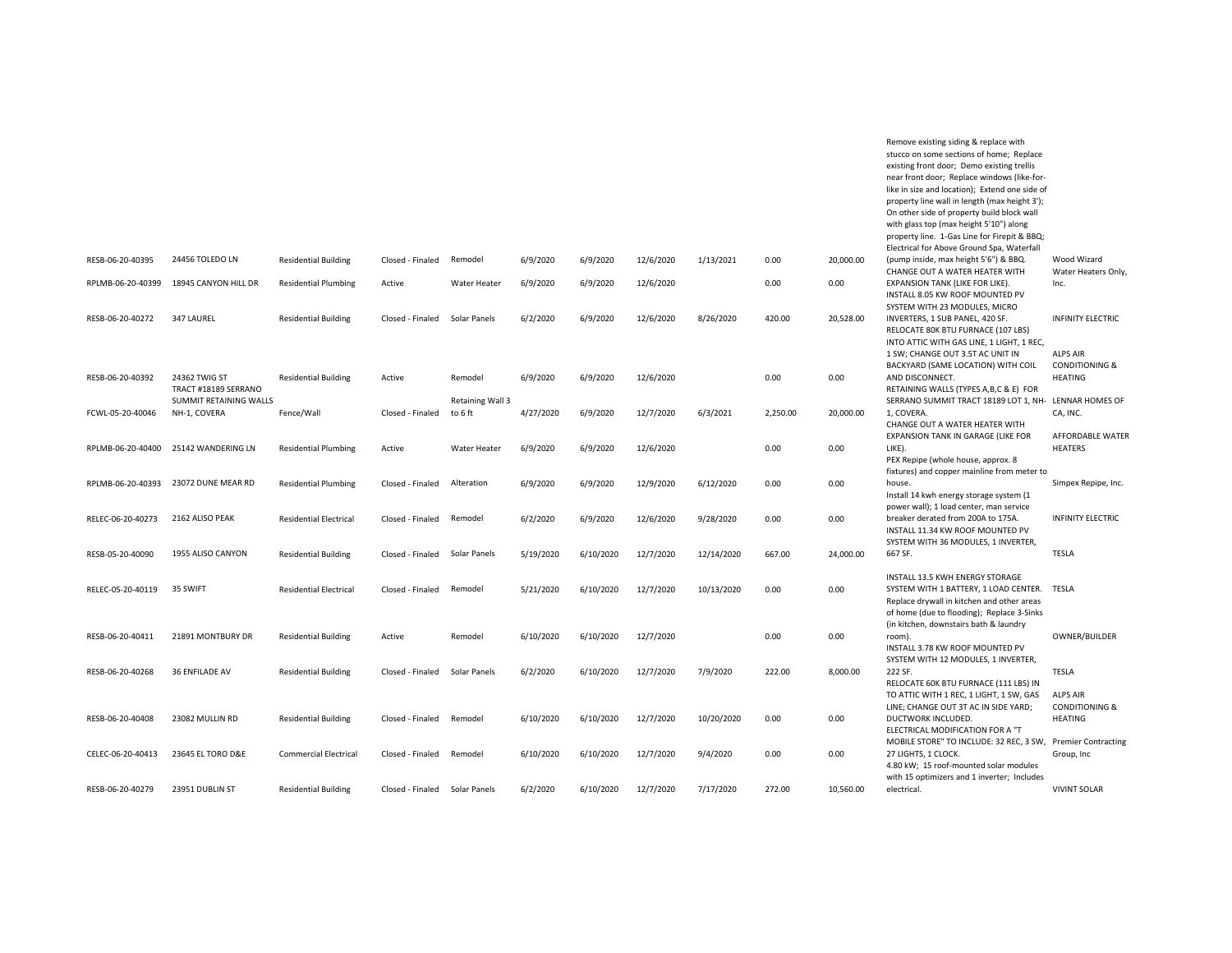|                   |                                        |                               |                  |                             |           |           |           |            |          |           | Remove existing siding & replace with<br>stucco on some sections of home; Replace<br>existing front door; Demo existing trellis<br>near front door; Replace windows (like-for-<br>like in size and location); Extend one side of<br>property line wall in length (max height 3');<br>On other side of property build block wall<br>with glass top (max height 5'10") along<br>property line. 1-Gas Line for Firepit & BBQ; |                                                                |
|-------------------|----------------------------------------|-------------------------------|------------------|-----------------------------|-----------|-----------|-----------|------------|----------|-----------|----------------------------------------------------------------------------------------------------------------------------------------------------------------------------------------------------------------------------------------------------------------------------------------------------------------------------------------------------------------------------------------------------------------------------|----------------------------------------------------------------|
| RESB-06-20-40395  | 24456 TOLEDO LN                        | <b>Residential Building</b>   | Closed - Finaled | Remodel                     | 6/9/2020  | 6/9/2020  | 12/6/2020 | 1/13/2021  | 0.00     | 20,000.00 | Electrical for Above Ground Spa, Waterfall<br>(pump inside, max height 5'6") & BBQ.                                                                                                                                                                                                                                                                                                                                        | Wood Wizard                                                    |
| RPLMB-06-20-40399 | 18945 CANYON HILL DR                   | <b>Residential Plumbing</b>   | Active           | <b>Water Heater</b>         | 6/9/2020  | 6/9/2020  | 12/6/2020 |            | 0.00     | 0.00      | CHANGE OUT A WATER HEATER WITH<br>EXPANSION TANK (LIKE FOR LIKE).                                                                                                                                                                                                                                                                                                                                                          | Water Heaters Only,<br>Inc.                                    |
|                   |                                        |                               |                  |                             |           |           |           |            |          |           | INSTALL 8.05 KW ROOF MOUNTED PV<br>SYSTEM WITH 23 MODULES, MICRO                                                                                                                                                                                                                                                                                                                                                           |                                                                |
| RESB-06-20-40272  | 347 LAUREL                             | <b>Residential Building</b>   | Closed - Finaled | Solar Panels                | 6/2/2020  | 6/9/2020  | 12/6/2020 | 8/26/2020  | 420.00   | 20,528.00 | INVERTERS, 1 SUB PANEL, 420 SF.<br>RELOCATE 80K BTU FURNACE (107 LBS)<br>INTO ATTIC WITH GAS LINE, 1 LIGHT, 1 REC,<br>1 SW; CHANGE OUT 3.5T AC UNIT IN                                                                                                                                                                                                                                                                     | <b>INFINITY ELECTRIC</b><br><b>ALPS AIR</b>                    |
| RESB-06-20-40392  | 24362 TWIG ST<br>TRACT #18189 SERRANO  | <b>Residential Building</b>   | Active           | Remodel                     | 6/9/2020  | 6/9/2020  | 12/6/2020 |            | 0.00     | 0.00      | BACKYARD (SAME LOCATION) WITH COIL<br>AND DISCONNECT.<br>RETAINING WALLS (TYPES A,B,C & E) FOR                                                                                                                                                                                                                                                                                                                             | <b>CONDITIONING &amp;</b><br><b>HEATING</b>                    |
| FCWL-05-20-40046  | SUMMIT RETAINING WALLS<br>NH-1, COVERA | Fence/Wall                    | Closed - Finaled | Retaining Wall 3<br>to 6 ft | 4/27/2020 | 6/9/2020  | 12/7/2020 | 6/3/2021   | 2,250.00 | 20,000.00 | SERRANO SUMMIT TRACT 18189 LOT 1, NH- LENNAR HOMES OF<br>1, COVERA.<br>CHANGE OUT A WATER HEATER WITH                                                                                                                                                                                                                                                                                                                      | CA, INC.                                                       |
| RPLMB-06-20-40400 | 25142 WANDERING LN                     | <b>Residential Plumbing</b>   | Active           | <b>Water Heater</b>         | 6/9/2020  | 6/9/2020  | 12/6/2020 |            | 0.00     | 0.00      | EXPANSION TANK IN GARAGE (LIKE FOR<br>LIKE).<br>PEX Repipe (whole house, approx. 8                                                                                                                                                                                                                                                                                                                                         | AFFORDABLE WATER<br><b>HEATERS</b>                             |
| RPLMB-06-20-40393 | 23072 DUNE MEAR RD                     | <b>Residential Plumbing</b>   | Closed - Finaled | Alteration                  | 6/9/2020  | 6/9/2020  | 12/9/2020 | 6/12/2020  | 0.00     | 0.00      | fixtures) and copper mainline from meter to<br>house.<br>Install 14 kwh energy storage system (1                                                                                                                                                                                                                                                                                                                           | Simpex Repipe, Inc.                                            |
| RELEC-06-20-40273 | 2162 ALISO PEAK                        | <b>Residential Electrical</b> | Closed - Finaled | Remodel                     | 6/2/2020  | 6/9/2020  | 12/6/2020 | 9/28/2020  | 0.00     | 0.00      | power wall); 1 load center, man service<br>breaker derated from 200A to 175A.<br>INSTALL 11.34 KW ROOF MOUNTED PV                                                                                                                                                                                                                                                                                                          | <b>INFINITY ELECTRIC</b>                                       |
| RESB-05-20-40090  | 1955 ALISO CANYON                      | <b>Residential Building</b>   | Closed - Finaled | Solar Panels                | 5/19/2020 | 6/10/2020 | 12/7/2020 | 12/14/2020 | 667.00   | 24,000.00 | SYSTEM WITH 36 MODULES, 1 INVERTER,<br>667 SF.                                                                                                                                                                                                                                                                                                                                                                             | <b>TESLA</b>                                                   |
| RELEC-05-20-40119 | 35 SWIFT                               | <b>Residential Electrical</b> | Closed - Finaled | Remodel                     | 5/21/2020 | 6/10/2020 | 12/7/2020 | 10/13/2020 | 0.00     | 0.00      | INSTALL 13.5 KWH ENERGY STORAGE<br>SYSTEM WITH 1 BATTERY, 1 LOAD CENTER.<br>Replace drywall in kitchen and other areas<br>of home (due to flooding); Replace 3-Sinks                                                                                                                                                                                                                                                       | TESLA                                                          |
| RESB-06-20-40411  | 21891 MONTBURY DR                      | <b>Residential Building</b>   | Active           | Remodel                     | 6/10/2020 | 6/10/2020 | 12/7/2020 |            | 0.00     | 0.00      | (in kitchen, downstairs bath & laundry<br>room).<br>INSTALL 3.78 KW ROOF MOUNTED PV                                                                                                                                                                                                                                                                                                                                        | OWNER/BUILDER                                                  |
| RESB-06-20-40268  | <b>36 ENFILADE AV</b>                  | <b>Residential Building</b>   | Closed - Finaled | Solar Panels                | 6/2/2020  | 6/10/2020 | 12/7/2020 | 7/9/2020   | 222.00   | 8,000.00  | SYSTEM WITH 12 MODULES, 1 INVERTER,<br>222 SF.<br>RELOCATE 60K BTU FURNACE (111 LBS) IN                                                                                                                                                                                                                                                                                                                                    | <b>TESLA</b>                                                   |
| RESB-06-20-40408  | 23082 MULLIN RD                        | <b>Residential Building</b>   | Closed - Finaled | Remodel                     | 6/10/2020 | 6/10/2020 | 12/7/2020 | 10/20/2020 | 0.00     | 0.00      | TO ATTIC WITH 1 REC, 1 LIGHT, 1 SW, GAS<br>LINE: CHANGE OUT 3T AC IN SIDE YARD:<br>DUCTWORK INCLUDED.<br>ELECTRICAL MODIFICATION FOR A "T                                                                                                                                                                                                                                                                                  | <b>ALPS AIR</b><br><b>CONDITIONING &amp;</b><br><b>HEATING</b> |
| CELEC-06-20-40413 | 23645 EL TORO D&E                      | <b>Commercial Electrical</b>  | Closed - Finaled | Remodel                     | 6/10/2020 | 6/10/2020 | 12/7/2020 | 9/4/2020   | 0.00     | 0.00      | MOBILE STORE" TO INCLUDE: 32 REC, 3 SW, Premier Contracting<br>27 LIGHTS, 1 CLOCK.<br>4.80 kW; 15 roof-mounted solar modules                                                                                                                                                                                                                                                                                               | Group, Inc                                                     |
| RESB-06-20-40279  | 23951 DUBLIN ST                        | <b>Residential Building</b>   | Closed - Finaled | Solar Panels                | 6/2/2020  | 6/10/2020 | 12/7/2020 | 7/17/2020  | 272.00   | 10,560.00 | with 15 optimizers and 1 inverter; Includes<br>electrical                                                                                                                                                                                                                                                                                                                                                                  | <b>VIVINT SOLAR</b>                                            |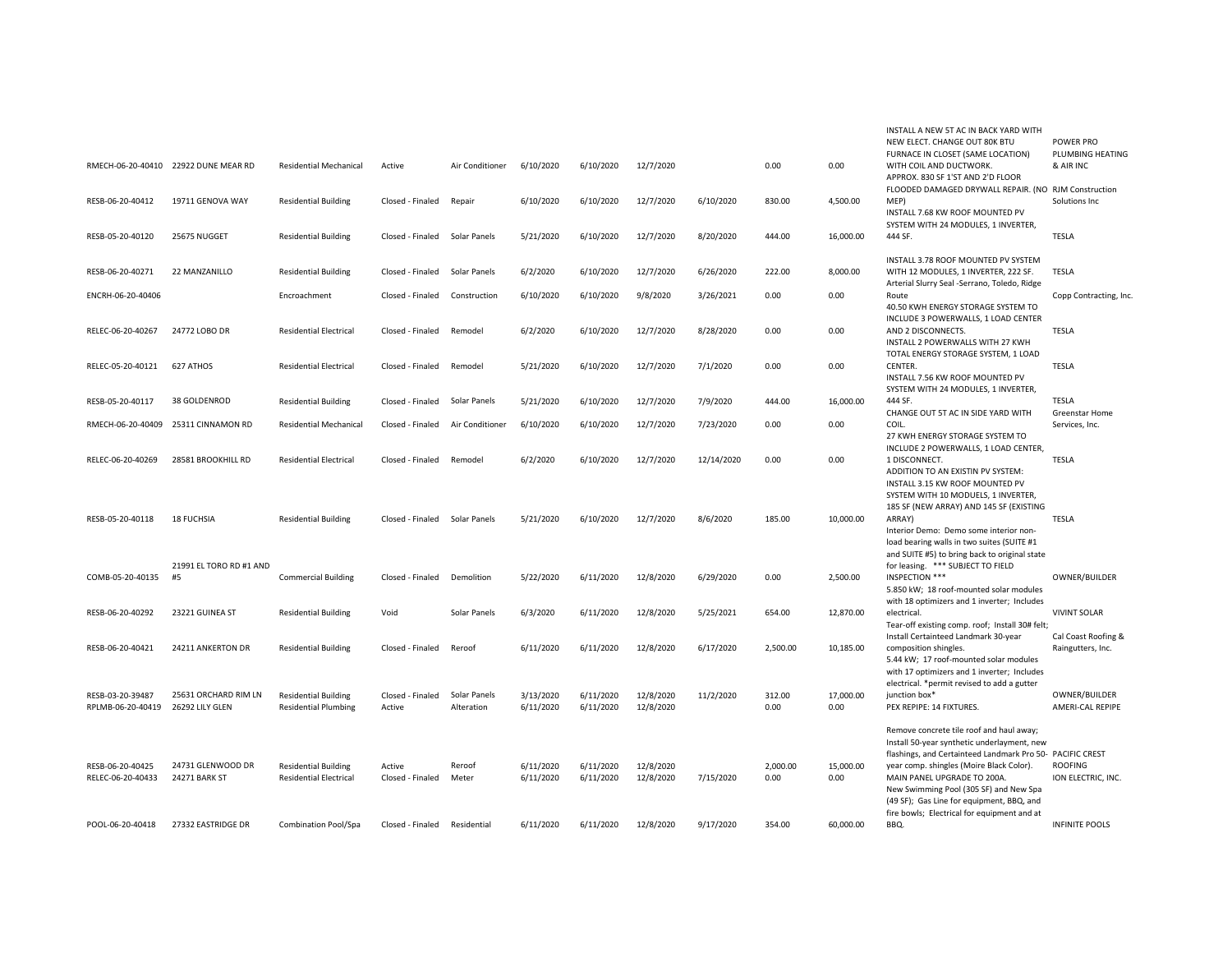|                                       | RMECH-06-20-40410 22922 DUNE MEAR RD    | <b>Residential Mechanical</b>                                | Active                        | Air Conditioner            | 6/10/2020              | 6/10/2020              | 12/7/2020              |            | 0.00             | 0.00              | INSTALL A NEW 5T AC IN BACK YARD WITH<br>NEW ELECT. CHANGE OUT 80K BTU<br>FURNACE IN CLOSET (SAME LOCATION)<br>WITH COIL AND DUCTWORK.<br>APPROX. 830 SF 1'ST AND 2'D FLOOR                                                                                                                                                                                           | POWER PRO<br>PLUMBING HEATING<br>& AIR INC |
|---------------------------------------|-----------------------------------------|--------------------------------------------------------------|-------------------------------|----------------------------|------------------------|------------------------|------------------------|------------|------------------|-------------------|-----------------------------------------------------------------------------------------------------------------------------------------------------------------------------------------------------------------------------------------------------------------------------------------------------------------------------------------------------------------------|--------------------------------------------|
| RESB-06-20-40412                      | 19711 GENOVA WAY                        | <b>Residential Building</b>                                  | Closed - Finaled              | Repair                     | 6/10/2020              | 6/10/2020              | 12/7/2020              | 6/10/2020  | 830.00           | 4,500.00          | FLOODED DAMAGED DRYWALL REPAIR. (NO RJM Construction<br>MEP)<br>INSTALL 7.68 KW ROOF MOUNTED PV<br>SYSTEM WITH 24 MODULES, 1 INVERTER,                                                                                                                                                                                                                                | Solutions Inc                              |
| RESB-05-20-40120                      | 25675 NUGGET                            | <b>Residential Building</b>                                  | Closed - Finaled              | Solar Panels               | 5/21/2020              | 6/10/2020              | 12/7/2020              | 8/20/2020  | 444.00           | 16,000.00         | 444 SF.                                                                                                                                                                                                                                                                                                                                                               | <b>TESLA</b>                               |
| RESB-06-20-40271                      | 22 MANZANILLO                           | <b>Residential Building</b>                                  | Closed - Finaled              | Solar Panels               | 6/2/2020               | 6/10/2020              | 12/7/2020              | 6/26/2020  | 222.00           | 8,000.00          | INSTALL 3.78 ROOF MOUNTED PV SYSTEM<br>WITH 12 MODULES, 1 INVERTER, 222 SF.<br>Arterial Slurry Seal -Serrano, Toledo, Ridge                                                                                                                                                                                                                                           | <b>TESLA</b>                               |
| ENCRH-06-20-40406                     |                                         | Encroachment                                                 | Closed - Finaled              | Construction               | 6/10/2020              | 6/10/2020              | 9/8/2020               | 3/26/2021  | 0.00             | 0.00              | Route<br>40.50 KWH ENERGY STORAGE SYSTEM TO                                                                                                                                                                                                                                                                                                                           | Copp Contracting, Inc.                     |
| RELEC-06-20-40267                     | 24772 LOBO DR                           | <b>Residential Electrical</b>                                | Closed - Finaled              | Remodel                    | 6/2/2020               | 6/10/2020              | 12/7/2020              | 8/28/2020  | 0.00             | 0.00              | INCLUDE 3 POWERWALLS, 1 LOAD CENTER<br>AND 2 DISCONNECTS.<br>INSTALL 2 POWERWALLS WITH 27 KWH<br>TOTAL ENERGY STORAGE SYSTEM, 1 LOAD                                                                                                                                                                                                                                  | <b>TESLA</b>                               |
| RELEC-05-20-40121                     | 627 ATHOS                               | <b>Residential Electrical</b>                                | Closed - Finaled              | Remodel                    | 5/21/2020              | 6/10/2020              | 12/7/2020              | 7/1/2020   | 0.00             | 0.00              | CENTER.<br>INSTALL 7.56 KW ROOF MOUNTED PV<br>SYSTEM WITH 24 MODULES, 1 INVERTER,                                                                                                                                                                                                                                                                                     | <b>TESLA</b>                               |
| RESB-05-20-40117                      | 38 GOLDENROD                            | <b>Residential Building</b>                                  | Closed - Finaled              | Solar Panels               | 5/21/2020              | 6/10/2020              | 12/7/2020              | 7/9/2020   | 444.00           | 16,000.00         | 444 SF.<br>CHANGE OUT 5T AC IN SIDE YARD WITH                                                                                                                                                                                                                                                                                                                         | <b>TESLA</b><br>Greenstar Home             |
|                                       | RMECH-06-20-40409 25311 CINNAMON RD     | <b>Residential Mechanical</b>                                | Closed - Finaled              | Air Conditioner            | 6/10/2020              | 6/10/2020              | 12/7/2020              | 7/23/2020  | 0.00             | 0.00              | COIL.<br>27 KWH ENERGY STORAGE SYSTEM TO<br>INCLUDE 2 POWERWALLS, 1 LOAD CENTER,                                                                                                                                                                                                                                                                                      | Services, Inc.                             |
| RELEC-06-20-40269                     | 28581 BROOKHILL RD                      | <b>Residential Electrical</b>                                | Closed - Finaled              | Remodel                    | 6/2/2020               | 6/10/2020              | 12/7/2020              | 12/14/2020 | 0.00             | 0.00              | 1 DISCONNECT.<br>ADDITION TO AN EXISTIN PV SYSTEM:<br>INSTALL 3.15 KW ROOF MOUNTED PV<br>SYSTEM WITH 10 MODUELS, 1 INVERTER,<br>185 SF (NEW ARRAY) AND 145 SF (EXISTING                                                                                                                                                                                               | <b>TESLA</b>                               |
| RESB-05-20-40118                      | <b>18 FUCHSIA</b>                       | <b>Residential Building</b>                                  | Closed - Finaled Solar Panels |                            | 5/21/2020              | 6/10/2020              | 12/7/2020              | 8/6/2020   | 185.00           | 10,000.00         | ARRAY)<br>Interior Demo: Demo some interior non-<br>load bearing walls in two suites (SUITE #1<br>and SUITE #5) to bring back to original state                                                                                                                                                                                                                       | <b>TESLA</b>                               |
| COMB-05-20-40135                      | 21991 EL TORO RD #1 AND<br>#5           | <b>Commercial Building</b>                                   | Closed - Finaled              | Demolition                 | 5/22/2020              | 6/11/2020              | 12/8/2020              | 6/29/2020  | 0.00             | 2,500.00          | for leasing. *** SUBJECT TO FIELD<br>INSPECTION ***<br>5.850 kW; 18 roof-mounted solar modules<br>with 18 optimizers and 1 inverter; Includes                                                                                                                                                                                                                         | OWNER/BUILDER                              |
| RESB-06-20-40292                      | 23221 GUINEA ST                         | <b>Residential Building</b>                                  | Void                          | Solar Panels               | 6/3/2020               | 6/11/2020              | 12/8/2020              | 5/25/2021  | 654.00           | 12,870.00         | electrical.<br>Tear-off existing comp. roof; Install 30# felt;                                                                                                                                                                                                                                                                                                        | <b>VIVINT SOLAR</b>                        |
| RESB-06-20-40421                      | 24211 ANKERTON DR                       | <b>Residential Building</b>                                  | Closed - Finaled              | Reroof                     | 6/11/2020              | 6/11/2020              | 12/8/2020              | 6/17/2020  | 2.500.00         | 10,185.00         | Install Certainteed Landmark 30-year<br>composition shingles.<br>5.44 kW; 17 roof-mounted solar modules<br>with 17 optimizers and 1 inverter; Includes                                                                                                                                                                                                                | Cal Coast Roofing &<br>Raingutters, Inc.   |
| RESB-03-20-39487<br>RPLMB-06-20-40419 | 25631 ORCHARD RIM LN<br>26292 LILY GLEN | <b>Residential Building</b><br><b>Residential Plumbing</b>   | Closed - Finaled<br>Active    | Solar Panels<br>Alteration | 3/13/2020<br>6/11/2020 | 6/11/2020<br>6/11/2020 | 12/8/2020<br>12/8/2020 | 11/2/2020  | 312.00<br>0.00   | 17,000.00<br>0.00 | electrical. *permit revised to add a gutter<br>junction box*<br>PEX REPIPE: 14 FIXTURES.                                                                                                                                                                                                                                                                              | OWNER/BUILDER<br>AMERI-CAL REPIPE          |
| RESB-06-20-40425<br>RELEC-06-20-40433 | 24731 GLENWOOD DR<br>24271 BARK ST      | <b>Residential Building</b><br><b>Residential Electrical</b> | Active<br>Closed - Finaled    | Reroof<br>Meter            | 6/11/2020<br>6/11/2020 | 6/11/2020<br>6/11/2020 | 12/8/2020<br>12/8/2020 | 7/15/2020  | 2.000.00<br>0.00 | 15.000.00<br>0.00 | Remove concrete tile roof and haul away;<br>Install 50-year synthetic underlayment, new<br>flashings, and Certainteed Landmark Pro 50- PACIFIC CREST<br>year comp. shingles (Moire Black Color).<br>MAIN PANEL UPGRADE TO 200A.<br>New Swimming Pool (305 SF) and New Spa<br>(49 SF); Gas Line for equipment, BBQ, and<br>fire bowls; Electrical for equipment and at | <b>ROOFING</b><br>ION ELECTRIC, INC.       |
| POOL-06-20-40418                      | 27332 EASTRIDGE DR                      | <b>Combination Pool/Spa</b>                                  | Closed - Finaled              | Residential                | 6/11/2020              | 6/11/2020              | 12/8/2020              | 9/17/2020  | 354.00           | 60.000.00         | BBQ.                                                                                                                                                                                                                                                                                                                                                                  | <b>INFINITE POOLS</b>                      |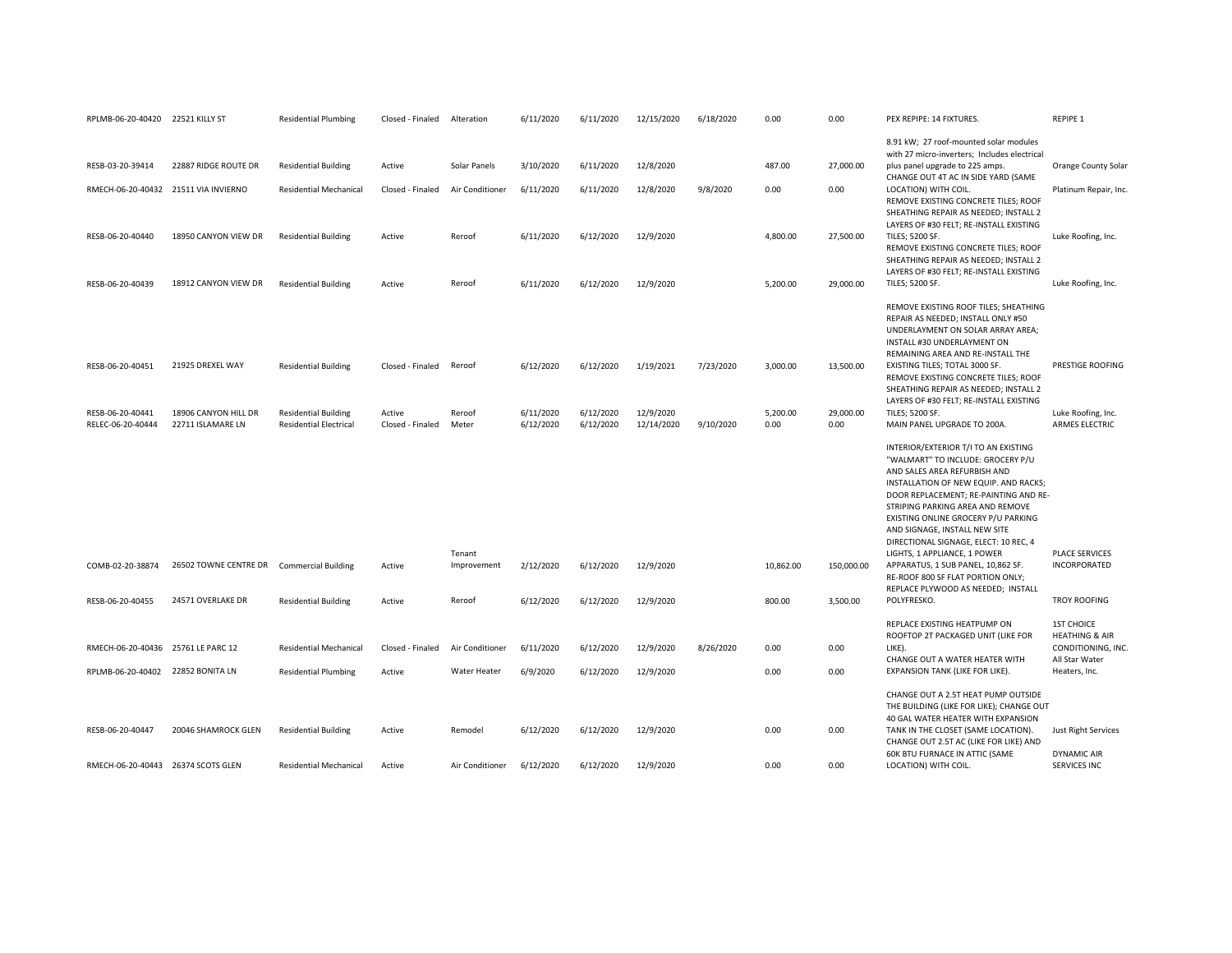| RPLMB-06-20-40420 22521 KILLY ST     |                                           | <b>Residential Plumbing</b>   | Closed - Finaled | Alteration      | 6/11/2020 | 6/11/2020 | 12/15/2020 | 6/18/2020 | 0.00             | 0.00       | PEX REPIPE: 14 FIXTURES.                                                        | <b>REPIPE 1</b>                                 |
|--------------------------------------|-------------------------------------------|-------------------------------|------------------|-----------------|-----------|-----------|------------|-----------|------------------|------------|---------------------------------------------------------------------------------|-------------------------------------------------|
|                                      |                                           |                               |                  |                 |           |           |            |           |                  |            | 8.91 kW; 27 roof-mounted solar modules                                          |                                                 |
| RESB-03-20-39414                     | 22887 RIDGE ROUTE DR                      | <b>Residential Building</b>   | Active           | Solar Panels    | 3/10/2020 | 6/11/2020 | 12/8/2020  |           | 487.00           | 27,000.00  | with 27 micro-inverters; Includes electrical<br>plus panel upgrade to 225 amps. | Orange County Solar                             |
|                                      |                                           |                               |                  |                 |           |           |            |           |                  |            | CHANGE OUT 4T AC IN SIDE YARD (SAME                                             |                                                 |
| RMECH-06-20-40432 21511 VIA INVIERNO |                                           | <b>Residential Mechanical</b> | Closed - Finaled | Air Conditioner | 6/11/2020 | 6/11/2020 | 12/8/2020  | 9/8/2020  | 0.00             | 0.00       | LOCATION) WITH COIL.                                                            | Platinum Repair, Inc.                           |
|                                      |                                           |                               |                  |                 |           |           |            |           |                  |            | REMOVE EXISTING CONCRETE TILES; ROOF<br>SHEATHING REPAIR AS NEEDED; INSTALL 2   |                                                 |
|                                      |                                           |                               |                  |                 |           |           |            |           |                  |            | LAYERS OF #30 FELT; RE-INSTALL EXISTING                                         |                                                 |
| RESB-06-20-40440                     | 18950 CANYON VIEW DR                      | <b>Residential Building</b>   | Active           | Reroof          | 6/11/2020 | 6/12/2020 | 12/9/2020  |           | 4,800.00         | 27,500.00  | TILES; 5200 SF.<br>REMOVE EXISTING CONCRETE TILES; ROOF                         | Luke Roofing, Inc.                              |
|                                      |                                           |                               |                  |                 |           |           |            |           |                  |            | SHEATHING REPAIR AS NEEDED; INSTALL 2                                           |                                                 |
| RESB-06-20-40439                     | 18912 CANYON VIEW DR                      | <b>Residential Building</b>   | Active           | Reroof          | 6/11/2020 | 6/12/2020 | 12/9/2020  |           | 5,200.00         | 29,000.00  | LAYERS OF #30 FELT; RE-INSTALL EXISTING<br>TILES; 5200 SF.                      | Luke Roofing, Inc.                              |
|                                      |                                           |                               |                  |                 |           |           |            |           |                  |            |                                                                                 |                                                 |
|                                      |                                           |                               |                  |                 |           |           |            |           |                  |            | REMOVE EXISTING ROOF TILES; SHEATHING<br>REPAIR AS NEEDED; INSTALL ONLY #50     |                                                 |
|                                      |                                           |                               |                  |                 |           |           |            |           |                  |            | UNDERLAYMENT ON SOLAR ARRAY AREA;                                               |                                                 |
|                                      |                                           |                               |                  |                 |           |           |            |           |                  |            | INSTALL #30 UNDERLAYMENT ON<br>REMAINING AREA AND RE-INSTALL THE                |                                                 |
| RESB-06-20-40451                     | 21925 DREXEL WAY                          | <b>Residential Building</b>   | Closed - Finaled | Reroof          | 6/12/2020 | 6/12/2020 | 1/19/2021  | 7/23/2020 | 3,000.00         | 13,500.00  | EXISTING TILES; TOTAL 3000 SF.                                                  | PRESTIGE ROOFING                                |
|                                      |                                           |                               |                  |                 |           |           |            |           |                  |            | REMOVE EXISTING CONCRETE TILES; ROOF<br>SHEATHING REPAIR AS NEEDED; INSTALL 2   |                                                 |
|                                      |                                           |                               |                  |                 |           |           |            |           |                  |            | LAYERS OF #30 FELT; RE-INSTALL EXISTING                                         |                                                 |
| RESB-06-20-40441                     | 18906 CANYON HILL DR                      | <b>Residential Building</b>   | Active           | Reroof          | 6/11/2020 | 6/12/2020 | 12/9/2020  |           | 5,200.00<br>0.00 | 29,000.00  | TILES; 5200 SF.                                                                 | Luke Roofing, Inc.                              |
| RELEC-06-20-40444                    | 22711 ISLAMARE LN                         | <b>Residential Electrical</b> | Closed - Finaled | Meter           | 6/12/2020 | 6/12/2020 | 12/14/2020 | 9/10/2020 |                  | 0.00       | MAIN PANEL UPGRADE TO 200A.                                                     | <b>ARMES ELECTRIC</b>                           |
|                                      |                                           |                               |                  |                 |           |           |            |           |                  |            | INTERIOR/EXTERIOR T/I TO AN EXISTING                                            |                                                 |
|                                      |                                           |                               |                  |                 |           |           |            |           |                  |            | "WALMART" TO INCLUDE: GROCERY P/U<br>AND SALES AREA REFURBISH AND               |                                                 |
|                                      |                                           |                               |                  |                 |           |           |            |           |                  |            | INSTALLATION OF NEW EQUIP. AND RACKS;                                           |                                                 |
|                                      |                                           |                               |                  |                 |           |           |            |           |                  |            | DOOR REPLACEMENT; RE-PAINTING AND RE-<br>STRIPING PARKING AREA AND REMOVE       |                                                 |
|                                      |                                           |                               |                  |                 |           |           |            |           |                  |            | EXISTING ONLINE GROCERY P/U PARKING                                             |                                                 |
|                                      |                                           |                               |                  |                 |           |           |            |           |                  |            | AND SIGNAGE, INSTALL NEW SITE<br>DIRECTIONAL SIGNAGE, ELECT: 10 REC, 4          |                                                 |
|                                      |                                           |                               |                  | Tenant          |           |           |            |           |                  |            | LIGHTS, 1 APPLIANCE, 1 POWER                                                    | <b>PLACE SERVICES</b>                           |
| COMB-02-20-38874                     | 26502 TOWNE CENTRE DR Commercial Building |                               | Active           | Improvement     | 2/12/2020 | 6/12/2020 | 12/9/2020  |           | 10,862.00        | 150,000.00 | APPARATUS, 1 SUB PANEL, 10,862 SF.<br>RE-ROOF 800 SF FLAT PORTION ONLY;         | INCORPORATED                                    |
|                                      |                                           |                               |                  |                 |           |           |            |           |                  |            | REPLACE PLYWOOD AS NEEDED; INSTALL                                              |                                                 |
| RESB-06-20-40455                     | 24571 OVERLAKE DR                         | <b>Residential Building</b>   | Active           | Reroof          | 6/12/2020 | 6/12/2020 | 12/9/2020  |           | 800.00           | 3,500.00   | POLYFRESKO.                                                                     | <b>TROY ROOFING</b>                             |
|                                      |                                           |                               |                  |                 |           |           |            |           |                  |            | REPLACE EXISTING HEATPUMP ON                                                    | <b>1ST CHOICE</b>                               |
| RMECH-06-20-40436 25761 LE PARC 12   |                                           | <b>Residential Mechanical</b> | Closed - Finaled | Air Conditioner |           |           |            |           | 0.00             | 0.00       | ROOFTOP 2T PACKAGED UNIT (LIKE FOR<br>LIKE).                                    | <b>HEATHING &amp; AIR</b><br>CONDITIONING, INC. |
|                                      |                                           |                               |                  |                 | 6/11/2020 | 6/12/2020 | 12/9/2020  | 8/26/2020 |                  |            | CHANGE OUT A WATER HEATER WITH                                                  | All Star Water                                  |
| RPLMB-06-20-40402 22852 BONITA LN    |                                           | <b>Residential Plumbing</b>   | Active           | Water Heater    | 6/9/2020  | 6/12/2020 | 12/9/2020  |           | 0.00             | 0.00       | EXPANSION TANK (LIKE FOR LIKE).                                                 | Heaters, Inc.                                   |
|                                      |                                           |                               |                  |                 |           |           |            |           |                  |            | CHANGE OUT A 2.5T HEAT PUMP OUTSIDE                                             |                                                 |
|                                      |                                           |                               |                  |                 |           |           |            |           |                  |            | THE BUILDING (LIKE FOR LIKE); CHANGE OUT                                        |                                                 |
| RESB-06-20-40447                     | 20046 SHAMROCK GLEN                       | <b>Residential Building</b>   | Active           | Remodel         | 6/12/2020 | 6/12/2020 | 12/9/2020  |           | 0.00             | 0.00       | 40 GAL WATER HEATER WITH EXPANSION<br>TANK IN THE CLOSET (SAME LOCATION).       | Just Right Services                             |
|                                      |                                           |                               |                  |                 |           |           |            |           |                  |            | CHANGE OUT 2.5T AC (LIKE FOR LIKE) AND                                          |                                                 |
| RMECH-06-20-40443 26374 SCOTS GLEN   |                                           | <b>Residential Mechanical</b> | Active           | Air Conditioner | 6/12/2020 | 6/12/2020 | 12/9/2020  |           | 0.00             | 0.00       | 60K BTU FURNACE IN ATTIC (SAME<br>LOCATION) WITH COIL.                          | <b>DYNAMIC AIR</b><br><b>SERVICES INC</b>       |
|                                      |                                           |                               |                  |                 |           |           |            |           |                  |            |                                                                                 |                                                 |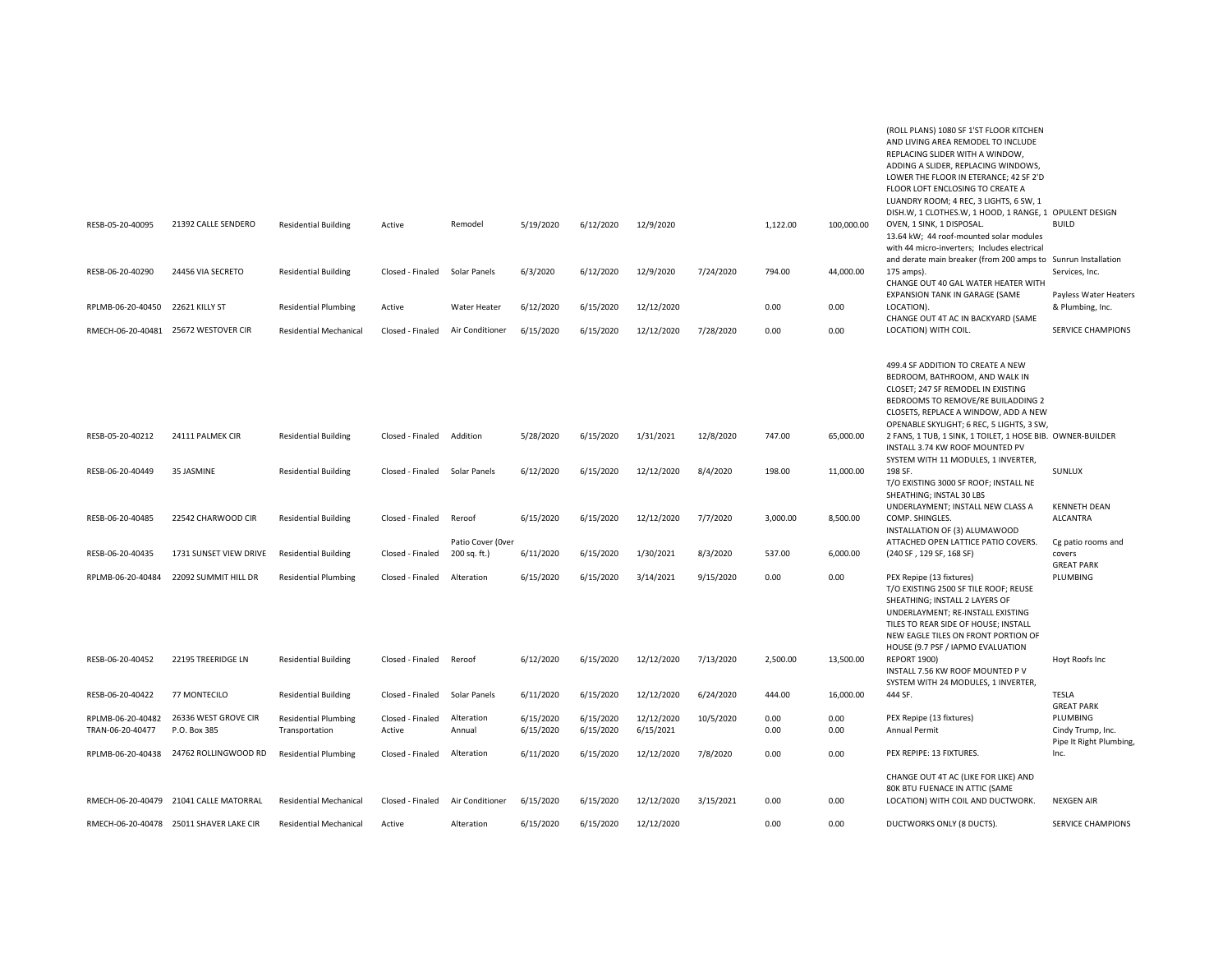| RESB-05-20-40095                      | 21392 CALLE SENDERO                     | <b>Residential Building</b>                   | Active                     | Remodel                           | 5/19/2020              | 6/12/2020              | 12/9/2020               |           | 1,122.00     | 100,000.00   | (ROLL PLANS) 1080 SF 1'ST FLOOR KITCHEN<br>AND LIVING AREA REMODEL TO INCLUDE<br>REPLACING SLIDER WITH A WINDOW,<br>ADDING A SLIDER, REPLACING WINDOWS,<br>LOWER THE FLOOR IN ETERANCE; 42 SF 2'D<br>FLOOR LOFT ENCLOSING TO CREATE A<br>LUANDRY ROOM; 4 REC, 3 LIGHTS, 6 SW, 1<br>DISH.W, 1 CLOTHES.W, 1 HOOD, 1 RANGE, 1 OPULENT DESIGN<br>OVEN, 1 SINK, 1 DISPOSAL.<br>13.64 kW; 44 roof-mounted solar modules<br>with 44 micro-inverters; Includes electrical | <b>BUILD</b>                                      |
|---------------------------------------|-----------------------------------------|-----------------------------------------------|----------------------------|-----------------------------------|------------------------|------------------------|-------------------------|-----------|--------------|--------------|-------------------------------------------------------------------------------------------------------------------------------------------------------------------------------------------------------------------------------------------------------------------------------------------------------------------------------------------------------------------------------------------------------------------------------------------------------------------|---------------------------------------------------|
| RESB-06-20-40290                      | 24456 VIA SECRETO                       | <b>Residential Building</b>                   | Closed - Finaled           | Solar Panels                      | 6/3/2020               | 6/12/2020              | 12/9/2020               | 7/24/2020 | 794.00       | 44,000.00    | and derate main breaker (from 200 amps to Sunrun Installation<br>175 amps).<br>CHANGE OUT 40 GAL WATER HEATER WITH                                                                                                                                                                                                                                                                                                                                                | Services, Inc.                                    |
| RPLMB-06-20-40450                     | 22621 KILLY ST                          | <b>Residential Plumbing</b>                   | Active                     | Water Heater                      | 6/12/2020              | 6/15/2020              | 12/12/2020              |           | 0.00         | 0.00         | EXPANSION TANK IN GARAGE (SAME<br>LOCATION).                                                                                                                                                                                                                                                                                                                                                                                                                      | Payless Water Heaters<br>& Plumbing, Inc.         |
|                                       | RMECH-06-20-40481 25672 WESTOVER CIR    | <b>Residential Mechanical</b>                 | Closed - Finaled           | Air Conditioner                   | 6/15/2020              | 6/15/2020              | 12/12/2020              | 7/28/2020 | 0.00         | 0.00         | CHANGE OUT 4T AC IN BACKYARD (SAME<br>LOCATION) WITH COIL.                                                                                                                                                                                                                                                                                                                                                                                                        | <b>SERVICE CHAMPIONS</b>                          |
|                                       |                                         |                                               |                            |                                   | 5/28/2020              | 6/15/2020              | 1/31/2021               | 12/8/2020 | 747.00       | 65,000.00    | 499.4 SF ADDITION TO CREATE A NEW<br>BEDROOM, BATHROOM, AND WALK IN<br>CLOSET; 247 SF REMODEL IN EXISTING<br>BEDROOMS TO REMOVE/RE BUILADDING 2<br>CLOSETS, REPLACE A WINDOW, ADD A NEW<br>OPENABLE SKYLIGHT; 6 REC, 5 LIGHTS, 3 SW,                                                                                                                                                                                                                              |                                                   |
| RESB-05-20-40212                      | 24111 PALMEK CIR                        | <b>Residential Building</b>                   | Closed - Finaled           | Addition                          |                        |                        |                         |           |              |              | 2 FANS, 1 TUB, 1 SINK, 1 TOILET, 1 HOSE BIB. OWNER-BUILDER<br>INSTALL 3.74 KW ROOF MOUNTED PV<br>SYSTEM WITH 11 MODULES, 1 INVERTER,                                                                                                                                                                                                                                                                                                                              |                                                   |
| RESB-06-20-40449                      | 35 JASMINE                              | <b>Residential Building</b>                   | Closed - Finaled           | Solar Panels                      | 6/12/2020              | 6/15/2020              | 12/12/2020              | 8/4/2020  | 198.00       | 11,000.00    | 198 SF.<br>T/O EXISTING 3000 SF ROOF; INSTALL NE<br>SHEATHING; INSTAL 30 LBS<br>UNDERLAYMENT; INSTALL NEW CLASS A                                                                                                                                                                                                                                                                                                                                                 | SUNLUX<br><b>KENNETH DEAN</b>                     |
| RESB-06-20-40485                      | 22542 CHARWOOD CIR                      | <b>Residential Building</b>                   | Closed - Finaled           | Reroof                            | 6/15/2020              | 6/15/2020              | 12/12/2020              | 7/7/2020  | 3.000.00     | 8,500.00     | COMP. SHINGLES.<br>INSTALLATION OF (3) ALUMAWOOD                                                                                                                                                                                                                                                                                                                                                                                                                  | <b>ALCANTRA</b>                                   |
| RESB-06-20-40435                      | 1731 SUNSET VIEW DRIVE                  | <b>Residential Building</b>                   | Closed - Finaled           | Patio Cover (Over<br>200 sq. ft.) | 6/11/2020              | 6/15/2020              | 1/30/2021               | 8/3/2020  | 537.00       | 6,000.00     | ATTACHED OPEN LATTICE PATIO COVERS.<br>(240 SF, 129 SF, 168 SF)                                                                                                                                                                                                                                                                                                                                                                                                   | Cg patio rooms and<br>covers<br><b>GREAT PARK</b> |
| RPLMB-06-20-40484                     | 22092 SUMMIT HILL DR                    | <b>Residential Plumbing</b>                   | Closed - Finaled           | Alteration                        | 6/15/2020              | 6/15/2020              | 3/14/2021               | 9/15/2020 | 0.00         | 0.00         | PEX Repipe (13 fixtures)<br>T/O EXISTING 2500 SF TILE ROOF; REUSE<br>SHEATHING; INSTALL 2 LAYERS OF<br>UNDERLAYMENT; RE-INSTALL EXISTING<br>TILES TO REAR SIDE OF HOUSE; INSTALL<br>NEW EAGLE TILES ON FRONT PORTION OF<br>HOUSE (9.7 PSF / IAPMO EVALUATION                                                                                                                                                                                                      | PLUMBING                                          |
| RESB-06-20-40452                      | 22195 TREERIDGE LN                      | <b>Residential Building</b>                   | Closed - Finaled           | Reroof                            | 6/12/2020              | 6/15/2020              | 12/12/2020              | 7/13/2020 | 2,500.00     | 13,500.00    | <b>REPORT 1900)</b><br>INSTALL 7.56 KW ROOF MOUNTED P V<br>SYSTEM WITH 24 MODULES, 1 INVERTER,                                                                                                                                                                                                                                                                                                                                                                    | Hoyt Roofs Inc                                    |
| RESB-06-20-40422                      | 77 MONTECILO                            | <b>Residential Building</b>                   | Closed - Finaled           | Solar Panels                      | 6/11/2020              | 6/15/2020              | 12/12/2020              | 6/24/2020 | 444.00       | 16,000.00    | 444 SF.                                                                                                                                                                                                                                                                                                                                                                                                                                                           | TESLA<br><b>GREAT PARK</b>                        |
| RPLMB-06-20-40482<br>TRAN-06-20-40477 | 26336 WEST GROVE CIR<br>P.O. Box 385    | <b>Residential Plumbing</b><br>Transportation | Closed - Finaled<br>Active | Alteration<br>Annual              | 6/15/2020<br>6/15/2020 | 6/15/2020<br>6/15/2020 | 12/12/2020<br>6/15/2021 | 10/5/2020 | 0.00<br>0.00 | 0.00<br>0.00 | PEX Repipe (13 fixtures)<br>Annual Permit                                                                                                                                                                                                                                                                                                                                                                                                                         | PLUMBING<br>Cindy Trump, Inc.                     |
|                                       | RPLMB-06-20-40438 24762 ROLLINGWOOD RD  | <b>Residential Plumbing</b>                   | Closed - Finaled           | Alteration                        | 6/11/2020              | 6/15/2020              | 12/12/2020              | 7/8/2020  | 0.00         | 0.00         | PEX REPIPE: 13 FIXTURES.                                                                                                                                                                                                                                                                                                                                                                                                                                          | Pipe It Right Plumbing,<br>Inc.                   |
|                                       | RMECH-06-20-40479 21041 CALLE MATORRAL  | <b>Residential Mechanical</b>                 | Closed - Finaled           | Air Conditioner                   | 6/15/2020              | 6/15/2020              | 12/12/2020              | 3/15/2021 | 0.00         | 0.00         | CHANGE OUT 4T AC (LIKE FOR LIKE) AND<br>80K BTU FUENACE IN ATTIC (SAME<br>LOCATION) WITH COIL AND DUCTWORK.                                                                                                                                                                                                                                                                                                                                                       | <b>NEXGEN AIR</b>                                 |
|                                       | RMECH-06-20-40478 25011 SHAVER LAKE CIR | <b>Residential Mechanical</b>                 | Active                     | Alteration                        | 6/15/2020              | 6/15/2020              | 12/12/2020              |           | 0.00         | 0.00         | DUCTWORKS ONLY (8 DUCTS).                                                                                                                                                                                                                                                                                                                                                                                                                                         | <b>SERVICE CHAMPIONS</b>                          |
|                                       |                                         |                                               |                            |                                   |                        |                        |                         |           |              |              |                                                                                                                                                                                                                                                                                                                                                                                                                                                                   |                                                   |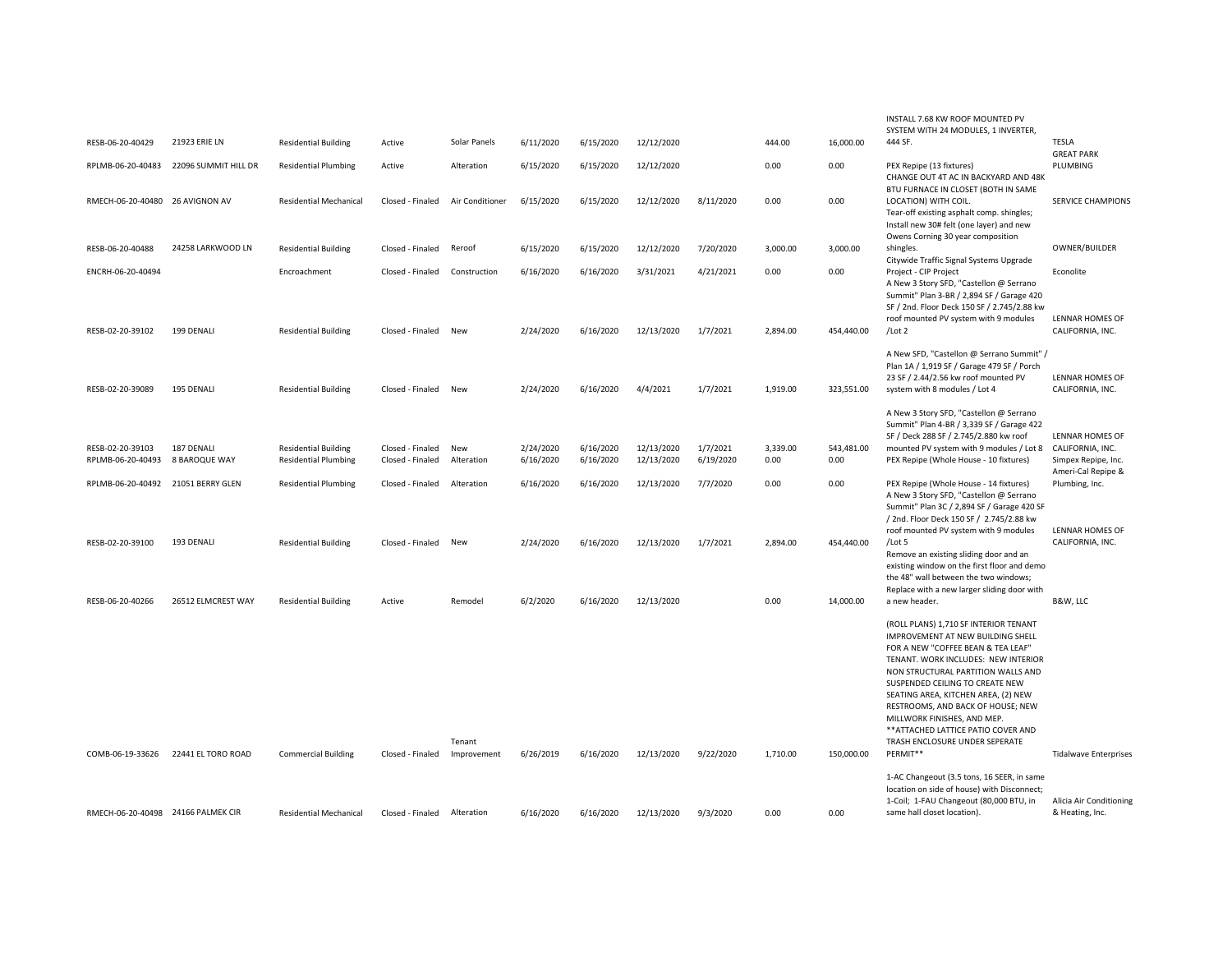| RESB-06-20-40429                      | 21923 ERIE LN               | <b>Residential Building</b>                                | Active                               | Solar Panels      | 6/11/2020              | 6/15/2020              | 12/12/2020               |                       | 444.00           | 16,000.00          | INSTALL 7.68 KW ROOF MOUNTED PV<br>SYSTEM WITH 24 MODULES, 1 INVERTER,<br>444 SF.                                                                                                                                                                                                                                                                                                                                    | <b>TESLA</b><br><b>GREAT PARK</b>                                                |
|---------------------------------------|-----------------------------|------------------------------------------------------------|--------------------------------------|-------------------|------------------------|------------------------|--------------------------|-----------------------|------------------|--------------------|----------------------------------------------------------------------------------------------------------------------------------------------------------------------------------------------------------------------------------------------------------------------------------------------------------------------------------------------------------------------------------------------------------------------|----------------------------------------------------------------------------------|
| RPLMB-06-20-40483                     | 22096 SUMMIT HILL DR        | <b>Residential Plumbing</b>                                | Active                               | Alteration        | 6/15/2020              | 6/15/2020              | 12/12/2020               |                       | 0.00             | 0.00               | PEX Repipe (13 fixtures)<br>CHANGE OUT 4T AC IN BACKYARD AND 48K                                                                                                                                                                                                                                                                                                                                                     | PLUMBING                                                                         |
| RMECH-06-20-40480 26 AVIGNON AV       |                             | <b>Residential Mechanical</b>                              | Closed - Finaled                     | Air Conditioner   | 6/15/2020              | 6/15/2020              | 12/12/2020               | 8/11/2020             | 0.00             | 0.00               | BTU FURNACE IN CLOSET (BOTH IN SAME<br>LOCATION) WITH COIL.<br>Tear-off existing asphalt comp. shingles;<br>Install new 30# felt (one layer) and new                                                                                                                                                                                                                                                                 | SERVICE CHAMPIONS                                                                |
| RESB-06-20-40488                      | 24258 LARKWOOD LN           | <b>Residential Building</b>                                | Closed - Finaled                     | Reroof            | 6/15/2020              | 6/15/2020              | 12/12/2020               | 7/20/2020             | 3,000.00         | 3,000.00           | Owens Corning 30 year composition<br>shingles.<br>Citywide Traffic Signal Systems Upgrade                                                                                                                                                                                                                                                                                                                            | OWNER/BUILDER                                                                    |
| ENCRH-06-20-40494                     |                             | Encroachment                                               | Closed - Finaled                     | Construction      | 6/16/2020              | 6/16/2020              | 3/31/2021                | 4/21/2021             | 0.00             | 0.00               | Project - CIP Project<br>A New 3 Story SFD, "Castellon @ Serrano<br>Summit" Plan 3-BR / 2,894 SF / Garage 420<br>SF / 2nd. Floor Deck 150 SF / 2.745/2.88 kw                                                                                                                                                                                                                                                         | Econolite                                                                        |
| RESB-02-20-39102                      | 199 DENALI                  | <b>Residential Building</b>                                | Closed - Finaled                     | New               | 2/24/2020              | 6/16/2020              | 12/13/2020               | 1/7/2021              | 2,894.00         | 454,440.00         | roof mounted PV system with 9 modules<br>/Lot 2                                                                                                                                                                                                                                                                                                                                                                      | <b>LENNAR HOMES OF</b><br>CALIFORNIA, INC.                                       |
| RESB-02-20-39089                      | 195 DENALI                  | <b>Residential Building</b>                                | Closed - Finaled                     | New               | 2/24/2020              | 6/16/2020              | 4/4/2021                 | 1/7/2021              | 1,919.00         | 323,551.00         | A New SFD, "Castellon @ Serrano Summit" /<br>Plan 1A / 1,919 SF / Garage 479 SF / Porch<br>23 SF / 2.44/2.56 kw roof mounted PV<br>system with 8 modules / Lot 4                                                                                                                                                                                                                                                     | LENNAR HOMES OF<br>CALIFORNIA, INC.                                              |
| RESB-02-20-39103<br>RPLMB-06-20-40493 | 187 DENALI<br>8 BAROQUE WAY | <b>Residential Building</b><br><b>Residential Plumbing</b> | Closed - Finaled<br>Closed - Finaled | New<br>Alteration | 2/24/2020<br>6/16/2020 | 6/16/2020<br>6/16/2020 | 12/13/2020<br>12/13/2020 | 1/7/2021<br>6/19/2020 | 3,339.00<br>0.00 | 543,481.00<br>0.00 | A New 3 Story SFD, "Castellon @ Serrano<br>Summit" Plan 4-BR / 3,339 SF / Garage 422<br>SF / Deck 288 SF / 2.745/2.880 kw roof<br>mounted PV system with 9 modules / Lot 8<br>PEX Repipe (Whole House - 10 fixtures)                                                                                                                                                                                                 | LENNAR HOMES OF<br>CALIFORNIA, INC.<br>Simpex Repipe, Inc.<br>Ameri-Cal Repipe & |
| RPLMB-06-20-40492 21051 BERRY GLEN    |                             | <b>Residential Plumbing</b>                                | Closed - Finaled                     | Alteration        | 6/16/2020              | 6/16/2020              | 12/13/2020               | 7/7/2020              | 0.00             | 0.00               | PEX Repipe (Whole House - 14 fixtures)<br>A New 3 Story SFD, "Castellon @ Serrano<br>Summit" Plan 3C / 2,894 SF / Garage 420 SF<br>/ 2nd. Floor Deck 150 SF / 2.745/2.88 kw<br>roof mounted PV system with 9 modules                                                                                                                                                                                                 | Plumbing, Inc.<br>LENNAR HOMES OF                                                |
| RESB-02-20-39100                      | 193 DENALI                  | <b>Residential Building</b>                                | Closed - Finaled                     | New               | 2/24/2020              | 6/16/2020              | 12/13/2020               | 1/7/2021              | 2,894.00         | 454,440.00         | /Lot 5<br>Remove an existing sliding door and an<br>existing window on the first floor and demo<br>the 48" wall between the two windows;<br>Replace with a new larger sliding door with                                                                                                                                                                                                                              | CALIFORNIA, INC.                                                                 |
| RESB-06-20-40266                      | 26512 ELMCREST WAY          | <b>Residential Building</b>                                | Active                               | Remodel           | 6/2/2020               | 6/16/2020              | 12/13/2020               |                       | 0.00             | 14,000.00          | a new header.                                                                                                                                                                                                                                                                                                                                                                                                        | B&W, LLC                                                                         |
|                                       |                             |                                                            |                                      | Tenant            |                        |                        |                          |                       |                  |                    | (ROLL PLANS) 1,710 SF INTERIOR TENANT<br>IMPROVEMENT AT NEW BUILDING SHELL<br>FOR A NEW "COFFEE BEAN & TEA LEAF"<br>TENANT. WORK INCLUDES: NEW INTERIOR<br>NON STRUCTURAL PARTITION WALLS AND<br>SUSPENDED CEILING TO CREATE NEW<br>SEATING AREA, KITCHEN AREA, (2) NEW<br>RESTROOMS, AND BACK OF HOUSE; NEW<br>MILLWORK FINISHES, AND MEP.<br>** ATTACHED LATTICE PATIO COVER AND<br>TRASH ENCLOSURE UNDER SEPERATE |                                                                                  |
| COMB-06-19-33626                      | 22441 EL TORO ROAD          | <b>Commercial Building</b>                                 | Closed - Finaled                     | Improvement       | 6/26/2019              | 6/16/2020              | 12/13/2020               | 9/22/2020             | 1,710.00         | 150,000.00         | PERMIT**                                                                                                                                                                                                                                                                                                                                                                                                             | <b>Tidalwave Enterprises</b>                                                     |
| RMECH-06-20-40498 24166 PALMEK CIR    |                             | <b>Residential Mechanical</b>                              | Closed - Finaled                     | Alteration        | 6/16/2020              | 6/16/2020              | 12/13/2020               | 9/3/2020              | 0.00             | 0.00               | 1-AC Changeout (3.5 tons, 16 SEER, in same<br>location on side of house) with Disconnect;<br>1-Coil; 1-FAU Changeout (80,000 BTU, in<br>same hall closet location).                                                                                                                                                                                                                                                  | Alicia Air Conditioning<br>& Heating, Inc.                                       |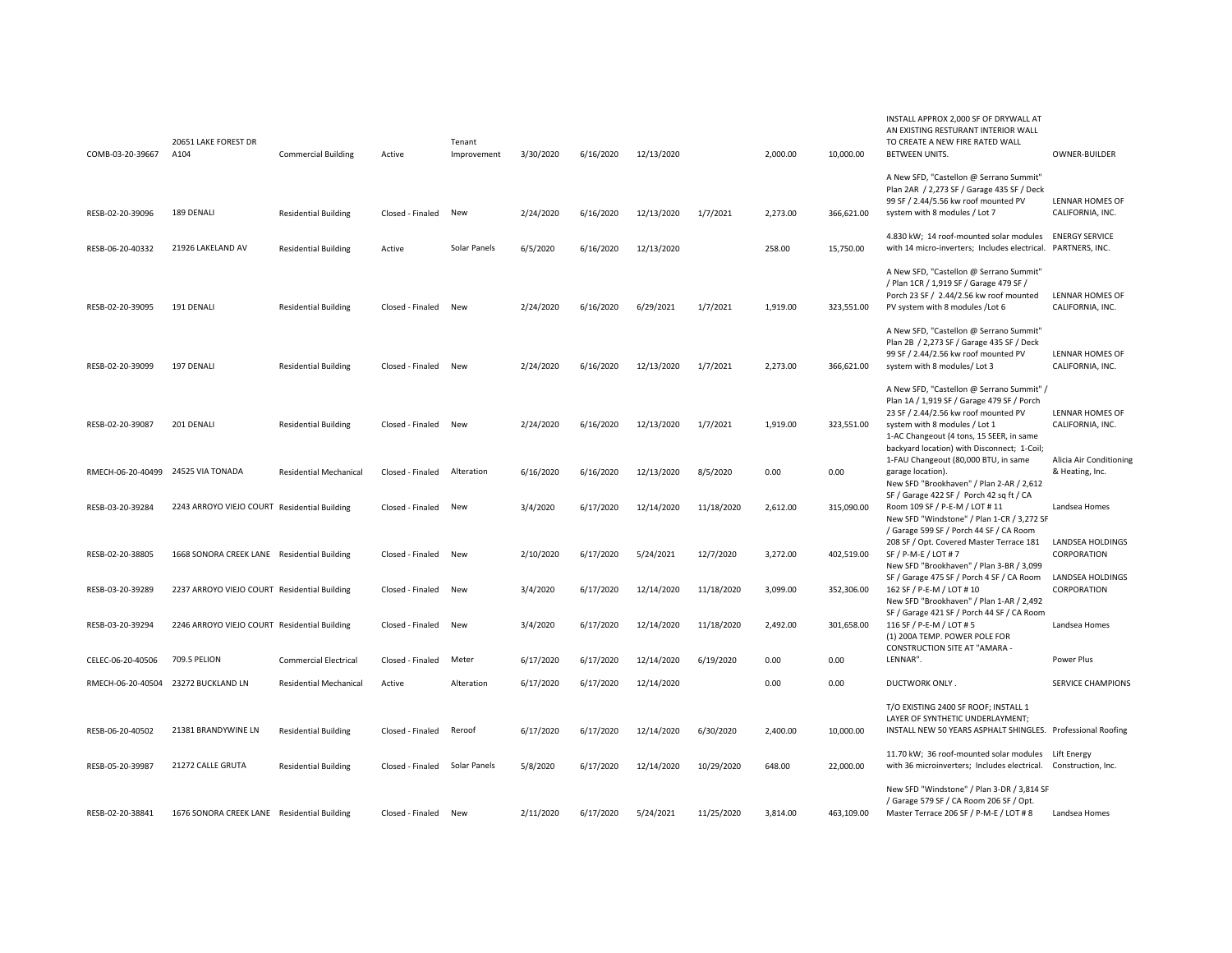| COMB-03-20-39667                   | 20651 LAKE FOREST DR<br>A104                 | <b>Commercial Building</b>    | Active           | Tenant<br>Improvement | 3/30/2020 | 6/16/2020 | 12/13/2020 |            | 2,000.00 | 10,000.00  | INSTALL APPROX 2,000 SF OF DRYWALL AT<br>AN EXISTING RESTURANT INTERIOR WALL<br>TO CREATE A NEW FIRE RATED WALL<br><b>BETWEEN UNITS.</b>                                                                     | OWNER-BUILDER                              |
|------------------------------------|----------------------------------------------|-------------------------------|------------------|-----------------------|-----------|-----------|------------|------------|----------|------------|--------------------------------------------------------------------------------------------------------------------------------------------------------------------------------------------------------------|--------------------------------------------|
| RESB-02-20-39096                   | 189 DENALI                                   | <b>Residential Building</b>   | Closed - Finaled | New                   | 2/24/2020 | 6/16/2020 | 12/13/2020 | 1/7/2021   | 2,273.00 | 366,621.00 | A New SFD, "Castellon @ Serrano Summit"<br>Plan 2AR / 2,273 SF / Garage 435 SF / Deck<br>99 SF / 2.44/5.56 kw roof mounted PV<br>system with 8 modules / Lot 7                                               | <b>LENNAR HOMES OF</b><br>CALIFORNIA, INC. |
| RESB-06-20-40332                   | 21926 LAKELAND AV                            | <b>Residential Building</b>   | Active           | Solar Panels          | 6/5/2020  | 6/16/2020 | 12/13/2020 |            | 258.00   | 15,750.00  | 4.830 kW; 14 roof-mounted solar modules<br>with 14 micro-inverters; Includes electrical. PARTNERS, INC.                                                                                                      | <b>ENERGY SERVICE</b>                      |
| RESB-02-20-39095                   | 191 DENALI                                   | <b>Residential Building</b>   | Closed - Finaled | New                   | 2/24/2020 | 6/16/2020 | 6/29/2021  | 1/7/2021   | 1,919.00 | 323,551.00 | A New SFD, "Castellon @ Serrano Summit"<br>/ Plan 1CR / 1,919 SF / Garage 479 SF /<br>Porch 23 SF / 2.44/2.56 kw roof mounted<br>PV system with 8 modules /Lot 6                                             | LENNAR HOMES OF<br>CALIFORNIA, INC.        |
| RESB-02-20-39099                   | 197 DENALI                                   | <b>Residential Building</b>   | Closed - Finaled | New                   | 2/24/2020 | 6/16/2020 | 12/13/2020 | 1/7/2021   | 2,273.00 | 366,621.00 | A New SFD, "Castellon @ Serrano Summit"<br>Plan 2B / 2,273 SF / Garage 435 SF / Deck<br>99 SF / 2.44/2.56 kw roof mounted PV<br>system with 8 modules/ Lot 3                                                 | LENNAR HOMES OF<br>CALIFORNIA, INC.        |
| RESB-02-20-39087                   | 201 DENALI                                   | <b>Residential Building</b>   | Closed - Finaled | New                   | 2/24/2020 | 6/16/2020 | 12/13/2020 | 1/7/2021   | 1,919.00 | 323,551.00 | A New SFD, "Castellon @ Serrano Summit" /<br>Plan 1A / 1,919 SF / Garage 479 SF / Porch<br>23 SF / 2.44/2.56 kw roof mounted PV<br>system with 8 modules / Lot 1<br>1-AC Changeout (4 tons, 15 SEER, in same | LENNAR HOMES OF<br>CALIFORNIA, INC.        |
| RMECH-06-20-40499 24525 VIA TONADA |                                              | <b>Residential Mechanical</b> | Closed - Finaled | Alteration            | 6/16/2020 | 6/16/2020 | 12/13/2020 | 8/5/2020   | 0.00     | 0.00       | backyard location) with Disconnect; 1-Coil;<br>1-FAU Changeout (80,000 BTU, in same<br>garage location).<br>New SFD "Brookhaven" / Plan 2-AR / 2,612                                                         | Alicia Air Conditioning<br>& Heating, Inc. |
| RESB-03-20-39284                   | 2243 ARROYO VIEJO COURT Residential Building |                               | Closed - Finaled | New                   | 3/4/2020  | 6/17/2020 | 12/14/2020 | 11/18/2020 | 2,612.00 | 315,090.00 | SF / Garage 422 SF / Porch 42 sq ft / CA<br>Room 109 SF / P-E-M / LOT # 11<br>New SFD "Windstone" / Plan 1-CR / 3,272 SF<br>/ Garage 599 SF / Porch 44 SF / CA Room                                          | Landsea Homes                              |
| RESB-02-20-38805                   | 1668 SONORA CREEK LANE Residential Building  |                               | Closed - Finaled | New                   | 2/10/2020 | 6/17/2020 | 5/24/2021  | 12/7/2020  | 3,272.00 | 402,519.00 | 208 SF / Opt. Covered Master Terrace 181<br>SF / P-M-E / LOT # 7<br>New SFD "Brookhaven" / Plan 3-BR / 3,099                                                                                                 | LANDSEA HOLDINGS<br>CORPORATION            |
| RESB-03-20-39289                   | 2237 ARROYO VIEJO COURT Residential Building |                               | Closed - Finaled | New                   | 3/4/2020  | 6/17/2020 | 12/14/2020 | 11/18/2020 | 3,099.00 | 352,306.00 | SF / Garage 475 SF / Porch 4 SF / CA Room<br>162 SF / P-E-M / LOT # 10<br>New SFD "Brookhaven" / Plan 1-AR / 2,492                                                                                           | LANDSEA HOLDINGS<br>CORPORATION            |
| RESB-03-20-39294                   | 2246 ARROYO VIEJO COURT Residential Building |                               | Closed - Finaled | New                   | 3/4/2020  | 6/17/2020 | 12/14/2020 | 11/18/2020 | 2,492.00 | 301,658.00 | SF / Garage 421 SF / Porch 44 SF / CA Room<br>116 SF / P-E-M / LOT # 5<br>(1) 200A TEMP. POWER POLE FOR                                                                                                      | Landsea Homes                              |
| CELEC-06-20-40506                  | 709.5 PELION                                 | <b>Commercial Electrical</b>  | Closed - Finaled | Meter                 | 6/17/2020 | 6/17/2020 | 12/14/2020 | 6/19/2020  | 0.00     | 0.00       | <b>CONSTRUCTION SITE AT "AMARA -</b><br>LENNAR".                                                                                                                                                             | Power Plus                                 |
|                                    | RMECH-06-20-40504 23272 BUCKLAND LN          | <b>Residential Mechanical</b> | Active           | Alteration            | 6/17/2020 | 6/17/2020 | 12/14/2020 |            | 0.00     | 0.00       | DUCTWORK ONLY.                                                                                                                                                                                               | <b>SERVICE CHAMPIONS</b>                   |
| RESB-06-20-40502                   | 21381 BRANDYWINE LN                          | <b>Residential Building</b>   | Closed - Finaled | Reroof                | 6/17/2020 | 6/17/2020 | 12/14/2020 | 6/30/2020  | 2,400.00 | 10,000.00  | T/O EXISTING 2400 SF ROOF; INSTALL 1<br>LAYER OF SYNTHETIC UNDERLAYMENT;<br>INSTALL NEW 50 YEARS ASPHALT SHINGLES. Professional Roofing                                                                      |                                            |
| RESB-05-20-39987                   | 21272 CALLE GRUTA                            | <b>Residential Building</b>   | Closed - Finaled | Solar Panels          | 5/8/2020  | 6/17/2020 | 12/14/2020 | 10/29/2020 | 648.00   | 22,000.00  | 11.70 kW; 36 roof-mounted solar modules<br>with 36 microinverters; Includes electrical. Construction, Inc.                                                                                                   | Lift Energy                                |
| RESB-02-20-38841                   | 1676 SONORA CREEK LANE Residential Building  |                               | Closed - Finaled | New                   | 2/11/2020 | 6/17/2020 | 5/24/2021  | 11/25/2020 | 3.814.00 | 463.109.00 | New SFD "Windstone" / Plan 3-DR / 3,814 SF<br>/ Garage 579 SF / CA Room 206 SF / Opt.<br>Master Terrace 206 SF / P-M-E / LOT # 8                                                                             | Landsea Homes                              |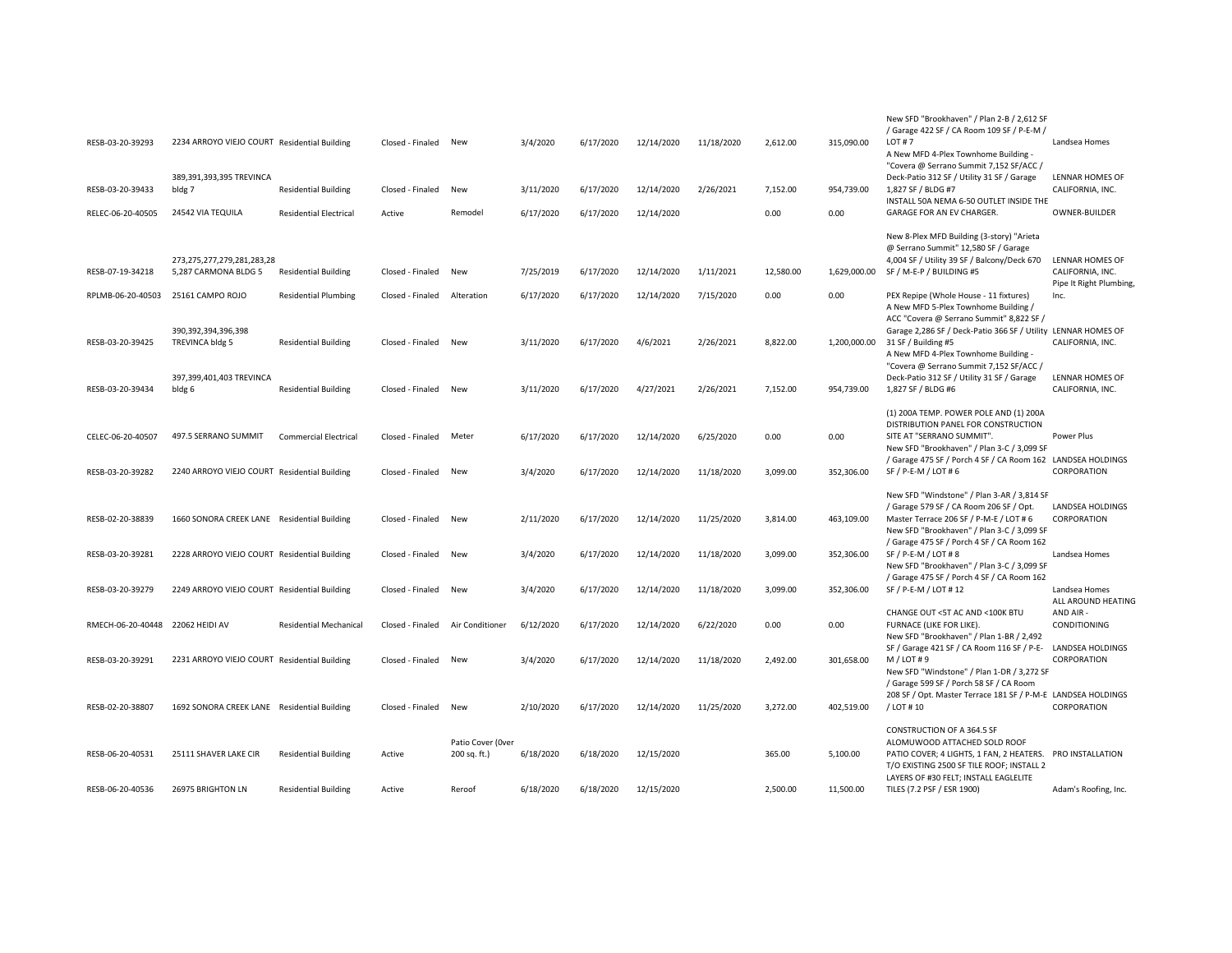| RESB-03-20-39293  | 2234 ARROYO VIEJO COURT Residential Building                       |                               | Closed - Finaled | New                               | 3/4/2020  | 6/17/2020 | 12/14/2020 | 11/18/2020 | 2,612.00  | 315,090.00   | New SFD "Brookhaven" / Plan 2-B / 2,612 SF<br>/ Garage 422 SF / CA Room 109 SF / P-E-M /<br>LOT#7<br>A New MFD 4-Plex Townhome Building -<br>"Covera @ Serrano Summit 7,152 SF/ACC /                                                                              | Landsea Homes                              |
|-------------------|--------------------------------------------------------------------|-------------------------------|------------------|-----------------------------------|-----------|-----------|------------|------------|-----------|--------------|-------------------------------------------------------------------------------------------------------------------------------------------------------------------------------------------------------------------------------------------------------------------|--------------------------------------------|
| RESB-03-20-39433  | 389,391,393,395 TREVINCA<br>bldg 7                                 | <b>Residential Building</b>   | Closed - Finaled | New                               | 3/11/2020 | 6/17/2020 | 12/14/2020 | 2/26/2021  | 7,152.00  | 954,739.00   | Deck-Patio 312 SF / Utility 31 SF / Garage<br>1,827 SF / BLDG #7                                                                                                                                                                                                  | LENNAR HOMES OF<br>CALIFORNIA, INC.        |
| RELEC-06-20-40505 | 24542 VIA TEQUILA                                                  | <b>Residential Electrical</b> | Active           | Remodel                           | 6/17/2020 | 6/17/2020 | 12/14/2020 |            | 0.00      | 0.00         | INSTALL 50A NEMA 6-50 OUTLET INSIDE THE<br>GARAGE FOR AN EV CHARGER.                                                                                                                                                                                              | <b>OWNER-BUILDER</b>                       |
| RESB-07-19-34218  | 273,275,277,279,281,283,28<br>5,287 CARMONA BLDG 5                 | <b>Residential Building</b>   | Closed - Finaled | New                               | 7/25/2019 | 6/17/2020 | 12/14/2020 | 1/11/2021  | 12,580.00 |              | New 8-Plex MFD Building (3-story) "Arieta<br>@ Serrano Summit" 12,580 SF / Garage<br>4,004 SF / Utility 39 SF / Balcony/Deck 670<br>1,629,000.00 SF / M-E-P / BUILDING #5                                                                                         | LENNAR HOMES OF<br>CALIFORNIA, INC.        |
| RPLMB-06-20-40503 | 25161 CAMPO ROJO                                                   | <b>Residential Plumbing</b>   | Closed - Finaled | Alteration                        | 6/17/2020 | 6/17/2020 | 12/14/2020 | 7/15/2020  | 0.00      | 0.00         | PEX Repipe (Whole House - 11 fixtures)<br>A New MFD 5-Plex Townhome Building /                                                                                                                                                                                    | Pipe It Right Plumbing,<br>Inc.            |
| RESB-03-20-39425  | 390,392,394,396,398<br>TREVINCA bldg 5<br>397,399,401,403 TREVINCA | <b>Residential Building</b>   | Closed - Finaled | New                               | 3/11/2020 | 6/17/2020 | 4/6/2021   | 2/26/2021  | 8,822.00  | 1,200,000.00 | ACC "Covera @ Serrano Summit" 8,822 SF /<br>Garage 2,286 SF / Deck-Patio 366 SF / Utility LENNAR HOMES OF<br>31 SF / Building #5<br>A New MFD 4-Plex Townhome Building -<br>"Covera @ Serrano Summit 7,152 SF/ACC /<br>Deck-Patio 312 SF / Utility 31 SF / Garage | CALIFORNIA, INC.<br><b>LENNAR HOMES OF</b> |
| RESB-03-20-39434  | bldg 6                                                             | <b>Residential Building</b>   | Closed - Finaled | New                               | 3/11/2020 | 6/17/2020 | 4/27/2021  | 2/26/2021  | 7,152.00  | 954,739.00   | 1,827 SF / BLDG #6                                                                                                                                                                                                                                                | CALIFORNIA, INC.                           |
| CELEC-06-20-40507 | 497.5 SERRANO SUMMIT                                               | <b>Commercial Electrical</b>  | Closed - Finaled | Meter                             | 6/17/2020 | 6/17/2020 | 12/14/2020 | 6/25/2020  | 0.00      | 0.00         | (1) 200A TEMP. POWER POLE AND (1) 200A<br>DISTRIBUTION PANEL FOR CONSTRUCTION<br>SITE AT "SERRANO SUMMIT".<br>New SFD "Brookhaven" / Plan 3-C / 3,099 SF                                                                                                          | Power Plus                                 |
| RESB-03-20-39282  | 2240 ARROYO VIEJO COURT Residential Building                       |                               | Closed - Finaled | New                               | 3/4/2020  | 6/17/2020 | 12/14/2020 | 11/18/2020 | 3,099.00  | 352,306.00   | / Garage 475 SF / Porch 4 SF / CA Room 162 LANDSEA HOLDINGS<br>SF / P-E-M / LOT # 6                                                                                                                                                                               | CORPORATION                                |
| RESB-02-20-38839  | 1660 SONORA CREEK LANE Residential Building                        |                               | Closed - Finaled | New                               | 2/11/2020 | 6/17/2020 | 12/14/2020 | 11/25/2020 | 3,814.00  | 463,109.00   | New SFD "Windstone" / Plan 3-AR / 3,814 SF<br>/ Garage 579 SF / CA Room 206 SF / Opt.<br>Master Terrace 206 SF / P-M-E / LOT # 6<br>New SFD "Brookhaven" / Plan 3-C / 3,099 SF<br>/ Garage 475 SF / Porch 4 SF / CA Room 162                                      | LANDSEA HOLDINGS<br>CORPORATION            |
| RESB-03-20-39281  | 2228 ARROYO VIEJO COURT Residential Building                       |                               | Closed - Finaled | New                               | 3/4/2020  | 6/17/2020 | 12/14/2020 | 11/18/2020 | 3,099.00  | 352,306.00   | SF / P-E-M / LOT # 8<br>New SFD "Brookhaven" / Plan 3-C / 3,099 SF                                                                                                                                                                                                | Landsea Homes                              |
| RESB-03-20-39279  | 2249 ARROYO VIEJO COURT Residential Building                       |                               | Closed - Finaled | New                               | 3/4/2020  | 6/17/2020 | 12/14/2020 | 11/18/2020 | 3,099.00  | 352,306.00   | / Garage 475 SF / Porch 4 SF / CA Room 162<br>SF / P-E-M / LOT # 12                                                                                                                                                                                               | Landsea Homes<br>ALL AROUND HEATING        |
| RMECH-06-20-40448 | 22062 HEIDI AV                                                     | <b>Residential Mechanical</b> | Closed - Finaled | Air Conditioner                   | 6/12/2020 | 6/17/2020 | 12/14/2020 | 6/22/2020  | 0.00      | 0.00         | CHANGE OUT <5T AC AND <100K BTU<br>FURNACE (LIKE FOR LIKE).<br>New SFD "Brookhaven" / Plan 1-BR / 2,492                                                                                                                                                           | AND AIR -<br>CONDITIONING                  |
| RESB-03-20-39291  | 2231 ARROYO VIEJO COURT Residential Building                       |                               | Closed - Finaled | New                               | 3/4/2020  | 6/17/2020 | 12/14/2020 | 11/18/2020 | 2,492.00  | 301,658.00   | SF / Garage 421 SF / CA Room 116 SF / P-E- LANDSEA HOLDINGS<br>$M / LOT$ #9<br>New SFD "Windstone" / Plan 1-DR / 3,272 SF<br>/ Garage 599 SF / Porch 58 SF / CA Room                                                                                              | CORPORATION                                |
| RESB-02-20-38807  | 1692 SONORA CREEK LANE Residential Building                        |                               | Closed - Finaled | New                               | 2/10/2020 | 6/17/2020 | 12/14/2020 | 11/25/2020 | 3.272.00  | 402,519.00   | 208 SF / Opt. Master Terrace 181 SF / P-M-E LANDSEA HOLDINGS<br>/ LOT #10                                                                                                                                                                                         | CORPORATION                                |
| RESB-06-20-40531  | 25111 SHAVER LAKE CIR                                              | <b>Residential Building</b>   | Active           | Patio Cover (Over<br>200 sq. ft.) | 6/18/2020 | 6/18/2020 | 12/15/2020 |            | 365.00    | 5,100.00     | CONSTRUCTION OF A 364.5 SF<br>ALOMUWOOD ATTACHED SOLD ROOF<br>PATIO COVER; 4 LIGHTS, 1 FAN, 2 HEATERS. PRO INSTALLATION<br>T/O EXISTING 2500 SF TILE ROOF; INSTALL 2<br>LAYERS OF #30 FELT; INSTALL EAGLELITE                                                     |                                            |
| RESB-06-20-40536  | 26975 BRIGHTON LN                                                  | <b>Residential Building</b>   | Active           | Reroof                            | 6/18/2020 | 6/18/2020 | 12/15/2020 |            | 2.500.00  | 11.500.00    | TILES (7.2 PSF / ESR 1900)                                                                                                                                                                                                                                        | Adam's Roofing, Inc.                       |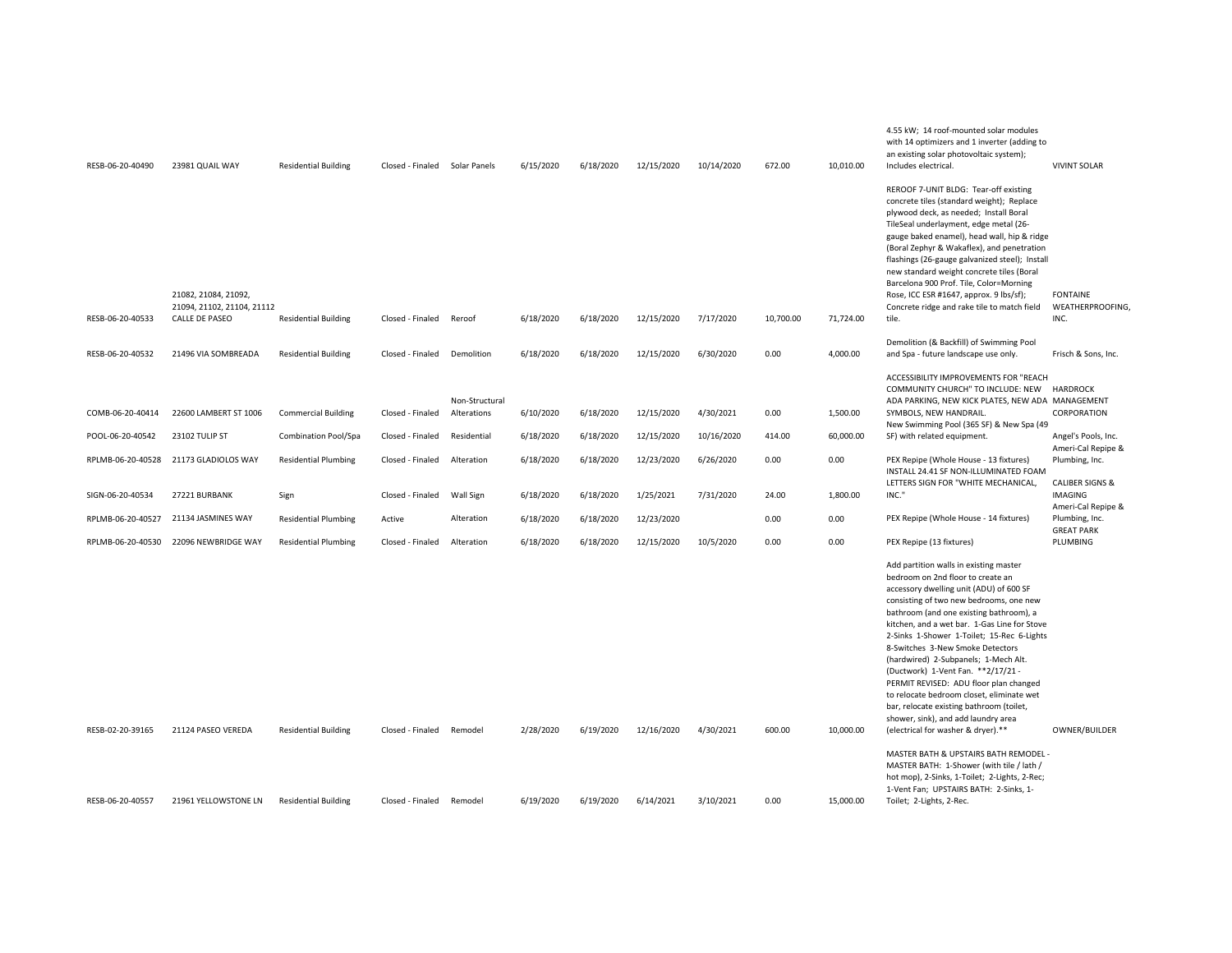| RESB-06-20-40490  | 23981 QUAIL WAY                                                             | <b>Residential Building</b> | Closed - Finaled | Solar Panels                  | 6/15/2020 | 6/18/2020 | 12/15/2020 | 10/14/2020 | 672.00    | 10.010.00 | 4.55 kW; 14 roof-mounted solar modules<br>with 14 optimizers and 1 inverter (adding to<br>an existing solar photovoltaic system);<br>Includes electrical.                                                                                                                                                                                                                                                                                                                                                                                                                                                                                     | <b>VIVINT SOLAR</b>                                                |
|-------------------|-----------------------------------------------------------------------------|-----------------------------|------------------|-------------------------------|-----------|-----------|------------|------------|-----------|-----------|-----------------------------------------------------------------------------------------------------------------------------------------------------------------------------------------------------------------------------------------------------------------------------------------------------------------------------------------------------------------------------------------------------------------------------------------------------------------------------------------------------------------------------------------------------------------------------------------------------------------------------------------------|--------------------------------------------------------------------|
| RESB-06-20-40533  | 21082, 21084, 21092,<br>21094, 21102, 21104, 21112<br><b>CALLE DE PASEO</b> | <b>Residential Building</b> | Closed - Finaled | Reroof                        | 6/18/2020 | 6/18/2020 | 12/15/2020 | 7/17/2020  | 10,700.00 | 71,724.00 | REROOF 7-UNIT BLDG: Tear-off existing<br>concrete tiles (standard weight); Replace<br>plywood deck, as needed; Install Boral<br>TileSeal underlayment, edge metal (26-<br>gauge baked enamel), head wall, hip & ridge<br>(Boral Zephyr & Wakaflex), and penetration<br>flashings (26-gauge galvanized steel); Install<br>new standard weight concrete tiles (Boral<br>Barcelona 900 Prof. Tile, Color=Morning<br>Rose, ICC ESR #1647, approx. 9 lbs/sf);<br>Concrete ridge and rake tile to match field<br>tile.                                                                                                                              | <b>FONTAINE</b><br>WEATHERPROOFING,<br>INC.                        |
|                   |                                                                             |                             |                  |                               |           |           |            |            |           |           | Demolition (& Backfill) of Swimming Pool                                                                                                                                                                                                                                                                                                                                                                                                                                                                                                                                                                                                      |                                                                    |
| RESB-06-20-40532  | 21496 VIA SOMBREADA                                                         | <b>Residential Building</b> | Closed - Finaled | Demolition                    | 6/18/2020 | 6/18/2020 | 12/15/2020 | 6/30/2020  | 0.00      | 4,000.00  | and Spa - future landscape use only.                                                                                                                                                                                                                                                                                                                                                                                                                                                                                                                                                                                                          | Frisch & Sons, Inc.                                                |
| COMB-06-20-40414  | 22600 LAMBERT ST 1006                                                       | <b>Commercial Building</b>  | Closed - Finaled | Non-Structural<br>Alterations | 6/10/2020 | 6/18/2020 | 12/15/2020 | 4/30/2021  | 0.00      | 1,500.00  | ACCESSIBILITY IMPROVEMENTS FOR "REACH<br>COMMUNITY CHURCH" TO INCLUDE: NEW<br>ADA PARKING, NEW KICK PLATES, NEW ADA MANAGEMENT<br>SYMBOLS, NEW HANDRAIL.<br>New Swimming Pool (365 SF) & New Spa (49                                                                                                                                                                                                                                                                                                                                                                                                                                          | <b>HARDROCK</b><br>CORPORATION                                     |
| POOL-06-20-40542  | 23102 TULIP ST                                                              | <b>Combination Pool/Spa</b> | Closed - Finaled | Residential                   | 6/18/2020 | 6/18/2020 | 12/15/2020 | 10/16/2020 | 414.00    | 60,000.00 | SF) with related equipment.                                                                                                                                                                                                                                                                                                                                                                                                                                                                                                                                                                                                                   | Angel's Pools, Inc.<br>Ameri-Cal Repipe &                          |
| RPLMB-06-20-40528 | 21173 GLADIOLOS WAY                                                         | <b>Residential Plumbing</b> | Closed - Finaled | Alteration                    | 6/18/2020 | 6/18/2020 | 12/23/2020 | 6/26/2020  | 0.00      | 0.00      | PEX Repipe (Whole House - 13 fixtures)<br>INSTALL 24.41 SF NON-ILLUMINATED FOAM                                                                                                                                                                                                                                                                                                                                                                                                                                                                                                                                                               | Plumbing, Inc.                                                     |
| SIGN-06-20-40534  | 27221 BURBANK                                                               | Sign                        | Closed - Finaled | Wall Sign                     | 6/18/2020 | 6/18/2020 | 1/25/2021  | 7/31/2020  | 24.00     | 1,800.00  | LETTERS SIGN FOR "WHITE MECHANICAL.<br>INC."                                                                                                                                                                                                                                                                                                                                                                                                                                                                                                                                                                                                  | <b>CALIBER SIGNS &amp;</b><br><b>IMAGING</b><br>Ameri-Cal Repipe & |
| RPLMB-06-20-40527 | 21134 JASMINES WAY                                                          | <b>Residential Plumbing</b> | Active           | Alteration                    | 6/18/2020 | 6/18/2020 | 12/23/2020 |            | 0.00      | 0.00      | PEX Repipe (Whole House - 14 fixtures)                                                                                                                                                                                                                                                                                                                                                                                                                                                                                                                                                                                                        | Plumbing, Inc.<br><b>GREAT PARK</b>                                |
| RPLMB-06-20-40530 | 22096 NEWBRIDGE WAY                                                         | <b>Residential Plumbing</b> | Closed - Finaled | Alteration                    | 6/18/2020 | 6/18/2020 | 12/15/2020 | 10/5/2020  | 0.00      | 0.00      | PEX Repipe (13 fixtures)                                                                                                                                                                                                                                                                                                                                                                                                                                                                                                                                                                                                                      | PLUMBING                                                           |
| RESB-02-20-39165  | 21124 PASEO VEREDA                                                          | <b>Residential Building</b> | Closed - Finaled | Remodel                       | 2/28/2020 | 6/19/2020 | 12/16/2020 | 4/30/2021  | 600.00    | 10,000.00 | Add partition walls in existing master<br>bedroom on 2nd floor to create an<br>accessory dwelling unit (ADU) of 600 SF<br>consisting of two new bedrooms, one new<br>bathroom (and one existing bathroom), a<br>kitchen, and a wet bar. 1-Gas Line for Stove<br>2-Sinks 1-Shower 1-Toilet; 15-Rec 6-Lights<br>8-Switches 3-New Smoke Detectors<br>(hardwired) 2-Subpanels; 1-Mech Alt.<br>(Ductwork) 1-Vent Fan. ** 2/17/21 -<br>PERMIT REVISED: ADU floor plan changed<br>to relocate bedroom closet, eliminate wet<br>bar, relocate existing bathroom (toilet,<br>shower, sink), and add laundry area<br>(electrical for washer & dryer).** | OWNER/BUILDER                                                      |
| RESB-06-20-40557  | 21961 YELLOWSTONE LN                                                        | <b>Residential Building</b> | Closed - Finaled | Remodel                       | 6/19/2020 | 6/19/2020 | 6/14/2021  | 3/10/2021  | 0.00      | 15,000.00 | MASTER BATH & UPSTAIRS BATH REMODEL -<br>MASTER BATH: 1-Shower (with tile / lath /<br>hot mop), 2-Sinks, 1-Toilet; 2-Lights, 2-Rec;<br>1-Vent Fan; UPSTAIRS BATH: 2-Sinks, 1-<br>Toilet; 2-Lights, 2-Rec.                                                                                                                                                                                                                                                                                                                                                                                                                                     |                                                                    |
|                   |                                                                             |                             |                  |                               |           |           |            |            |           |           |                                                                                                                                                                                                                                                                                                                                                                                                                                                                                                                                                                                                                                               |                                                                    |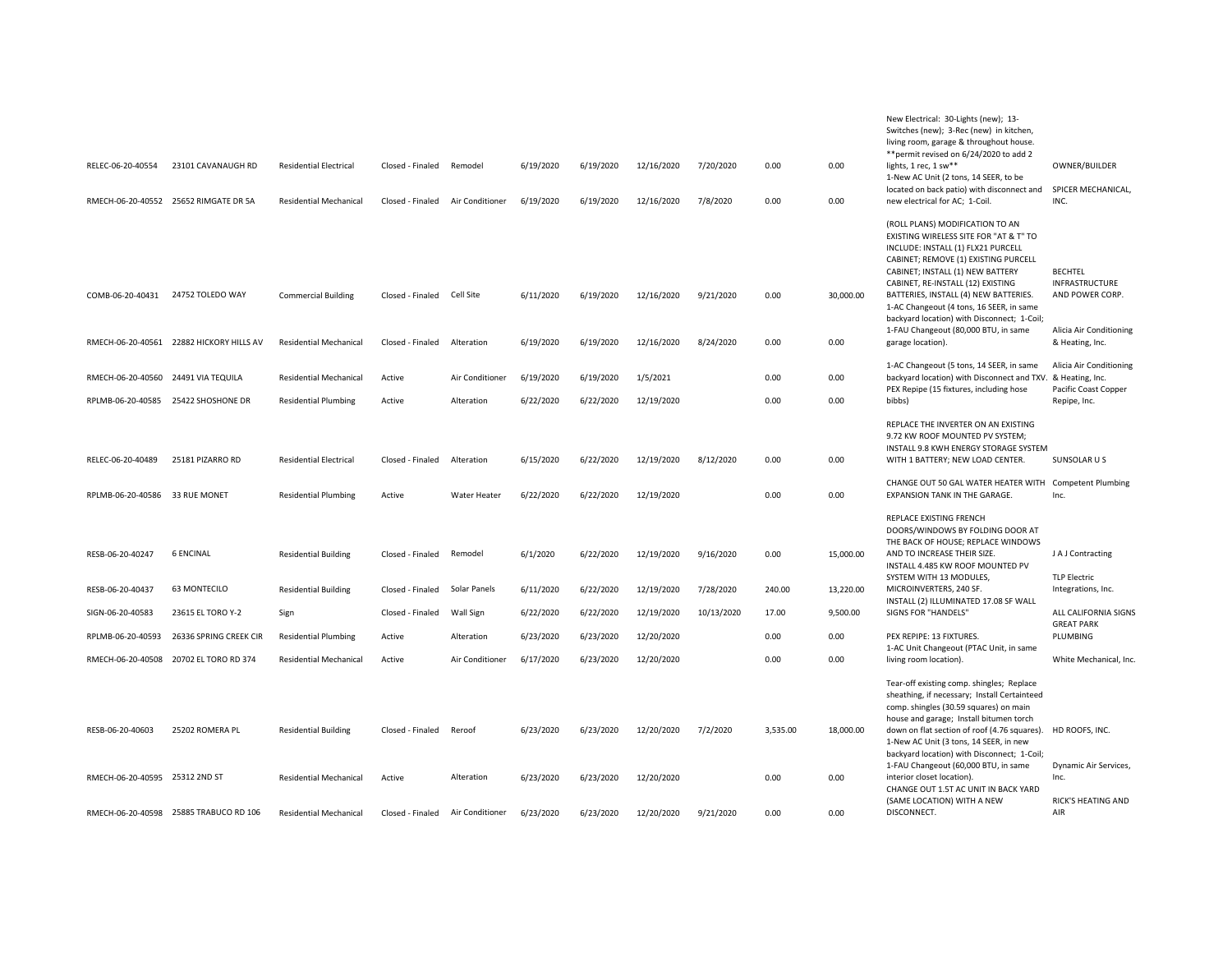|                                     |                                          |                               |                  |                  |           |           |            |            |          |           | New Electrical: 30-Lights (new); 13-<br>Switches (new); 3-Rec (new) in kitchen,<br>living room, garage & throughout house.<br>** permit revised on 6/24/2020 to add 2                                                                                                                                                                                                                                        |                                                                                       |
|-------------------------------------|------------------------------------------|-------------------------------|------------------|------------------|-----------|-----------|------------|------------|----------|-----------|--------------------------------------------------------------------------------------------------------------------------------------------------------------------------------------------------------------------------------------------------------------------------------------------------------------------------------------------------------------------------------------------------------------|---------------------------------------------------------------------------------------|
| RELEC-06-20-40554                   | 23101 CAVANAUGH RD                       | <b>Residential Electrical</b> | Closed - Finaled | Remodel          | 6/19/2020 | 6/19/2020 | 12/16/2020 | 7/20/2020  | 0.00     | 0.00      | lights, 1 rec, 1 sw**<br>1-New AC Unit (2 tons, 14 SEER, to be                                                                                                                                                                                                                                                                                                                                               | OWNER/BUILDER                                                                         |
|                                     | RMECH-06-20-40552 25652 RIMGATE DR 5A    | <b>Residential Mechanical</b> | Closed - Finaled | Air Conditioner  | 6/19/2020 | 6/19/2020 | 12/16/2020 | 7/8/2020   | 0.00     | 0.00      | located on back patio) with disconnect and SPICER MECHANICAL<br>new electrical for AC; 1-Coil.                                                                                                                                                                                                                                                                                                               | INC.                                                                                  |
| COMB-06-20-40431                    | 24752 TOLEDO WAY                         | <b>Commercial Building</b>    | Closed - Finaled | Cell Site        | 6/11/2020 | 6/19/2020 | 12/16/2020 | 9/21/2020  | 0.00     | 30,000.00 | (ROLL PLANS) MODIFICATION TO AN<br>EXISTING WIRELESS SITE FOR "AT & T" TO<br>INCLUDE: INSTALL (1) FLX21 PURCELL<br>CABINET; REMOVE (1) EXISTING PURCELL<br>CABINET; INSTALL (1) NEW BATTERY<br>CABINET, RE-INSTALL (12) EXISTING<br>BATTERIES, INSTALL (4) NEW BATTERIES.<br>1-AC Changeout (4 tons, 16 SEER, in same<br>backyard location) with Disconnect; 1-Coil;<br>1-FAU Changeout (80,000 BTU, in same | <b>BECHTEL</b><br><b>INFRASTRUCTURE</b><br>AND POWER CORP.<br>Alicia Air Conditioning |
|                                     | RMECH-06-20-40561 22882 HICKORY HILLS AV | <b>Residential Mechanical</b> | Closed - Finaled | Alteration       | 6/19/2020 | 6/19/2020 | 12/16/2020 | 8/24/2020  | 0.00     | 0.00      | garage location).                                                                                                                                                                                                                                                                                                                                                                                            | & Heating, Inc.                                                                       |
| RMECH-06-20-40560                   | 24491 VIA TEQUILA                        | <b>Residential Mechanical</b> | Active           | Air Conditioner  | 6/19/2020 | 6/19/2020 | 1/5/2021   |            | 0.00     | 0.00      | 1-AC Changeout (5 tons, 14 SEER, in same<br>backyard location) with Disconnect and TXV.<br>PEX Repipe (15 fixtures, including hose                                                                                                                                                                                                                                                                           | Alicia Air Conditioning<br>& Heating, Inc.<br>Pacific Coast Copper                    |
| RPLMB-06-20-40585 25422 SHOSHONE DR |                                          | <b>Residential Plumbing</b>   | Active           | Alteration       | 6/22/2020 | 6/22/2020 | 12/19/2020 |            | 0.00     | 0.00      | bibbs)                                                                                                                                                                                                                                                                                                                                                                                                       | Repipe, Inc.                                                                          |
| RELEC-06-20-40489                   | 25181 PIZARRO RD                         | <b>Residential Electrical</b> | Closed - Finaled | Alteration       | 6/15/2020 | 6/22/2020 | 12/19/2020 | 8/12/2020  | 0.00     | 0.00      | REPLACE THE INVERTER ON AN EXISTING<br>9.72 KW ROOF MOUNTED PV SYSTEM:<br>INSTALL 9.8 KWH ENERGY STORAGE SYSTEM<br>WITH 1 BATTERY; NEW LOAD CENTER.                                                                                                                                                                                                                                                          | SUNSOLAR U S                                                                          |
| RPLMB-06-20-40586 33 RUE MONET      |                                          | <b>Residential Plumbing</b>   | Active           | Water Heater     | 6/22/2020 | 6/22/2020 | 12/19/2020 |            | 0.00     | 0.00      | CHANGE OUT 50 GAL WATER HEATER WITH Competent Plumbing<br>EXPANSION TANK IN THE GARAGE.                                                                                                                                                                                                                                                                                                                      | Inc.                                                                                  |
| RESB-06-20-40247                    | <b>6 ENCINAL</b>                         | <b>Residential Building</b>   | Closed - Finaled | Remodel          | 6/1/2020  | 6/22/2020 | 12/19/2020 | 9/16/2020  | 0.00     | 15,000.00 | <b>REPLACE EXISTING FRENCH</b><br>DOORS/WINDOWS BY FOLDING DOOR AT<br>THE BACK OF HOUSE; REPLACE WINDOWS<br>AND TO INCREASE THEIR SIZE.<br>INSTALL 4.485 KW ROOF MOUNTED PV<br>SYSTEM WITH 13 MODULES.                                                                                                                                                                                                       | J A J Contracting<br><b>TLP Electric</b>                                              |
| RESB-06-20-40437                    | <b>63 MONTECILO</b>                      | <b>Residential Building</b>   | Closed - Finaled | Solar Panels     | 6/11/2020 | 6/22/2020 | 12/19/2020 | 7/28/2020  | 240.00   | 13,220.00 | MICROINVERTERS, 240 SF.<br>INSTALL (2) ILLUMINATED 17.08 SF WALL                                                                                                                                                                                                                                                                                                                                             | Integrations, Inc.                                                                    |
| SIGN-06-20-40583                    | 23615 EL TORO Y-2                        | Sign                          | Closed - Finaled | <b>Wall Sign</b> | 6/22/2020 | 6/22/2020 | 12/19/2020 | 10/13/2020 | 17.00    | 9,500.00  | SIGNS FOR "HANDELS"                                                                                                                                                                                                                                                                                                                                                                                          | ALL CALIFORNIA SIGNS<br><b>GREAT PARK</b>                                             |
| RPLMB-06-20-40593                   | 26336 SPRING CREEK CIR                   | <b>Residential Plumbing</b>   | Active           | Alteration       | 6/23/2020 | 6/23/2020 | 12/20/2020 |            | 0.00     | 0.00      | PEX REPIPE: 13 FIXTURES.<br>1-AC Unit Changeout (PTAC Unit, in same                                                                                                                                                                                                                                                                                                                                          | PLUMBING                                                                              |
| RMECH-06-20-40508                   | 20702 EL TORO RD 374                     | <b>Residential Mechanical</b> | Active           | Air Conditioner  | 6/17/2020 | 6/23/2020 | 12/20/2020 |            | 0.00     | 0.00      | living room location).                                                                                                                                                                                                                                                                                                                                                                                       | White Mechanical, Inc.                                                                |
| RESB-06-20-40603                    | 25202 ROMERA PL                          | <b>Residential Building</b>   | Closed - Finaled | Reroof           | 6/23/2020 | 6/23/2020 | 12/20/2020 | 7/2/2020   | 3,535.00 | 18,000.00 | Tear-off existing comp. shingles; Replace<br>sheathing, if necessary; Install Certainteed<br>comp. shingles (30.59 squares) on main<br>house and garage; Install bitumen torch<br>down on flat section of roof (4.76 squares). HD ROOFS, INC.<br>1-New AC Unit (3 tons, 14 SEER, in new<br>backyard location) with Disconnect; 1-Coil;<br>1-FAU Changeout (60,000 BTU, in same                               | Dynamic Air Services,                                                                 |
| RMECH-06-20-40595 25312 2ND ST      |                                          | <b>Residential Mechanical</b> | Active           | Alteration       | 6/23/2020 | 6/23/2020 | 12/20/2020 |            | 0.00     | 0.00      | interior closet location).<br>CHANGE OUT 1.5T AC UNIT IN BACK YARD<br>(SAME LOCATION) WITH A NEW                                                                                                                                                                                                                                                                                                             | Inc.<br><b>RICK'S HEATING AND</b>                                                     |
|                                     | RMECH-06-20-40598 25885 TRABUCO RD 106   | <b>Residential Mechanical</b> | Closed - Finaled | Air Conditioner  | 6/23/2020 | 6/23/2020 | 12/20/2020 | 9/21/2020  | 0.00     | 0.00      | DISCONNECT.                                                                                                                                                                                                                                                                                                                                                                                                  | AIR                                                                                   |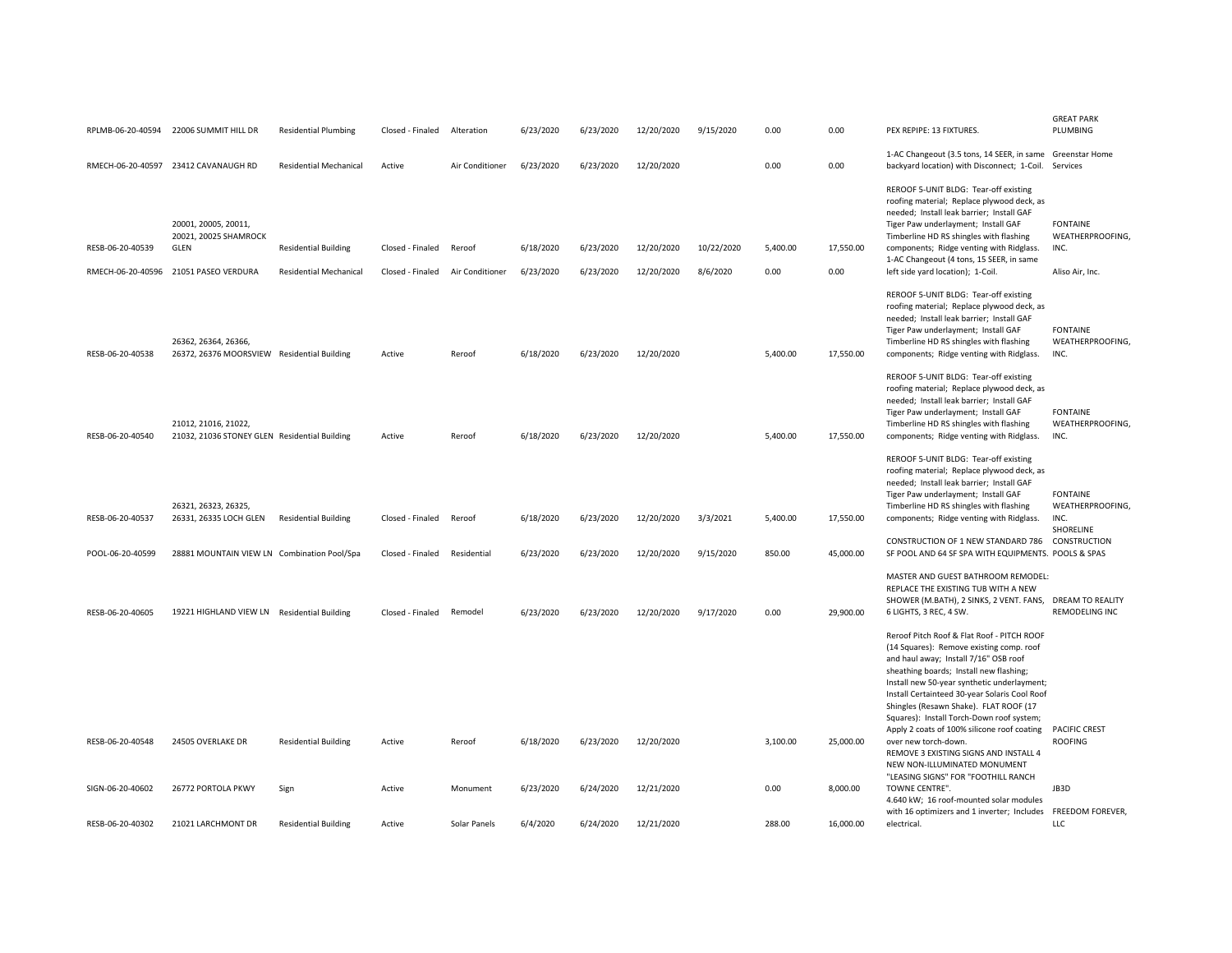|                   | RPLMB-06-20-40594 22006 SUMMIT HILL DR                                       | <b>Residential Plumbing</b>   | Closed - Finaled | Alteration      | 6/23/2020 | 6/23/2020 | 12/20/2020               | 9/15/2020              | 0.00             | 0.00              | PEX REPIPE: 13 FIXTURES.                                                                                                                                                                                                                                                                                                                                                                                                                                                                                          | <b>GREAT PARK</b><br>PLUMBING               |
|-------------------|------------------------------------------------------------------------------|-------------------------------|------------------|-----------------|-----------|-----------|--------------------------|------------------------|------------------|-------------------|-------------------------------------------------------------------------------------------------------------------------------------------------------------------------------------------------------------------------------------------------------------------------------------------------------------------------------------------------------------------------------------------------------------------------------------------------------------------------------------------------------------------|---------------------------------------------|
|                   | RMECH-06-20-40597 23412 CAVANAUGH RD                                         | <b>Residential Mechanical</b> | Active           | Air Conditioner | 6/23/2020 | 6/23/2020 | 12/20/2020               |                        | 0.00             | 0.00              | 1-AC Changeout (3.5 tons, 14 SEER, in same Greenstar Home<br>backyard location) with Disconnect; 1-Coil.                                                                                                                                                                                                                                                                                                                                                                                                          | Services                                    |
| RESB-06-20-40539  | 20001, 20005, 20011,<br>20021, 20025 SHAMROCK<br>GLEN<br>21051 PASEO VERDURA | <b>Residential Building</b>   | Closed - Finaled | Reroof          | 6/18/2020 | 6/23/2020 | 12/20/2020<br>12/20/2020 | 10/22/2020<br>8/6/2020 | 5,400.00<br>0.00 | 17,550.00<br>0.00 | REROOF 5-UNIT BLDG: Tear-off existing<br>roofing material; Replace plywood deck, as<br>needed; Install leak barrier; Install GAF<br>Tiger Paw underlayment; Install GAF<br>Timberline HD RS shingles with flashing<br>components; Ridge venting with Ridglass.<br>1-AC Changeout (4 tons, 15 SEER, in same                                                                                                                                                                                                        | <b>FONTAINE</b><br>WEATHERPROOFING,<br>INC. |
| RMECH-06-20-40596 |                                                                              | <b>Residential Mechanical</b> | Closed - Finaled | Air Conditioner | 6/23/2020 | 6/23/2020 |                          |                        |                  |                   | left side yard location); 1-Coil.<br>REROOF 5-UNIT BLDG: Tear-off existing                                                                                                                                                                                                                                                                                                                                                                                                                                        | Aliso Air, Inc.                             |
| RESB-06-20-40538  | 26362, 26364, 26366,<br>26372, 26376 MOORSVIEW Residential Building          |                               | Active           | Reroof          | 6/18/2020 | 6/23/2020 | 12/20/2020               |                        | 5,400.00         | 17,550.00         | roofing material; Replace plywood deck, as<br>needed; Install leak barrier; Install GAF<br>Tiger Paw underlayment; Install GAF<br>Timberline HD RS shingles with flashing<br>components; Ridge venting with Ridglass.                                                                                                                                                                                                                                                                                             | <b>FONTAINE</b><br>WEATHERPROOFING,<br>INC. |
| RESB-06-20-40540  | 21012, 21016, 21022,<br>21032, 21036 STONEY GLEN Residential Building        |                               | Active           | Reroof          | 6/18/2020 | 6/23/2020 | 12/20/2020               |                        | 5,400.00         | 17,550.00         | REROOF 5-UNIT BLDG: Tear-off existing<br>roofing material; Replace plywood deck, as<br>needed; Install leak barrier; Install GAF<br>Tiger Paw underlayment; Install GAF<br>Timberline HD RS shingles with flashing<br>components; Ridge venting with Ridglass.                                                                                                                                                                                                                                                    | <b>FONTAINE</b><br>WEATHERPROOFING,<br>INC. |
| RESB-06-20-40537  | 26321, 26323, 26325,<br>26331, 26335 LOCH GLEN                               | <b>Residential Building</b>   | Closed - Finaled | Reroof          | 6/18/2020 | 6/23/2020 | 12/20/2020               | 3/3/2021               | 5,400.00         | 17,550.00         | REROOF 5-UNIT BLDG: Tear-off existing<br>roofing material; Replace plywood deck, as<br>needed; Install leak barrier; Install GAF<br>Tiger Paw underlayment; Install GAF<br>Timberline HD RS shingles with flashing<br>components; Ridge venting with Ridglass.                                                                                                                                                                                                                                                    | <b>FONTAINE</b><br>WEATHERPROOFING.<br>INC. |
| POOL-06-20-40599  | 28881 MOUNTAIN VIEW LN Combination Pool/Spa                                  |                               | Closed - Finaled | Residential     | 6/23/2020 | 6/23/2020 | 12/20/2020               | 9/15/2020              | 850.00           | 45,000.00         | CONSTRUCTION OF 1 NEW STANDARD 786<br>SF POOL AND 64 SF SPA WITH EQUIPMENTS. POOLS & SPAS                                                                                                                                                                                                                                                                                                                                                                                                                         | SHORELINE<br>CONSTRUCTION                   |
| RESB-06-20-40605  | 19221 HIGHLAND VIEW LN Residential Building                                  |                               | Closed - Finaled | Remodel         | 6/23/2020 | 6/23/2020 | 12/20/2020               | 9/17/2020              | 0.00             | 29,900.00         | MASTER AND GUEST BATHROOM REMODEL:<br>REPLACE THE EXISTING TUB WITH A NEW<br>SHOWER (M.BATH), 2 SINKS, 2 VENT. FANS, DREAM TO REALITY<br>6 LIGHTS, 3 REC, 4 SW.                                                                                                                                                                                                                                                                                                                                                   | REMODELING INC                              |
| RESB-06-20-40548  | 24505 OVERLAKE DR                                                            | <b>Residential Building</b>   | Active           | Reroof          | 6/18/2020 | 6/23/2020 | 12/20/2020               |                        | 3,100.00         | 25,000.00         | Reroof Pitch Roof & Flat Roof - PITCH ROOF<br>(14 Squares): Remove existing comp. roof<br>and haul away; Install 7/16" OSB roof<br>sheathing boards; Install new flashing;<br>Install new 50-year synthetic underlayment;<br>Install Certainteed 30-year Solaris Cool Roof<br>Shingles (Resawn Shake). FLAT ROOF (17<br>Squares): Install Torch-Down roof system;<br>Apply 2 coats of 100% silicone roof coating<br>over new torch-down.<br>REMOVE 3 EXISTING SIGNS AND INSTALL 4<br>NEW NON-ILLUMINATED MONUMENT | <b>PACIFIC CREST</b><br><b>ROOFING</b>      |
| SIGN-06-20-40602  | 26772 PORTOLA PKWY                                                           | Sign                          | Active           | Monument        | 6/23/2020 | 6/24/2020 | 12/21/2020               |                        | 0.00             | 8,000.00          | "LEASING SIGNS" FOR "FOOTHILL RANCH<br>TOWNE CENTRE".<br>4.640 kW; 16 roof-mounted solar modules                                                                                                                                                                                                                                                                                                                                                                                                                  | JB3D                                        |
| RESB-06-20-40302  | 21021 LARCHMONT DR                                                           | <b>Residential Building</b>   | Active           | Solar Panels    | 6/4/2020  | 6/24/2020 | 12/21/2020               |                        | 288.00           | 16,000.00         | with 16 optimizers and 1 inverter; Includes FREEDOM FOREVER,<br>electrical.                                                                                                                                                                                                                                                                                                                                                                                                                                       | LLC                                         |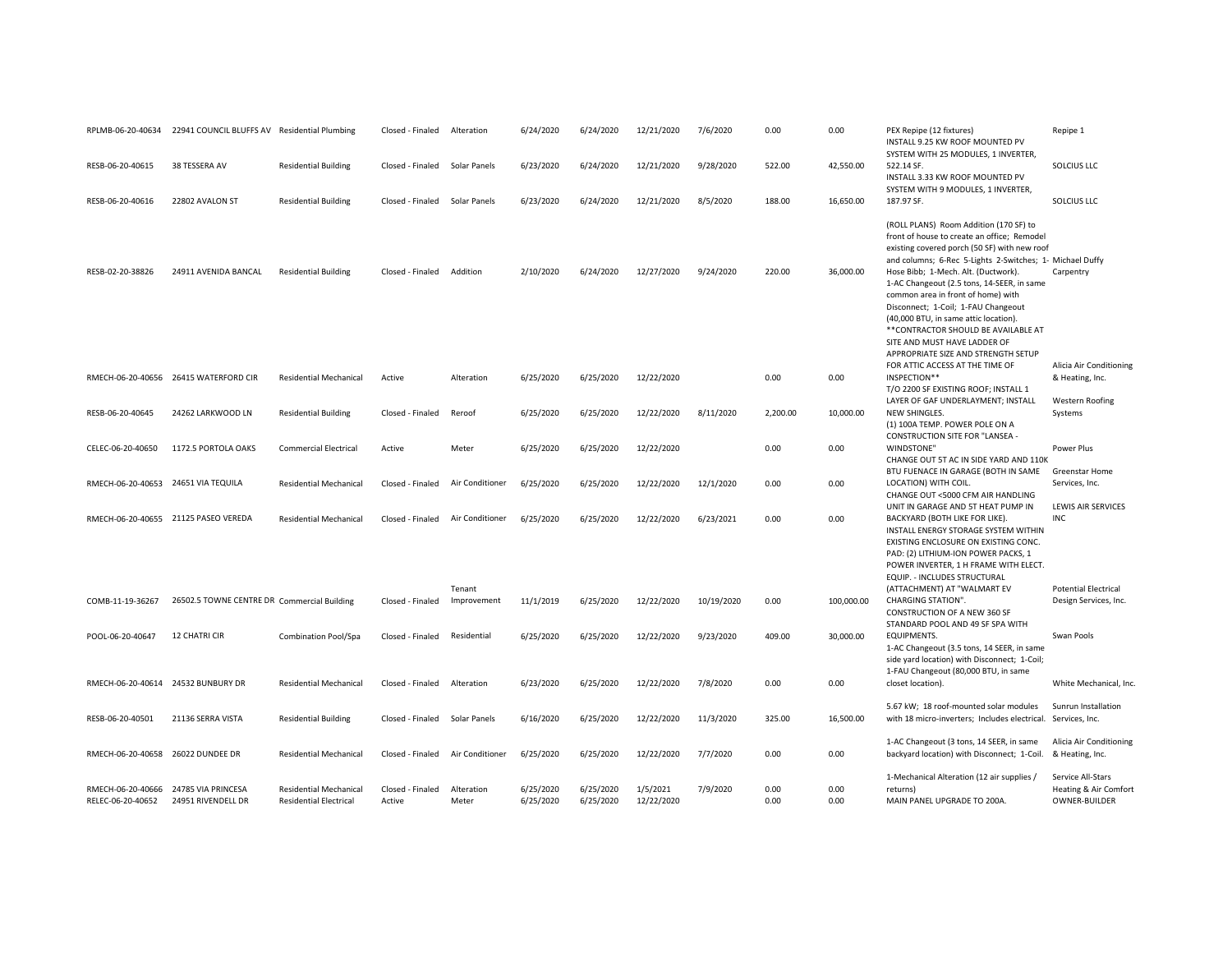|                                        | RPLMB-06-20-40634 22941 COUNCIL BLUFFS AV Residential Plumbing |                                                                | Closed - Finaled           | Alteration            | 6/24/2020              | 6/24/2020              | 12/21/2020             | 7/6/2020   | 0.00         | 0.00         | PEX Repipe (12 fixtures)<br>INSTALL 9.25 KW ROOF MOUNTED PV<br>SYSTEM WITH 25 MODULES, 1 INVERTER,                                                                                                                                                                                                                                                        | Repipe 1                                                    |
|----------------------------------------|----------------------------------------------------------------|----------------------------------------------------------------|----------------------------|-----------------------|------------------------|------------------------|------------------------|------------|--------------|--------------|-----------------------------------------------------------------------------------------------------------------------------------------------------------------------------------------------------------------------------------------------------------------------------------------------------------------------------------------------------------|-------------------------------------------------------------|
| RESB-06-20-40615                       | 38 TESSERA AV                                                  | <b>Residential Building</b>                                    | Closed - Finaled           | Solar Panels          | 6/23/2020              | 6/24/2020              | 12/21/2020             | 9/28/2020  | 522.00       | 42,550.00    | 522.14 SF.<br>INSTALL 3.33 KW ROOF MOUNTED PV                                                                                                                                                                                                                                                                                                             | SOLCIUS LLC                                                 |
| RESB-06-20-40616                       | 22802 AVALON ST                                                | <b>Residential Building</b>                                    | Closed - Finaled           | Solar Panels          | 6/23/2020              | 6/24/2020              | 12/21/2020             | 8/5/2020   | 188.00       | 16,650.00    | SYSTEM WITH 9 MODULES, 1 INVERTER,<br>187.97 SF.                                                                                                                                                                                                                                                                                                          | SOLCIUS LLC                                                 |
|                                        |                                                                |                                                                |                            |                       |                        |                        |                        |            |              |              | (ROLL PLANS) Room Addition (170 SF) to<br>front of house to create an office; Remodel<br>existing covered porch (50 SF) with new roof<br>and columns; 6-Rec 5-Lights 2-Switches; 1- Michael Duffy                                                                                                                                                         |                                                             |
| RESB-02-20-38826                       | 24911 AVENIDA BANCAL                                           | <b>Residential Building</b>                                    | Closed - Finaled           | Addition              | 2/10/2020              | 6/24/2020              | 12/27/2020             | 9/24/2020  | 220.00       | 36,000.00    | Hose Bibb; 1-Mech. Alt. (Ductwork).<br>1-AC Changeout (2.5 tons, 14-SEER, in same<br>common area in front of home) with<br>Disconnect; 1-Coil; 1-FAU Changeout<br>(40,000 BTU, in same attic location).<br>** CONTRACTOR SHOULD BE AVAILABLE AT<br>SITE AND MUST HAVE LADDER OF<br>APPROPRIATE SIZE AND STRENGTH SETUP<br>FOR ATTIC ACCESS AT THE TIME OF | Carpentry<br>Alicia Air Conditioning                        |
|                                        | RMECH-06-20-40656 26415 WATERFORD CIR                          | <b>Residential Mechanical</b>                                  | Active                     | Alteration            | 6/25/2020              | 6/25/2020              | 12/22/2020             |            | 0.00         | 0.00         | INSPECTION**<br>T/O 2200 SF EXISTING ROOF; INSTALL 1<br>LAYER OF GAF UNDERLAYMENT; INSTALL                                                                                                                                                                                                                                                                | & Heating, Inc.<br><b>Western Roofing</b>                   |
| RESB-06-20-40645                       | 24262 LARKWOOD LN                                              | <b>Residential Building</b>                                    | Closed - Finaled           | Reroof                | 6/25/2020              | 6/25/2020              | 12/22/2020             | 8/11/2020  | 2.200.00     | 10.000.00    | <b>NEW SHINGLES.</b><br>(1) 100A TEMP. POWER POLE ON A<br>CONSTRUCTION SITE FOR "LANSEA -                                                                                                                                                                                                                                                                 | Systems                                                     |
| CELEC-06-20-40650                      | 1172.5 PORTOLA OAKS                                            | <b>Commercial Electrical</b>                                   | Active                     | Meter                 | 6/25/2020              | 6/25/2020              | 12/22/2020             |            | 0.00         | 0.00         | WINDSTONE"<br>CHANGE OUT 5T AC IN SIDE YARD AND 110K                                                                                                                                                                                                                                                                                                      | Power Plus                                                  |
| RMECH-06-20-40653 24651 VIA TEQUILA    |                                                                | <b>Residential Mechanical</b>                                  | Closed - Finaled           | Air Conditioner       | 6/25/2020              | 6/25/2020              | 12/22/2020             | 12/1/2020  | 0.00         | 0.00         | BTU FUENACE IN GARAGE (BOTH IN SAME<br>LOCATION) WITH COIL.<br>CHANGE OUT <5000 CFM AIR HANDLING                                                                                                                                                                                                                                                          | Greenstar Home<br>Services, Inc.                            |
|                                        | RMECH-06-20-40655 21125 PASEO VEREDA                           | <b>Residential Mechanical</b>                                  | Closed - Finaled           | Air Conditioner       | 6/25/2020              | 6/25/2020              | 12/22/2020             | 6/23/2021  | 0.00         | 0.00         | UNIT IN GARAGE AND 5T HEAT PUMP IN<br>BACKYARD (BOTH LIKE FOR LIKE).<br>INSTALL ENERGY STORAGE SYSTEM WITHIN<br>EXISTING ENCLOSURE ON EXISTING CONC.<br>PAD: (2) LITHIUM-ION POWER PACKS, 1<br>POWER INVERTER, 1 H FRAME WITH ELECT.<br>EQUIP. - INCLUDES STRUCTURAL                                                                                      | LEWIS AIR SERVICES<br><b>INC</b>                            |
| COMB-11-19-36267                       | 26502.5 TOWNE CENTRE DR Commercial Building                    |                                                                | Closed - Finaled           | Tenant<br>Improvement | 11/1/2019              | 6/25/2020              | 12/22/2020             | 10/19/2020 | 0.00         | 100,000.00   | (ATTACHMENT) AT "WALMART EV<br><b>CHARGING STATION".</b><br>CONSTRUCTION OF A NEW 360 SF                                                                                                                                                                                                                                                                  | <b>Potential Electrical</b><br>Design Services, Inc.        |
| POOL-06-20-40647                       | <b>12 CHATRI CIR</b>                                           | Combination Pool/Spa                                           | Closed - Finaled           | Residential           | 6/25/2020              | 6/25/2020              | 12/22/2020             | 9/23/2020  | 409.00       | 30,000.00    | STANDARD POOL AND 49 SF SPA WITH<br>EQUIPMENTS.<br>1-AC Changeout (3.5 tons, 14 SEER, in same<br>side yard location) with Disconnect; 1-Coil;                                                                                                                                                                                                             | Swan Pools                                                  |
| RMECH-06-20-40614 24532 BUNBURY DR     |                                                                | <b>Residential Mechanical</b>                                  | Closed - Finaled           | Alteration            | 6/23/2020              | 6/25/2020              | 12/22/2020             | 7/8/2020   | 0.00         | 0.00         | 1-FAU Changeout (80,000 BTU, in same<br>closet location).                                                                                                                                                                                                                                                                                                 | White Mechanical, Inc.                                      |
| RESB-06-20-40501                       | 21136 SERRA VISTA                                              | <b>Residential Building</b>                                    | Closed - Finaled           | Solar Panels          | 6/16/2020              | 6/25/2020              | 12/22/2020             | 11/3/2020  | 325.00       | 16,500.00    | 5.67 kW; 18 roof-mounted solar modules<br>with 18 micro-inverters; Includes electrical. Services, Inc.                                                                                                                                                                                                                                                    | Sunrun Installation                                         |
| RMECH-06-20-40658 26022 DUNDEE DR      |                                                                | <b>Residential Mechanical</b>                                  | Closed - Finaled           | Air Conditioner       | 6/25/2020              | 6/25/2020              | 12/22/2020             | 7/7/2020   | 0.00         | 0.00         | 1-AC Changeout (3 tons, 14 SEER, in same<br>backyard location) with Disconnect; 1-Coil.                                                                                                                                                                                                                                                                   | Alicia Air Conditioning<br>& Heating, Inc.                  |
| RMECH-06-20-40666<br>RELEC-06-20-40652 | 24785 VIA PRINCESA<br>24951 RIVENDELL DR                       | <b>Residential Mechanical</b><br><b>Residential Electrical</b> | Closed - Finaled<br>Active | Alteration<br>Meter   | 6/25/2020<br>6/25/2020 | 6/25/2020<br>6/25/2020 | 1/5/2021<br>12/22/2020 | 7/9/2020   | 0.00<br>0.00 | 0.00<br>0.00 | 1-Mechanical Alteration (12 air supplies /<br>returns)<br>MAIN PANEL UPGRADE TO 200A.                                                                                                                                                                                                                                                                     | Service All-Stars<br>Heating & Air Comfort<br>OWNER-BUILDER |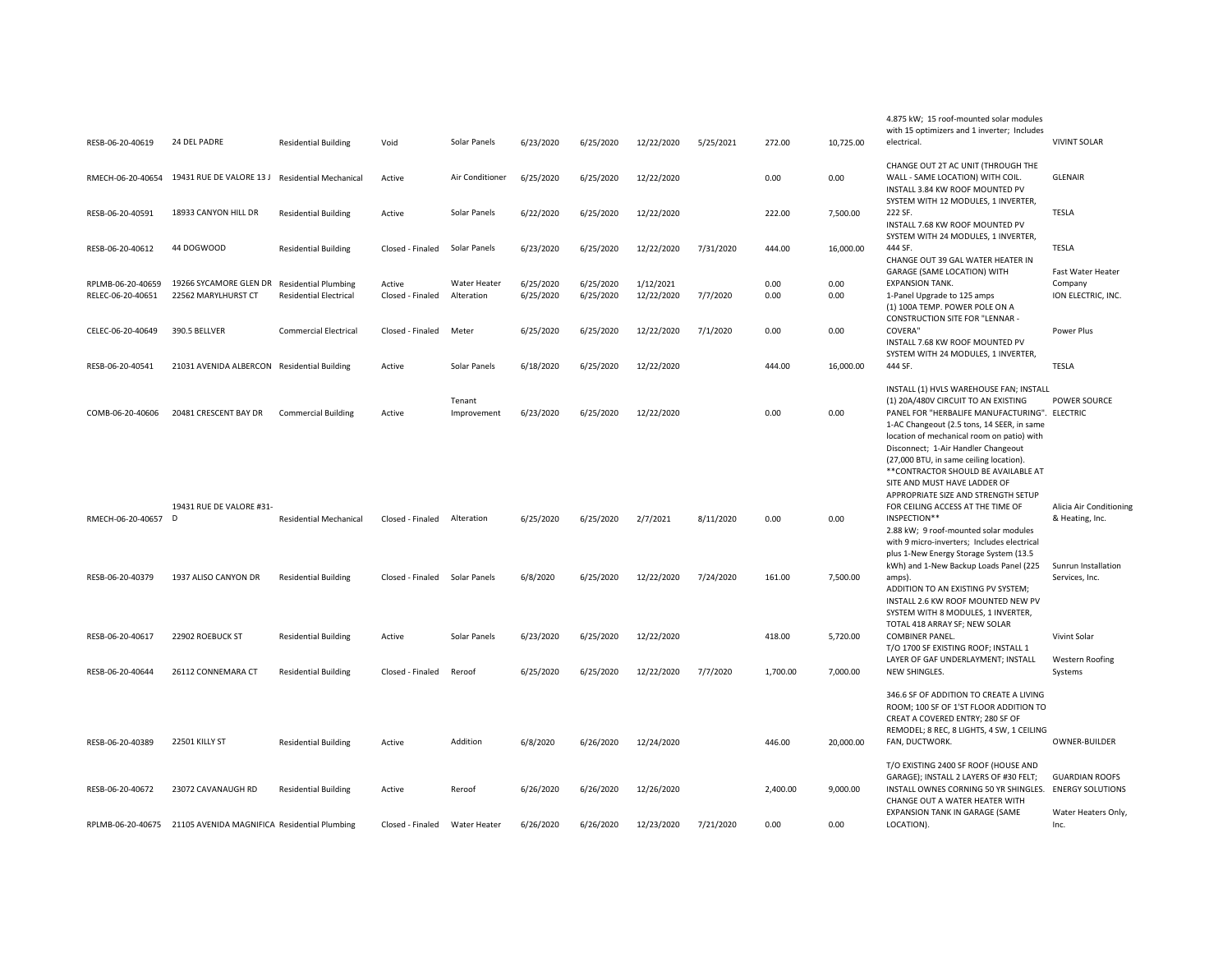| RESB-06-20-40619                       | 24 DEL PADRE                                                   | <b>Residential Building</b>                                  | Void                          | Solar Panels               | 6/23/2020              | 6/25/2020              | 12/22/2020              | 5/25/2021 | 272.00       | 10,725.00    | with 15 optimizers and 1 inverter; Includes<br>electrical.                                                                                                                                                                                                                                                                                            | <b>VIVINT SOLAR</b>                                |
|----------------------------------------|----------------------------------------------------------------|--------------------------------------------------------------|-------------------------------|----------------------------|------------------------|------------------------|-------------------------|-----------|--------------|--------------|-------------------------------------------------------------------------------------------------------------------------------------------------------------------------------------------------------------------------------------------------------------------------------------------------------------------------------------------------------|----------------------------------------------------|
| RMECH-06-20-40654                      | 19431 RUE DE VALORE 13 J Residential Mechanical                |                                                              | Active                        | Air Conditioner            | 6/25/2020              | 6/25/2020              | 12/22/2020              |           | 0.00         | 0.00         | CHANGE OUT 2T AC UNIT (THROUGH THE<br>WALL - SAME LOCATION) WITH COIL.<br>INSTALL 3.84 KW ROOF MOUNTED PV                                                                                                                                                                                                                                             | <b>GLENAIR</b>                                     |
| RESB-06-20-40591                       | 18933 CANYON HILL DR                                           | <b>Residential Building</b>                                  | Active                        | Solar Panels               | 6/22/2020              | 6/25/2020              | 12/22/2020              |           | 222.00       | 7,500.00     | SYSTEM WITH 12 MODULES, 1 INVERTER,<br>222 SF.<br>INSTALL 7.68 KW ROOF MOUNTED PV                                                                                                                                                                                                                                                                     | TESLA                                              |
| RESB-06-20-40612                       | 44 DOGWOOD                                                     | <b>Residential Building</b>                                  | Closed - Finaled              | Solar Panels               | 6/23/2020              | 6/25/2020              | 12/22/2020              | 7/31/2020 | 444.00       | 16,000.00    | SYSTEM WITH 24 MODULES, 1 INVERTER,<br>444 SF.<br>CHANGE OUT 39 GAL WATER HEATER IN                                                                                                                                                                                                                                                                   | <b>TESLA</b>                                       |
| RPLMB-06-20-40659<br>RELEC-06-20-40651 | 19266 SYCAMORE GLEN DR<br>22562 MARYLHURST CT                  | <b>Residential Plumbing</b><br><b>Residential Electrical</b> | Active<br>Closed - Finaled    | Water Heater<br>Alteration | 6/25/2020<br>6/25/2020 | 6/25/2020<br>6/25/2020 | 1/12/2021<br>12/22/2020 | 7/7/2020  | 0.00<br>0.00 | 0.00<br>0.00 | GARAGE (SAME LOCATION) WITH<br><b>EXPANSION TANK.</b><br>1-Panel Upgrade to 125 amps<br>(1) 100A TEMP. POWER POLE ON A                                                                                                                                                                                                                                | Fast Water Heater<br>Company<br>ION ELECTRIC, INC. |
| CELEC-06-20-40649                      | 390.5 BELLVER                                                  | <b>Commercial Electrical</b>                                 | Closed - Finaled              | Meter                      | 6/25/2020              | 6/25/2020              | 12/22/2020              | 7/1/2020  | 0.00         | 0.00         | CONSTRUCTION SITE FOR "LENNAR -<br><b>COVERA"</b><br>INSTALL 7.68 KW ROOF MOUNTED PV<br>SYSTEM WITH 24 MODULES, 1 INVERTER,                                                                                                                                                                                                                           | Power Plus                                         |
| RESB-06-20-40541                       | 21031 AVENIDA ALBERCON Residential Building                    |                                                              | Active                        | Solar Panels               | 6/18/2020              | 6/25/2020              | 12/22/2020              |           | 444.00       | 16,000.00    | 444 SF.                                                                                                                                                                                                                                                                                                                                               | <b>TESLA</b>                                       |
| COMB-06-20-40606                       | 20481 CRESCENT BAY DR                                          | <b>Commercial Building</b>                                   | Active                        | Tenant<br>Improvement      | 6/23/2020              | 6/25/2020              | 12/22/2020              |           | 0.00         | 0.00         | INSTALL (1) HVLS WAREHOUSE FAN; INSTALL<br>(1) 20A/480V CIRCUIT TO AN EXISTING<br>PANEL FOR "HERBALIFE MANUFACTURING". ELECTRIC<br>1-AC Changeout (2.5 tons, 14 SEER, in same<br>location of mechanical room on patio) with<br>Disconnect; 1-Air Handler Changeout<br>(27,000 BTU, in same ceiling location).<br>** CONTRACTOR SHOULD BE AVAILABLE AT | <b>POWER SOURCE</b>                                |
| RMECH-06-20-40657                      | 19431 RUE DE VALORE #31-<br>D                                  | <b>Residential Mechanical</b>                                | Closed - Finaled              | Alteration                 | 6/25/2020              | 6/25/2020              | 2/7/2021                | 8/11/2020 | 0.00         | 0.00         | SITE AND MUST HAVE LADDER OF<br>APPROPRIATE SIZE AND STRENGTH SETUP<br>FOR CEILING ACCESS AT THE TIME OF<br>INSPECTION**<br>2.88 kW; 9 roof-mounted solar modules<br>with 9 micro-inverters; Includes electrical<br>plus 1-New Energy Storage System (13.5                                                                                            | Alicia Air Conditioning<br>& Heating, Inc.         |
| RESB-06-20-40379                       | 1937 ALISO CANYON DR                                           | <b>Residential Building</b>                                  | Closed - Finaled Solar Panels |                            | 6/8/2020               | 6/25/2020              | 12/22/2020              | 7/24/2020 | 161.00       | 7,500.00     | kWh) and 1-New Backup Loads Panel (225<br>amps).<br>ADDITION TO AN EXISTING PV SYSTEM;<br>INSTALL 2.6 KW ROOF MOUNTED NEW PV<br>SYSTEM WITH 8 MODULES, 1 INVERTER,                                                                                                                                                                                    | Sunrun Installation<br>Services, Inc.              |
| RESB-06-20-40617                       | 22902 ROEBUCK ST                                               | <b>Residential Building</b>                                  | Active                        | Solar Panels               | 6/23/2020              | 6/25/2020              | 12/22/2020              |           | 418.00       | 5,720.00     | TOTAL 418 ARRAY SF; NEW SOLAR<br><b>COMBINER PANEL.</b><br>T/O 1700 SF EXISTING ROOF; INSTALL 1                                                                                                                                                                                                                                                       | Vivint Solar                                       |
| RESB-06-20-40644                       | 26112 CONNEMARA CT                                             | <b>Residential Building</b>                                  | Closed - Finaled              | Reroof                     | 6/25/2020              | 6/25/2020              | 12/22/2020              | 7/7/2020  | 1,700.00     | 7,000.00     | LAYER OF GAF UNDERLAYMENT; INSTALL<br>NEW SHINGLES.                                                                                                                                                                                                                                                                                                   | <b>Western Roofing</b><br>Systems                  |
| RESB-06-20-40389                       | 22501 KILLY ST                                                 | <b>Residential Building</b>                                  | Active                        | Addition                   | 6/8/2020               | 6/26/2020              | 12/24/2020              |           | 446.00       | 20,000.00    | 346.6 SF OF ADDITION TO CREATE A LIVING<br>ROOM; 100 SF OF 1'ST FLOOR ADDITION TO<br>CREAT A COVERED ENTRY; 280 SF OF<br>REMODEL; 8 REC, 8 LIGHTS, 4 SW, 1 CEILING<br>FAN, DUCTWORK.                                                                                                                                                                  | OWNER-BUILDER                                      |
| RESB-06-20-40672                       | 23072 CAVANAUGH RD                                             | <b>Residential Building</b>                                  | Active                        | Reroof                     | 6/26/2020              | 6/26/2020              | 12/26/2020              |           | 2,400.00     | 9,000.00     | T/O EXISTING 2400 SF ROOF (HOUSE AND<br>GARAGE); INSTALL 2 LAYERS OF #30 FELT;<br>INSTALL OWNES CORNING 50 YR SHINGLES.<br>CHANGE OUT A WATER HEATER WITH                                                                                                                                                                                             | <b>GUARDIAN ROOFS</b><br><b>ENERGY SOLUTIONS</b>   |
|                                        | RPLMB-06-20-40675 21105 AVENIDA MAGNIFICA Residential Plumbing |                                                              | Closed - Finaled              | Water Heater               | 6/26/2020              | 6/26/2020              | 12/23/2020              | 7/21/2020 | 0.00         | 0.00         | EXPANSION TANK IN GARAGE (SAME<br>LOCATION).                                                                                                                                                                                                                                                                                                          | Water Heaters Only,<br>Inc.                        |

4.875 kW; 15 roof-mounted solar modules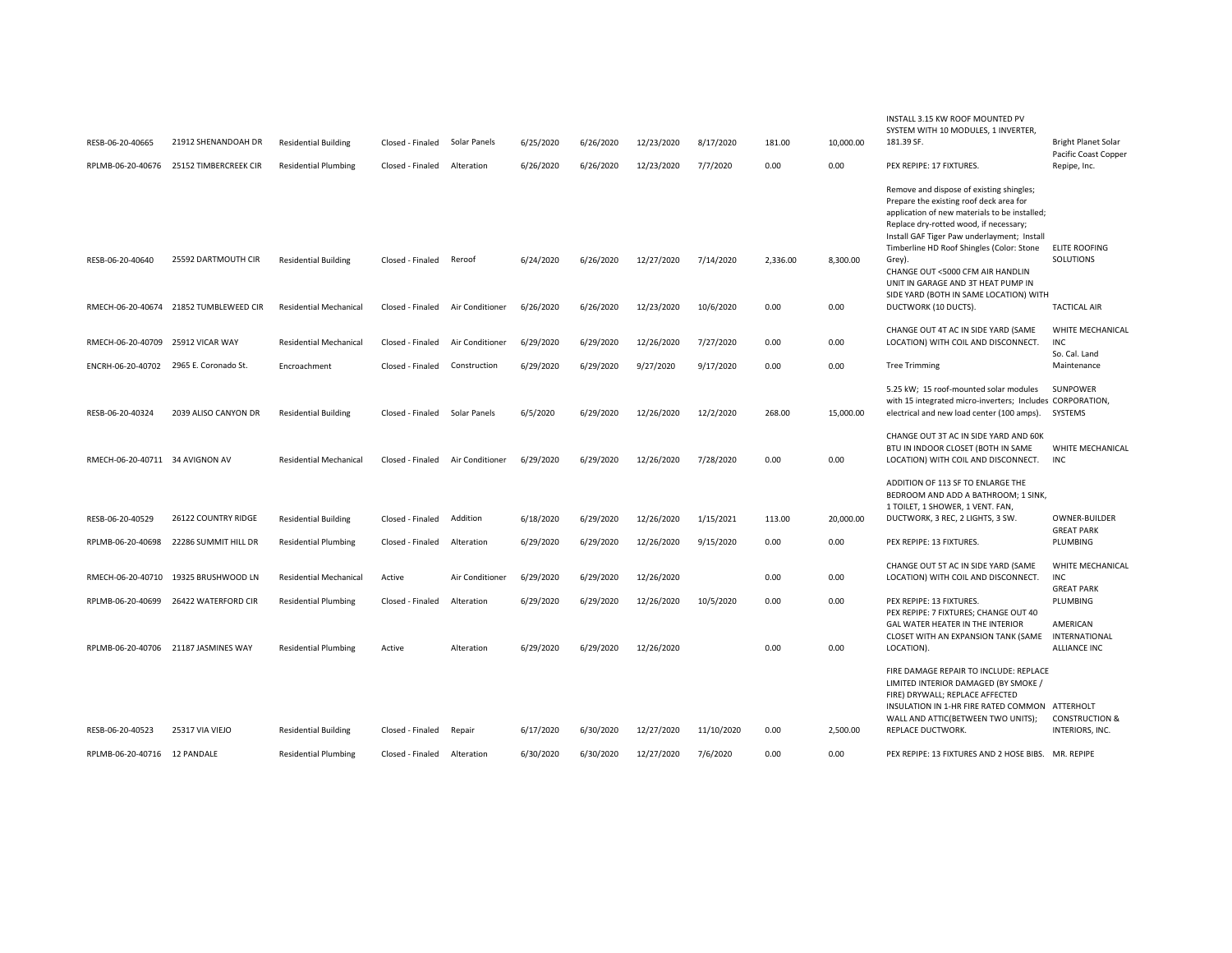| RESB-06-20-40665<br>RPLMB-06-20-40676  | 21912 SHENANDOAH DR<br>25152 TIMBERCREEK CIR | <b>Residential Building</b><br><b>Residential Plumbing</b> | Closed - Finaled Solar Panels<br>Closed - Finaled | Alteration      | 6/25/2020<br>6/26/2020 | 6/26/2020<br>6/26/2020 | 12/23/2020<br>12/23/2020 | 8/17/2020<br>7/7/2020 | 181.00<br>0.00 | 10,000.00<br>0.00 | INSTALL 3.15 KW ROOF MOUNTED PV<br>SYSTEM WITH 10 MODULES, 1 INVERTER.<br>181.39 SF.<br>PEX REPIPE: 17 FIXTURES.                                                                                                                                                                                                                                                                                         | <b>Bright Planet Solar</b><br>Pacific Coast Copper<br>Repipe, Inc. |
|----------------------------------------|----------------------------------------------|------------------------------------------------------------|---------------------------------------------------|-----------------|------------------------|------------------------|--------------------------|-----------------------|----------------|-------------------|----------------------------------------------------------------------------------------------------------------------------------------------------------------------------------------------------------------------------------------------------------------------------------------------------------------------------------------------------------------------------------------------------------|--------------------------------------------------------------------|
| RESB-06-20-40640                       | 25592 DARTMOUTH CIR                          | <b>Residential Building</b>                                | Closed - Finaled                                  | Reroof          | 6/24/2020              | 6/26/2020              | 12/27/2020               | 7/14/2020             | 2.336.00       | 8,300.00          | Remove and dispose of existing shingles;<br>Prepare the existing roof deck area for<br>application of new materials to be installed;<br>Replace dry-rotted wood, if necessary;<br>Install GAF Tiger Paw underlayment; Install<br>Timberline HD Roof Shingles (Color: Stone<br>Grey).<br>CHANGE OUT <5000 CFM AIR HANDLIN<br>UNIT IN GARAGE AND 3T HEAT PUMP IN<br>SIDE YARD (BOTH IN SAME LOCATION) WITH | <b>ELITE ROOFING</b><br>SOLUTIONS                                  |
|                                        | RMECH-06-20-40674 21852 TUMBLEWEED CIR       | <b>Residential Mechanical</b>                              | Closed - Finaled                                  | Air Conditioner | 6/26/2020              | 6/26/2020              | 12/23/2020               | 10/6/2020             | 0.00           | 0.00              | DUCTWORK (10 DUCTS).                                                                                                                                                                                                                                                                                                                                                                                     | <b>TACTICAL AIR</b>                                                |
| RMECH-06-20-40709                      | 25912 VICAR WAY                              | <b>Residential Mechanical</b>                              | Closed - Finaled                                  | Air Conditioner | 6/29/2020              | 6/29/2020              | 12/26/2020               | 7/27/2020             | 0.00           | 0.00              | CHANGE OUT 4T AC IN SIDE YARD (SAME<br>LOCATION) WITH COIL AND DISCONNECT.                                                                                                                                                                                                                                                                                                                               | WHITE MECHANICAL<br><b>INC</b><br>So. Cal. Land                    |
| ENCRH-06-20-40702 2965 E. Coronado St. |                                              | Encroachment                                               | Closed - Finaled                                  | Construction    | 6/29/2020              | 6/29/2020              | 9/27/2020                | 9/17/2020             | 0.00           | 0.00              | <b>Tree Trimming</b>                                                                                                                                                                                                                                                                                                                                                                                     | Maintenance                                                        |
| RESB-06-20-40324                       | 2039 ALISO CANYON DR                         | <b>Residential Building</b>                                | Closed - Finaled                                  | Solar Panels    | 6/5/2020               | 6/29/2020              | 12/26/2020               | 12/2/2020             | 268.00         | 15,000.00         | 5.25 kW; 15 roof-mounted solar modules<br>with 15 integrated micro-inverters; Includes CORPORATION,<br>electrical and new load center (100 amps).                                                                                                                                                                                                                                                        | <b>SUNPOWER</b><br>SYSTEMS                                         |
| RMECH-06-20-40711 34 AVIGNON AV        |                                              | <b>Residential Mechanical</b>                              | Closed - Finaled                                  | Air Conditioner | 6/29/2020              | 6/29/2020              | 12/26/2020               | 7/28/2020             | 0.00           | 0.00              | CHANGE OUT 3T AC IN SIDE YARD AND 60K<br>BTU IN INDOOR CLOSET (BOTH IN SAME<br>LOCATION) WITH COIL AND DISCONNECT.                                                                                                                                                                                                                                                                                       | WHITE MECHANICAL<br>INC                                            |
| RESB-06-20-40529                       | 26122 COUNTRY RIDGE                          | <b>Residential Building</b>                                | Closed - Finaled                                  | Addition        | 6/18/2020              | 6/29/2020              | 12/26/2020               | 1/15/2021             | 113.00         | 20,000.00         | ADDITION OF 113 SF TO ENLARGE THE<br>BEDROOM AND ADD A BATHROOM; 1 SINK,<br>1 TOILET, 1 SHOWER, 1 VENT. FAN,<br>DUCTWORK, 3 REC, 2 LIGHTS, 3 SW.                                                                                                                                                                                                                                                         | <b>OWNER-BUILDER</b>                                               |
| RPLMB-06-20-40698                      | 22286 SUMMIT HILL DR                         | <b>Residential Plumbing</b>                                | Closed - Finaled                                  | Alteration      | 6/29/2020              | 6/29/2020              | 12/26/2020               | 9/15/2020             | 0.00           | 0.00              | PEX REPIPE: 13 FIXTURES.                                                                                                                                                                                                                                                                                                                                                                                 | <b>GREAT PARK</b><br>PLUMBING                                      |
| RMECH-06-20-40710                      | 19325 BRUSHWOOD LN                           | <b>Residential Mechanical</b>                              | Active                                            | Air Conditioner | 6/29/2020              | 6/29/2020              | 12/26/2020               |                       | 0.00           | 0.00              | CHANGE OUT 5T AC IN SIDE YARD (SAME<br>LOCATION) WITH COIL AND DISCONNECT.                                                                                                                                                                                                                                                                                                                               | WHITE MECHANICAL<br><b>INC</b><br><b>GREAT PARK</b>                |
|                                        | RPLMB-06-20-40699 26422 WATERFORD CIR        | <b>Residential Plumbing</b>                                | Closed - Finaled                                  | Alteration      | 6/29/2020              | 6/29/2020              | 12/26/2020               | 10/5/2020             | 0.00           | 0.00              | PEX REPIPE: 13 FIXTURES.<br>PEX REPIPE: 7 FIXTURES; CHANGE OUT 40<br>GAL WATER HEATER IN THE INTERIOR                                                                                                                                                                                                                                                                                                    | PLUMBING<br>AMERICAN                                               |
|                                        | RPLMB-06-20-40706 21187 JASMINES WAY         | <b>Residential Plumbing</b>                                | Active                                            | Alteration      | 6/29/2020              | 6/29/2020              | 12/26/2020               |                       | 0.00           | 0.00              | CLOSET WITH AN EXPANSION TANK (SAME<br>LOCATION).                                                                                                                                                                                                                                                                                                                                                        | INTERNATIONAL<br><b>ALLIANCE INC</b>                               |
| RESB-06-20-40523                       | 25317 VIA VIEJO                              | <b>Residential Building</b>                                |                                                   |                 | 6/17/2020              | 6/30/2020              | 12/27/2020               | 11/10/2020            | 0.00           | 2,500.00          | FIRE DAMAGE REPAIR TO INCLUDE: REPLACE<br>LIMITED INTERIOR DAMAGED (BY SMOKE /<br>FIRE) DRYWALL; REPLACE AFFECTED<br>INSULATION IN 1-HR FIRE RATED COMMON ATTERHOLT<br>WALL AND ATTIC(BETWEEN TWO UNITS);<br>REPLACE DUCTWORK.                                                                                                                                                                           | <b>CONSTRUCTION &amp;</b><br>INTERIORS, INC.                       |
|                                        |                                              |                                                            | Closed - Finaled                                  | Repair          |                        |                        |                          |                       |                |                   |                                                                                                                                                                                                                                                                                                                                                                                                          |                                                                    |
| RPLMB-06-20-40716 12 PANDALE           |                                              | <b>Residential Plumbing</b>                                | Closed - Finaled                                  | Alteration      | 6/30/2020              | 6/30/2020              | 12/27/2020               | 7/6/2020              | 0.00           | 0.00              | PEX REPIPE: 13 FIXTURES AND 2 HOSE BIBS. MR. REPIPE                                                                                                                                                                                                                                                                                                                                                      |                                                                    |